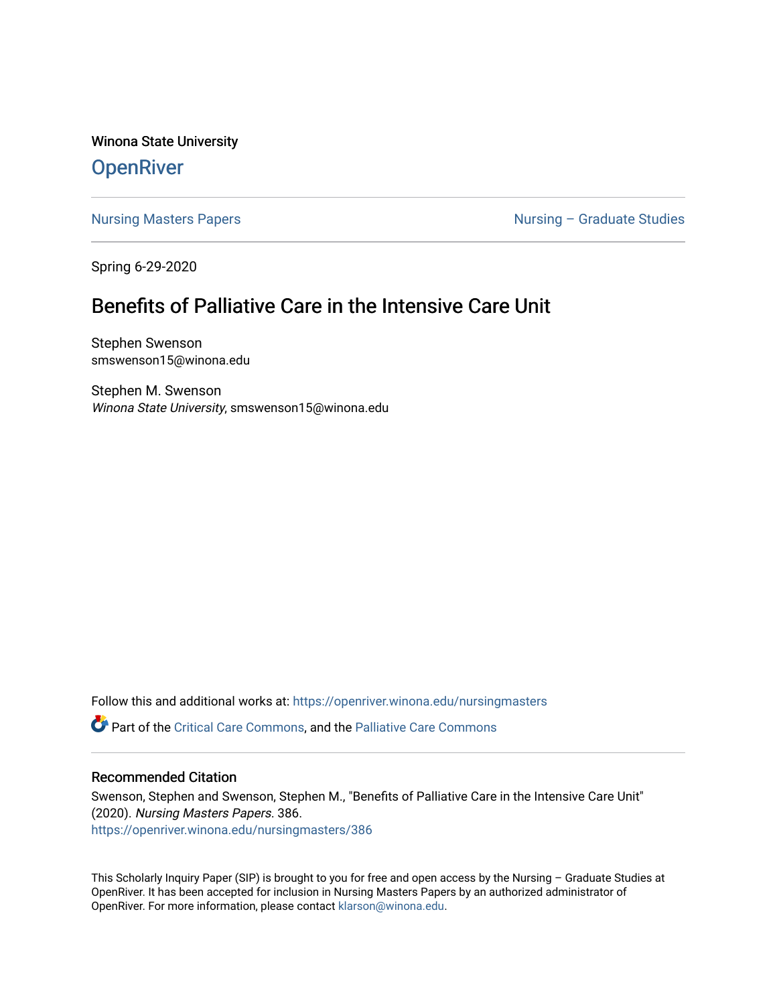Winona State University **OpenRiver** 

[Nursing Masters Papers](https://openriver.winona.edu/nursingmasters) **Nursing – Graduate Studies** 

Spring 6-29-2020

# Benefits of Palliative Care in the Intensive Care Unit

Stephen Swenson smswenson15@winona.edu

Stephen M. Swenson Winona State University, smswenson15@winona.edu

Follow this and additional works at: [https://openriver.winona.edu/nursingmasters](https://openriver.winona.edu/nursingmasters?utm_source=openriver.winona.edu%2Fnursingmasters%2F386&utm_medium=PDF&utm_campaign=PDFCoverPages) 

Part of the [Critical Care Commons,](http://network.bepress.com/hgg/discipline/1226?utm_source=openriver.winona.edu%2Fnursingmasters%2F386&utm_medium=PDF&utm_campaign=PDFCoverPages) and the [Palliative Care Commons](http://network.bepress.com/hgg/discipline/1265?utm_source=openriver.winona.edu%2Fnursingmasters%2F386&utm_medium=PDF&utm_campaign=PDFCoverPages) 

## Recommended Citation

Swenson, Stephen and Swenson, Stephen M., "Benefits of Palliative Care in the Intensive Care Unit" (2020). Nursing Masters Papers. 386. [https://openriver.winona.edu/nursingmasters/386](https://openriver.winona.edu/nursingmasters/386?utm_source=openriver.winona.edu%2Fnursingmasters%2F386&utm_medium=PDF&utm_campaign=PDFCoverPages) 

This Scholarly Inquiry Paper (SIP) is brought to you for free and open access by the Nursing – Graduate Studies at OpenRiver. It has been accepted for inclusion in Nursing Masters Papers by an authorized administrator of OpenRiver. For more information, please contact [klarson@winona.edu](mailto:klarson@winona.edu).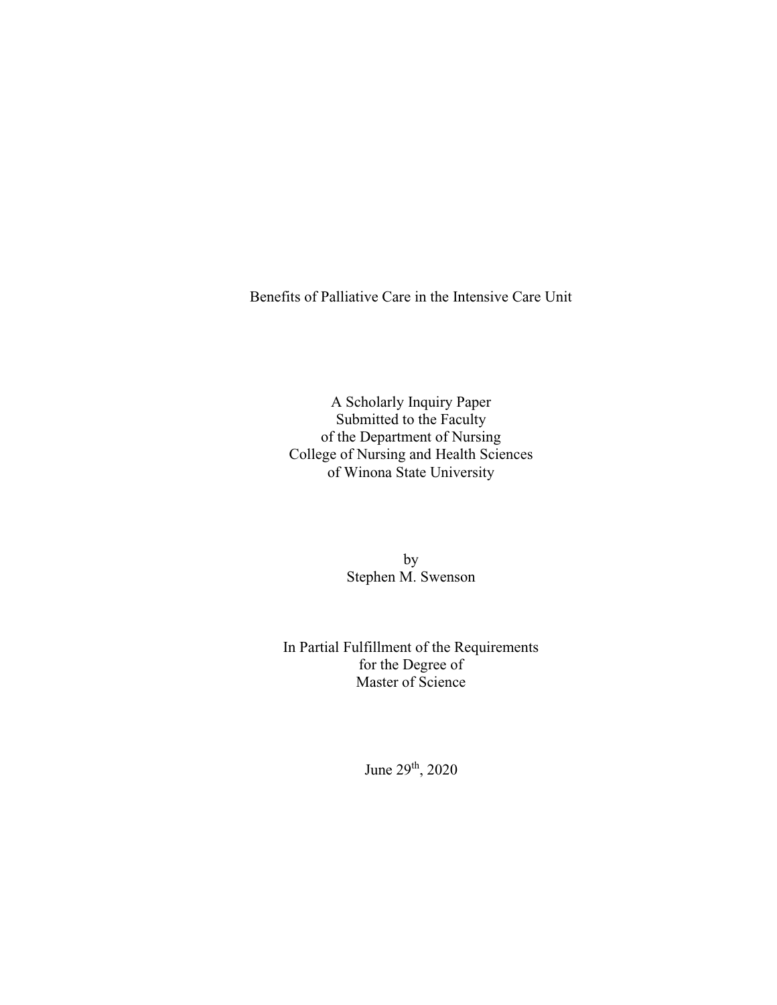Benefits of Palliative Care in the Intensive Care Unit

A Scholarly Inquiry Paper Submitted to the Faculty of the Department of Nursing College of Nursing and Health Sciences of Winona State University

> by Stephen M. Swenson

In Partial Fulfillment of the Requirements for the Degree of Master of Science

June 29th, 2020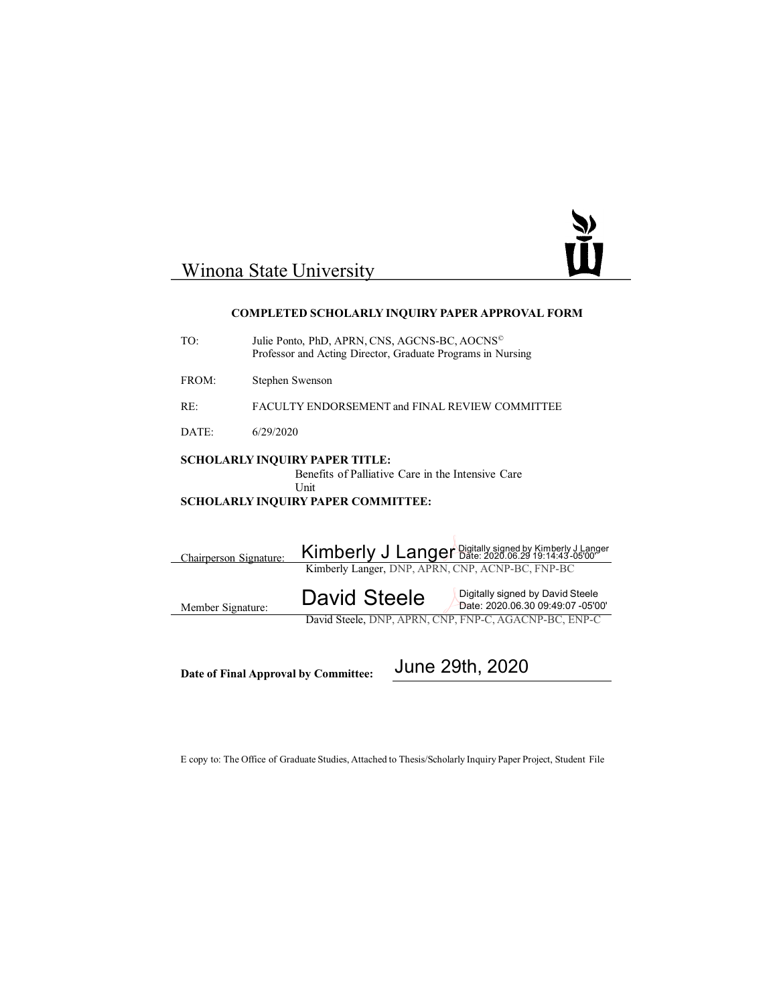

# Winona State University

#### **COMPLETED SCHOLARLY INQUIRY PAPER APPROVAL FORM**

| TO:                                                                                                                                                    | Julie Ponto, PhD, APRN, CNS, AGCNS-BC, AOCNS <sup>©</sup><br>Professor and Acting Director, Graduate Programs in Nursing                              |  |  |  |
|--------------------------------------------------------------------------------------------------------------------------------------------------------|-------------------------------------------------------------------------------------------------------------------------------------------------------|--|--|--|
| FROM:                                                                                                                                                  | Stephen Swenson                                                                                                                                       |  |  |  |
| RE:                                                                                                                                                    | FACULTY ENDORSEMENT and FINAL REVIEW COMMITTEE                                                                                                        |  |  |  |
| DATE:                                                                                                                                                  | 6/29/2020                                                                                                                                             |  |  |  |
| <b>SCHOLARLY INQUIRY PAPER TITLE:</b><br>Benefits of Palliative Care in the Intensive Care<br><b>Unit</b><br><b>SCHOLARLY INQUIRY PAPER COMMITTEE:</b> |                                                                                                                                                       |  |  |  |
| Chairperson Signature:                                                                                                                                 | Kimberly J Langer Digitally signed by Kimberly J Langer<br>Kimberly Langer, DNP, APRN, CNP, ACNP-BC, FNP-BC                                           |  |  |  |
| Member Signature:                                                                                                                                      | Digitally signed by David Steele<br><b>David Steele</b><br>Date: 2020.06.30 09:49:07 -05'00'<br>David Steele, DNP, APRN, CNP, FNP-C, AGACNP-BC, ENP-C |  |  |  |
|                                                                                                                                                        |                                                                                                                                                       |  |  |  |

**Date of Final Approval by Committee:**

 $\overline{\phantom{a}}$ 

June 29th, 2020

E copy to: The Office of Graduate Studies, Attached to Thesis/Scholarly Inquiry Paper Project, Student File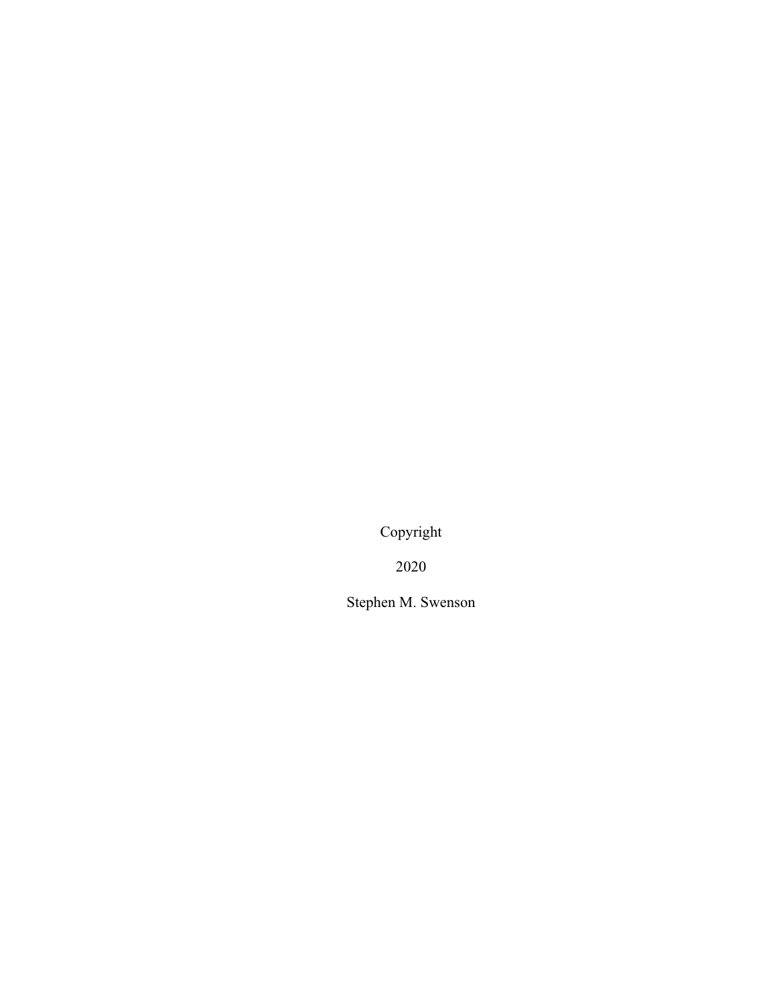Copyright

2020

Stephen M. Swenson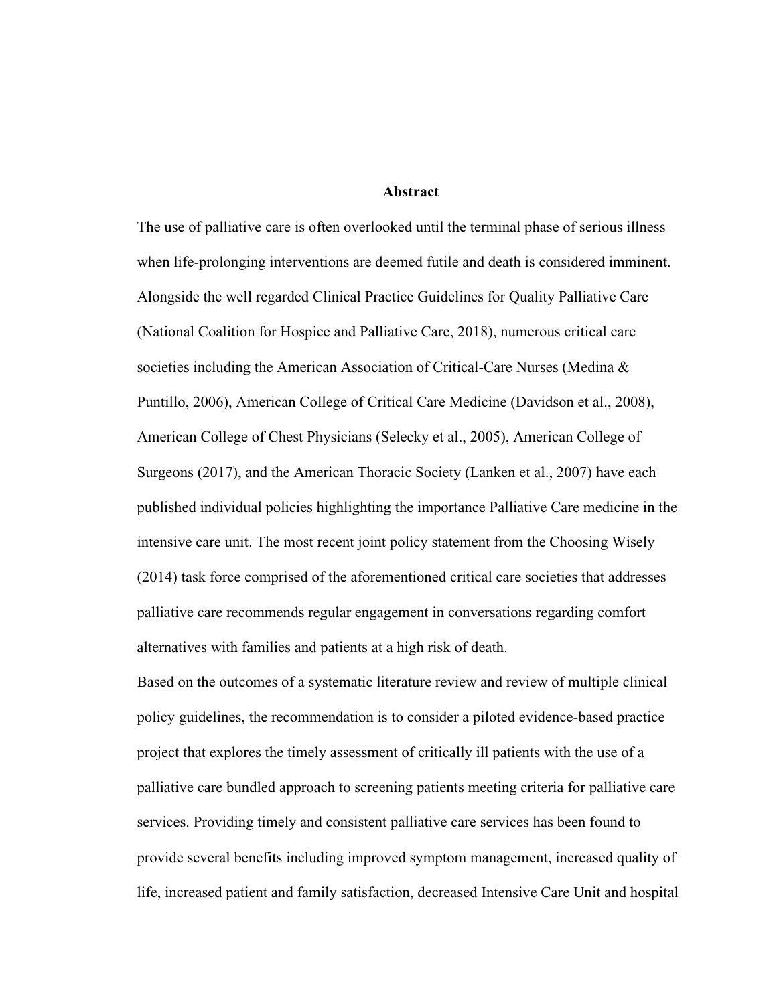## **Abstract**

The use of palliative care is often overlooked until the terminal phase of serious illness when life-prolonging interventions are deemed futile and death is considered imminent. Alongside the well regarded Clinical Practice Guidelines for Quality Palliative Care (National Coalition for Hospice and Palliative Care, 2018), numerous critical care societies including the American Association of Critical-Care Nurses (Medina & Puntillo, 2006), American College of Critical Care Medicine (Davidson et al., 2008), American College of Chest Physicians (Selecky et al., 2005), American College of Surgeons (2017), and the American Thoracic Society (Lanken et al., 2007) have each published individual policies highlighting the importance Palliative Care medicine in the intensive care unit. The most recent joint policy statement from the Choosing Wisely (2014) task force comprised of the aforementioned critical care societies that addresses palliative care recommends regular engagement in conversations regarding comfort alternatives with families and patients at a high risk of death.

Based on the outcomes of a systematic literature review and review of multiple clinical policy guidelines, the recommendation is to consider a piloted evidence-based practice project that explores the timely assessment of critically ill patients with the use of a palliative care bundled approach to screening patients meeting criteria for palliative care services. Providing timely and consistent palliative care services has been found to provide several benefits including improved symptom management, increased quality of life, increased patient and family satisfaction, decreased Intensive Care Unit and hospital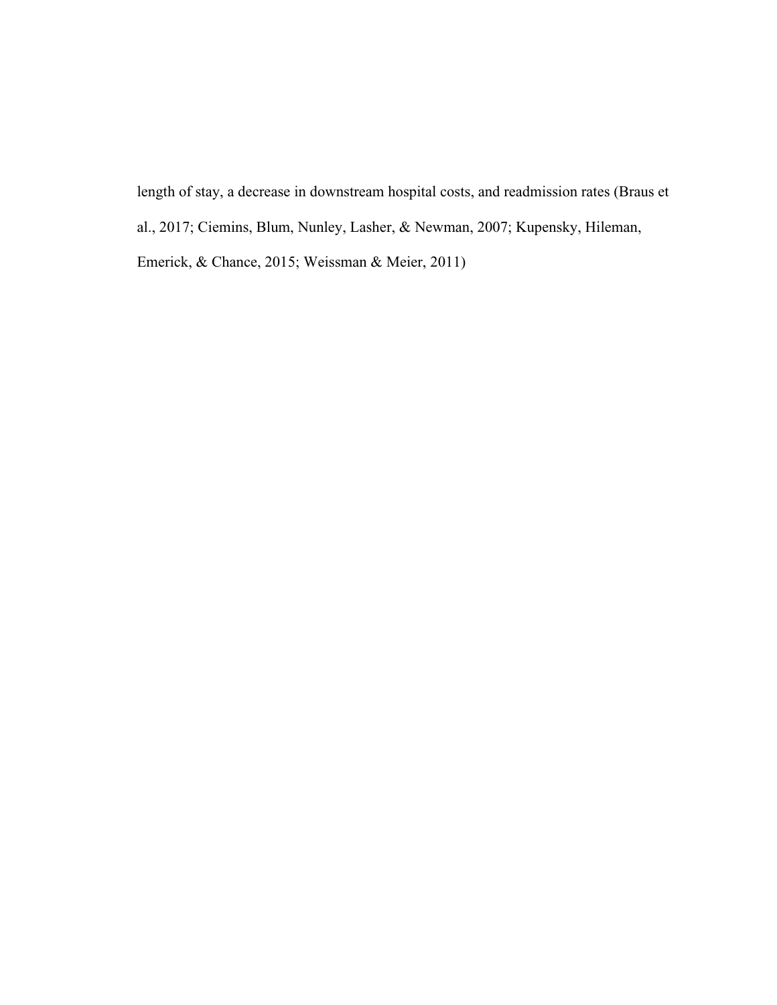length of stay, a decrease in downstream hospital costs, and readmission rates (Braus et al., 2017; Ciemins, Blum, Nunley, Lasher, & Newman, 2007; Kupensky, Hileman, Emerick, & Chance, 2015; Weissman & Meier, 2011)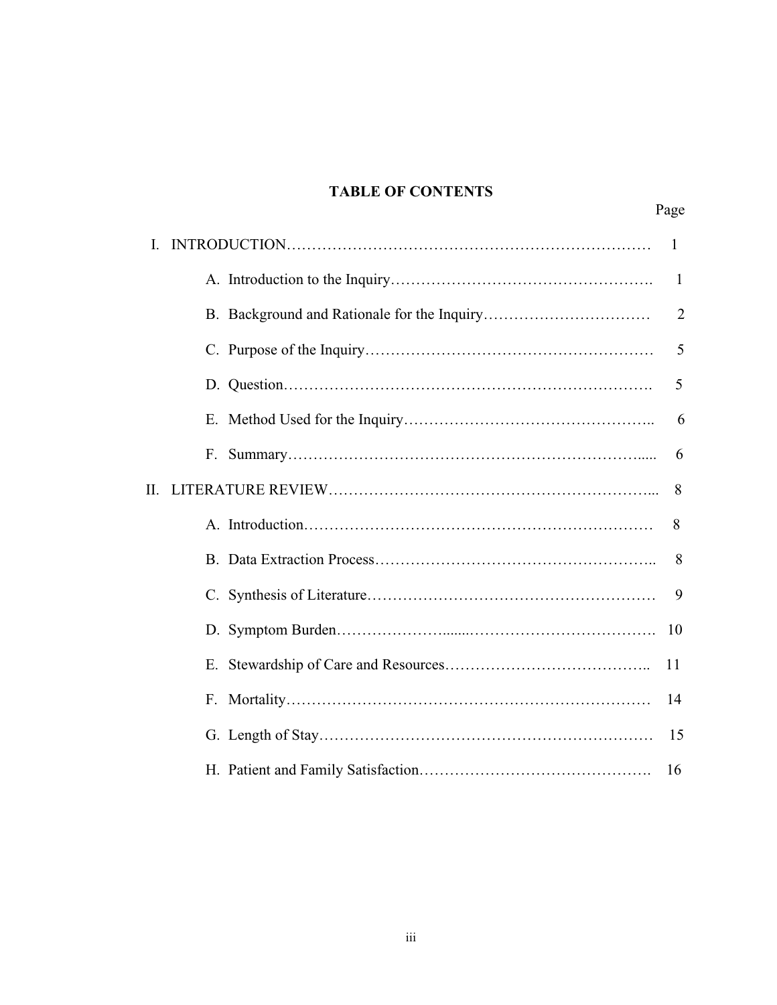## **TABLE OF CONTENTS**

Page

|    |    | 1              |
|----|----|----------------|
|    |    | -1             |
|    |    | $\overline{2}$ |
|    |    | 5              |
|    |    | 5              |
|    |    | 6              |
|    | F. | 6              |
| Н. |    | 8              |
|    |    | 8              |
|    |    | 8              |
|    |    | 9              |
|    |    | 10             |
|    | E. | 11             |
|    |    | 14             |
|    |    | 15             |
|    |    | 16             |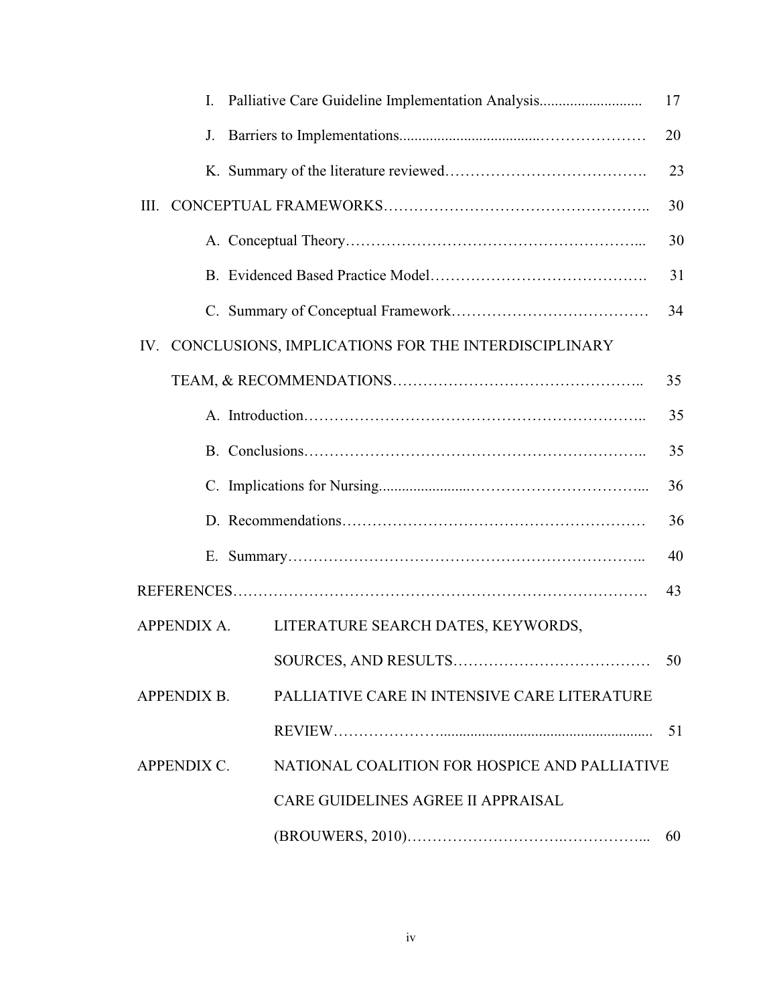| I.                 | Palliative Care Guideline Implementation Analysis       | 17 |
|--------------------|---------------------------------------------------------|----|
| J.                 |                                                         | 20 |
|                    |                                                         | 23 |
|                    |                                                         | 30 |
|                    |                                                         | 30 |
|                    |                                                         | 31 |
|                    |                                                         | 34 |
|                    | IV. CONCLUSIONS, IMPLICATIONS FOR THE INTERDISCIPLINARY |    |
|                    |                                                         | 35 |
|                    |                                                         | 35 |
|                    |                                                         | 35 |
|                    |                                                         | 36 |
|                    |                                                         | 36 |
|                    |                                                         | 40 |
|                    |                                                         | 43 |
| <b>APPENDIX A.</b> | LITERATURE SEARCH DATES, KEYWORDS,                      |    |
|                    |                                                         | 50 |
| <b>APPENDIX B.</b> | PALLIATIVE CARE IN INTENSIVE CARE LITERATURE            |    |
|                    |                                                         | 51 |
| APPENDIX C.        | NATIONAL COALITION FOR HOSPICE AND PALLIATIVE           |    |
|                    | <b>CARE GUIDELINES AGREE II APPRAISAL</b>               |    |
|                    |                                                         | 60 |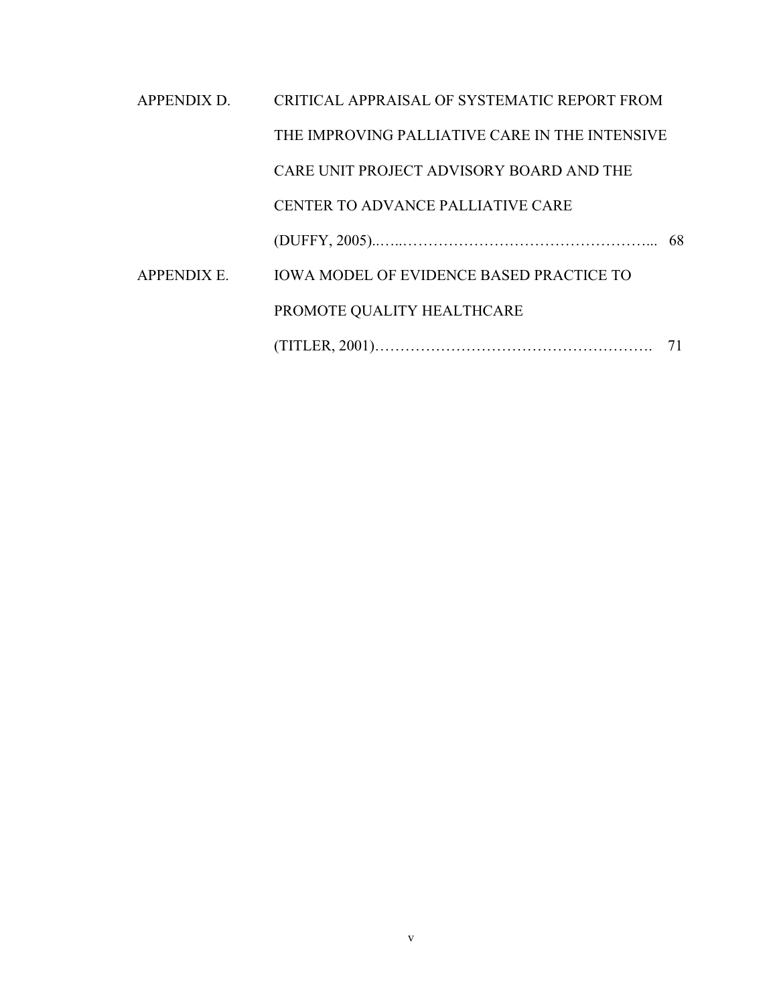| APPENDIX D. | CRITICAL APPRAISAL OF SYSTEMATIC REPORT FROM    |    |
|-------------|-------------------------------------------------|----|
|             | THE IMPROVING PALLIATIVE CARE IN THE INTENSIVE  |    |
|             | CARE UNIT PROJECT ADVISORY BOARD AND THE        |    |
|             | CENTER TO ADVANCE PALLIATIVE CARE               |    |
|             |                                                 |    |
| APPENDIX E. | <b>IOWA MODEL OF EVIDENCE BASED PRACTICE TO</b> |    |
|             | PROMOTE QUALITY HEALTHCARE                      |    |
|             |                                                 | 71 |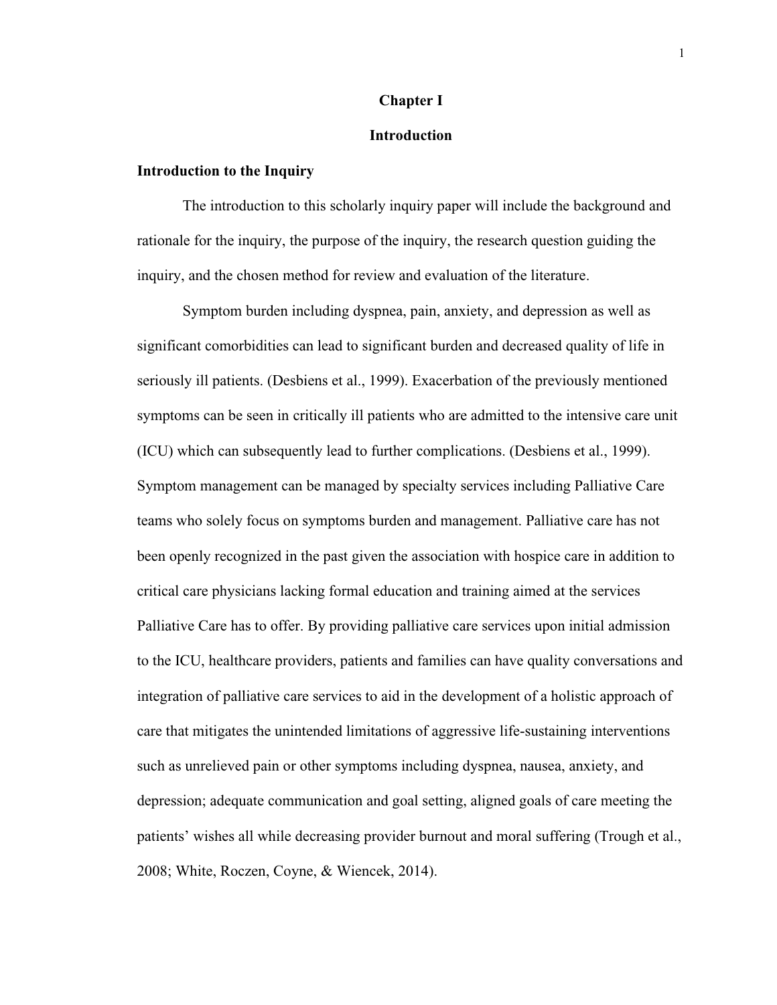## **Chapter I**

## **Introduction**

## **Introduction to the Inquiry**

The introduction to this scholarly inquiry paper will include the background and rationale for the inquiry, the purpose of the inquiry, the research question guiding the inquiry, and the chosen method for review and evaluation of the literature.

Symptom burden including dyspnea, pain, anxiety, and depression as well as significant comorbidities can lead to significant burden and decreased quality of life in seriously ill patients. (Desbiens et al., 1999). Exacerbation of the previously mentioned symptoms can be seen in critically ill patients who are admitted to the intensive care unit (ICU) which can subsequently lead to further complications. (Desbiens et al., 1999). Symptom management can be managed by specialty services including Palliative Care teams who solely focus on symptoms burden and management. Palliative care has not been openly recognized in the past given the association with hospice care in addition to critical care physicians lacking formal education and training aimed at the services Palliative Care has to offer. By providing palliative care services upon initial admission to the ICU, healthcare providers, patients and families can have quality conversations and integration of palliative care services to aid in the development of a holistic approach of care that mitigates the unintended limitations of aggressive life-sustaining interventions such as unrelieved pain or other symptoms including dyspnea, nausea, anxiety, and depression; adequate communication and goal setting, aligned goals of care meeting the patients' wishes all while decreasing provider burnout and moral suffering (Trough et al., 2008; White, Roczen, Coyne, & Wiencek, 2014).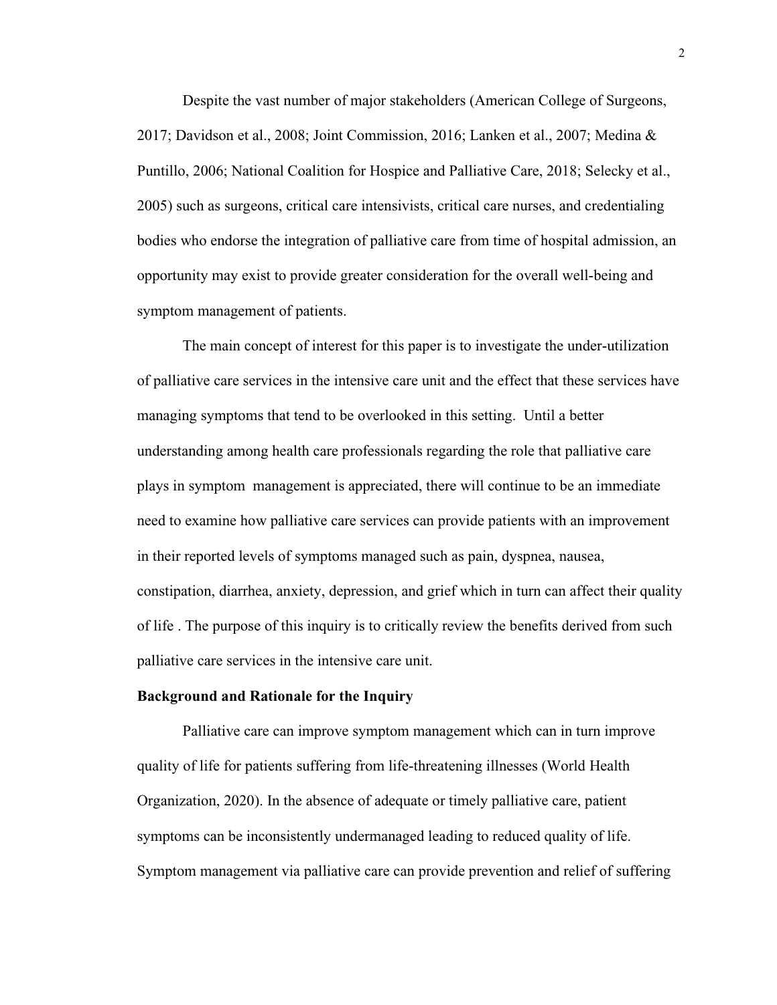Despite the vast number of major stakeholders (American College of Surgeons, 2017; Davidson et al., 2008; Joint Commission, 2016; Lanken et al., 2007; Medina & Puntillo, 2006; National Coalition for Hospice and Palliative Care, 2018; Selecky et al., 2005) such as surgeons, critical care intensivists, critical care nurses, and credentialing bodies who endorse the integration of palliative care from time of hospital admission, an opportunity may exist to provide greater consideration for the overall well-being and symptom management of patients.

The main concept of interest for this paper is to investigate the under-utilization of palliative care services in the intensive care unit and the effect that these services have managing symptoms that tend to be overlooked in this setting. Until a better understanding among health care professionals regarding the role that palliative care plays in symptom management is appreciated, there will continue to be an immediate need to examine how palliative care services can provide patients with an improvement in their reported levels of symptoms managed such as pain, dyspnea, nausea, constipation, diarrhea, anxiety, depression, and grief which in turn can affect their quality of life . The purpose of this inquiry is to critically review the benefits derived from such palliative care services in the intensive care unit.

#### **Background and Rationale for the Inquiry**

Palliative care can improve symptom management which can in turn improve quality of life for patients suffering from life-threatening illnesses (World Health Organization, 2020). In the absence of adequate or timely palliative care, patient symptoms can be inconsistently undermanaged leading to reduced quality of life. Symptom management via palliative care can provide prevention and relief of suffering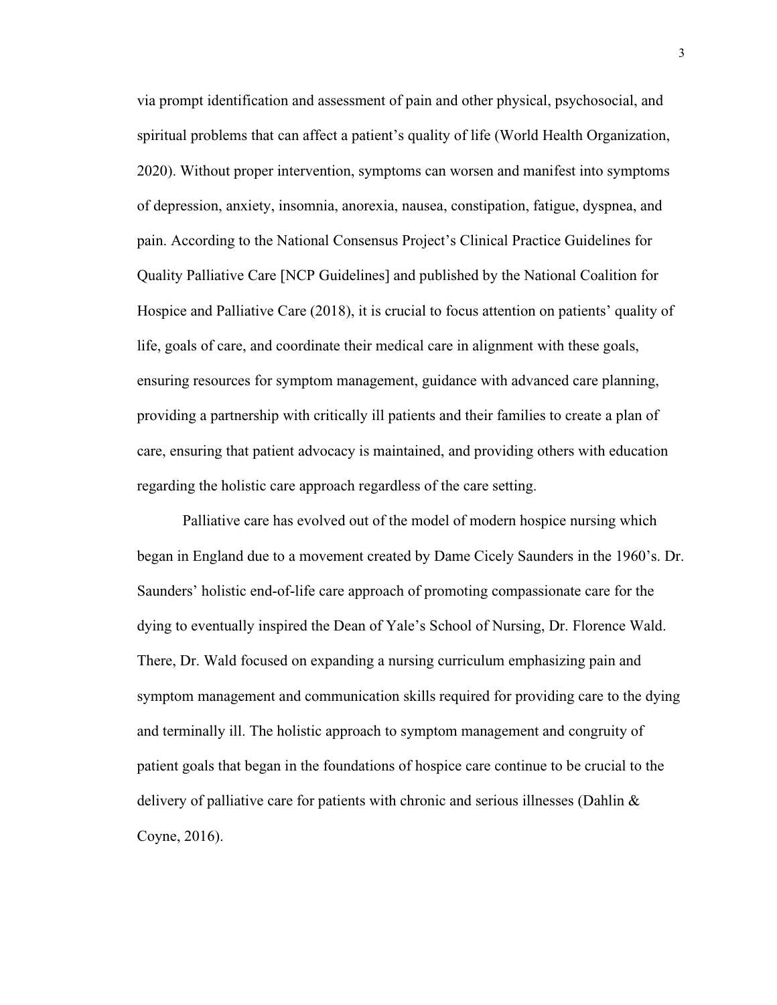via prompt identification and assessment of pain and other physical, psychosocial, and spiritual problems that can affect a patient's quality of life (World Health Organization, 2020). Without proper intervention, symptoms can worsen and manifest into symptoms of depression, anxiety, insomnia, anorexia, nausea, constipation, fatigue, dyspnea, and pain. According to the National Consensus Project's Clinical Practice Guidelines for Quality Palliative Care [NCP Guidelines] and published by the National Coalition for Hospice and Palliative Care (2018), it is crucial to focus attention on patients' quality of life, goals of care, and coordinate their medical care in alignment with these goals, ensuring resources for symptom management, guidance with advanced care planning, providing a partnership with critically ill patients and their families to create a plan of care, ensuring that patient advocacy is maintained, and providing others with education regarding the holistic care approach regardless of the care setting.

Palliative care has evolved out of the model of modern hospice nursing which began in England due to a movement created by Dame Cicely Saunders in the 1960's. Dr. Saunders' holistic end-of-life care approach of promoting compassionate care for the dying to eventually inspired the Dean of Yale's School of Nursing, Dr. Florence Wald. There, Dr. Wald focused on expanding a nursing curriculum emphasizing pain and symptom management and communication skills required for providing care to the dying and terminally ill. The holistic approach to symptom management and congruity of patient goals that began in the foundations of hospice care continue to be crucial to the delivery of palliative care for patients with chronic and serious illnesses (Dahlin  $\&$ Coyne, 2016).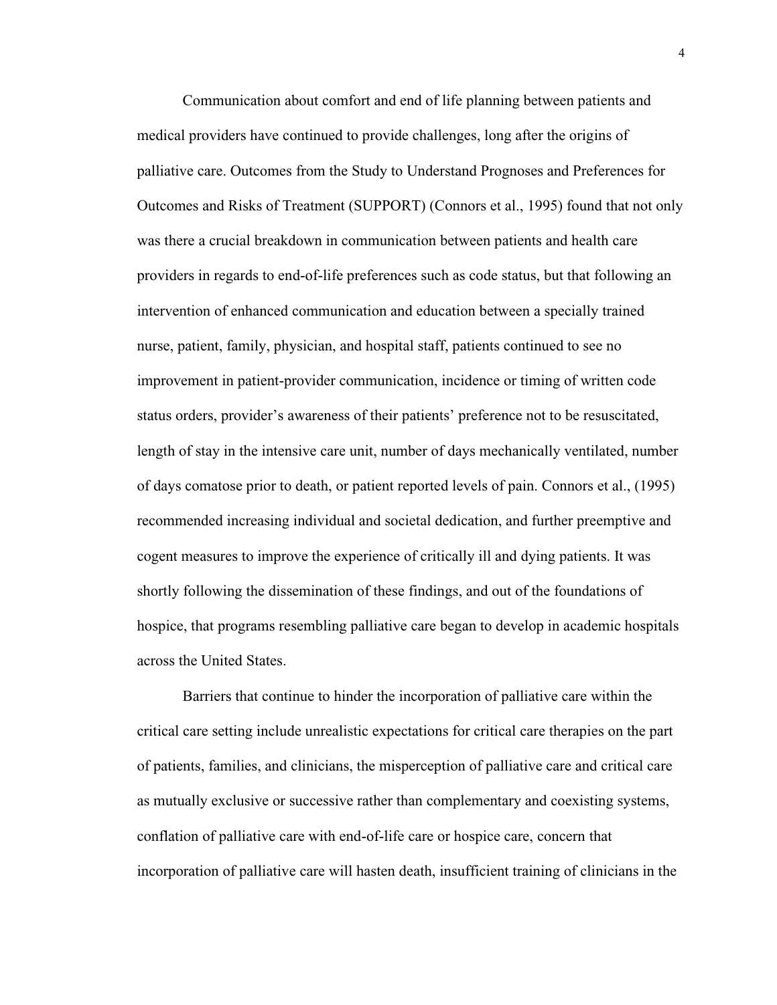Communication about comfort and end of life planning between patients and medical providers have continued to provide challenges, long after the origins of palliative care. Outcomes from the Study to Understand Prognoses and Preferences for Outcomes and Risks of Treatment (SUPPORT) (Connors et al., 1995) found that not only was there a crucial breakdown in communication between patients and health care providers in regards to end-of-life preferences such as code status, but that following an intervention of enhanced communication and education between a specially trained nurse, patient, family, physician, and hospital staff, patients continued to see no improvement in patient-provider communication, incidence or timing of written code status orders, provider's awareness of their patients' preference not to be resuscitated, length of stay in the intensive care unit, number of days mechanically ventilated, number of days comatose prior to death, or patient reported levels of pain. Connors et al., (1995) recommended increasing individual and societal dedication, and further preemptive and cogent measures to improve the experience of critically ill and dying patients. It was shortly following the dissemination of these findings, and out of the foundations of hospice, that programs resembling palliative care began to develop in academic hospitals across the United States.

Barriers that continue to hinder the incorporation of palliative care within the critical care setting include unrealistic expectations for critical care therapies on the part of patients, families, and clinicians, the misperception of palliative care and critical care as mutually exclusive or successive rather than complementary and coexisting systems, conflation of palliative care with end-of-life care or hospice care, concern that incorporation of palliative care will hasten death, insufficient training of clinicians in the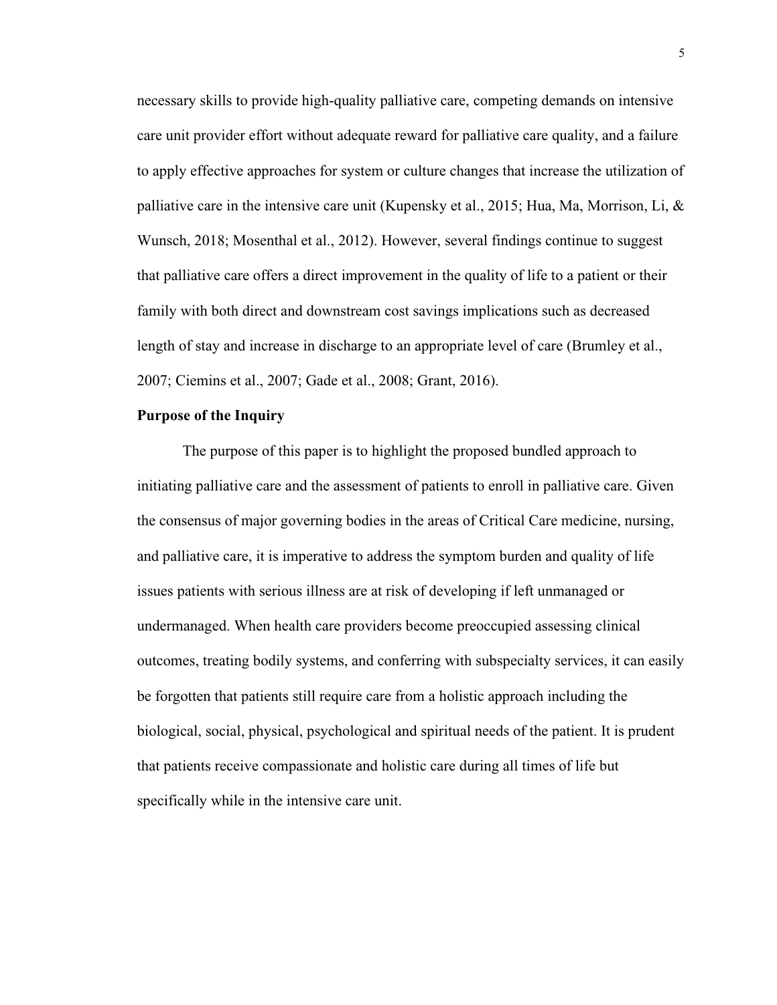necessary skills to provide high-quality palliative care, competing demands on intensive care unit provider effort without adequate reward for palliative care quality, and a failure to apply effective approaches for system or culture changes that increase the utilization of palliative care in the intensive care unit (Kupensky et al., 2015; Hua, Ma, Morrison, Li,  $\&$ Wunsch, 2018; Mosenthal et al., 2012). However, several findings continue to suggest that palliative care offers a direct improvement in the quality of life to a patient or their family with both direct and downstream cost savings implications such as decreased length of stay and increase in discharge to an appropriate level of care (Brumley et al., 2007; Ciemins et al., 2007; Gade et al., 2008; Grant, 2016).

## **Purpose of the Inquiry**

The purpose of this paper is to highlight the proposed bundled approach to initiating palliative care and the assessment of patients to enroll in palliative care. Given the consensus of major governing bodies in the areas of Critical Care medicine, nursing, and palliative care, it is imperative to address the symptom burden and quality of life issues patients with serious illness are at risk of developing if left unmanaged or undermanaged. When health care providers become preoccupied assessing clinical outcomes, treating bodily systems, and conferring with subspecialty services, it can easily be forgotten that patients still require care from a holistic approach including the biological, social, physical, psychological and spiritual needs of the patient. It is prudent that patients receive compassionate and holistic care during all times of life but specifically while in the intensive care unit.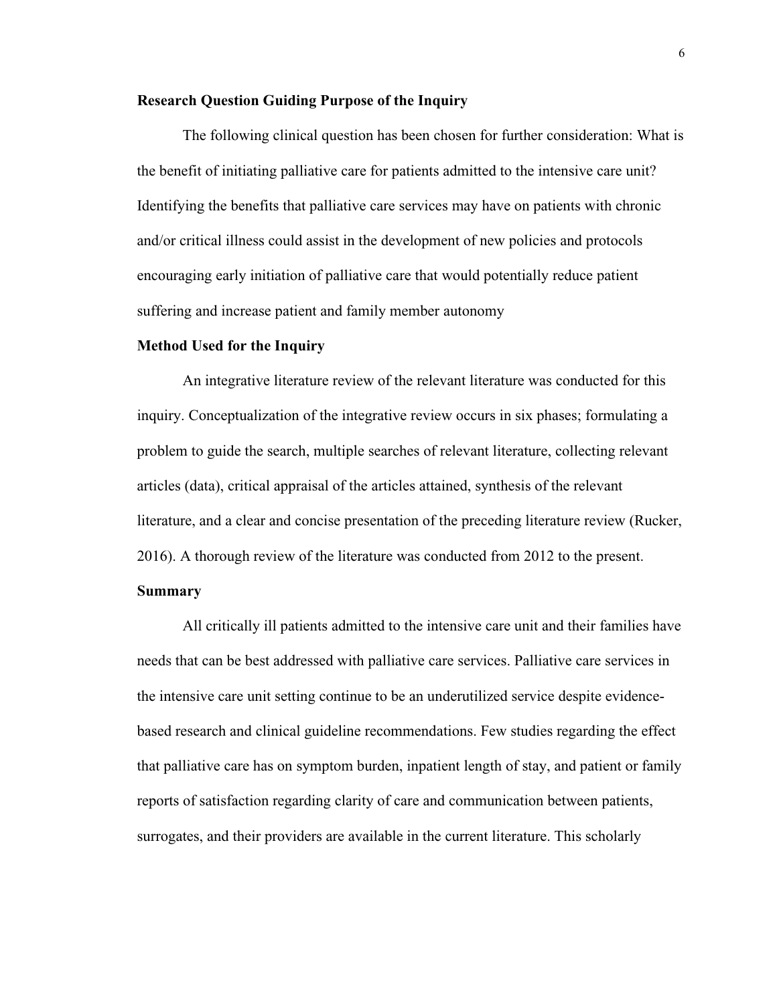#### **Research Question Guiding Purpose of the Inquiry**

The following clinical question has been chosen for further consideration: What is the benefit of initiating palliative care for patients admitted to the intensive care unit? Identifying the benefits that palliative care services may have on patients with chronic and/or critical illness could assist in the development of new policies and protocols encouraging early initiation of palliative care that would potentially reduce patient suffering and increase patient and family member autonomy

#### **Method Used for the Inquiry**

An integrative literature review of the relevant literature was conducted for this inquiry. Conceptualization of the integrative review occurs in six phases; formulating a problem to guide the search, multiple searches of relevant literature, collecting relevant articles (data), critical appraisal of the articles attained, synthesis of the relevant literature, and a clear and concise presentation of the preceding literature review (Rucker, 2016). A thorough review of the literature was conducted from 2012 to the present.

## **Summary**

All critically ill patients admitted to the intensive care unit and their families have needs that can be best addressed with palliative care services. Palliative care services in the intensive care unit setting continue to be an underutilized service despite evidencebased research and clinical guideline recommendations. Few studies regarding the effect that palliative care has on symptom burden, inpatient length of stay, and patient or family reports of satisfaction regarding clarity of care and communication between patients, surrogates, and their providers are available in the current literature. This scholarly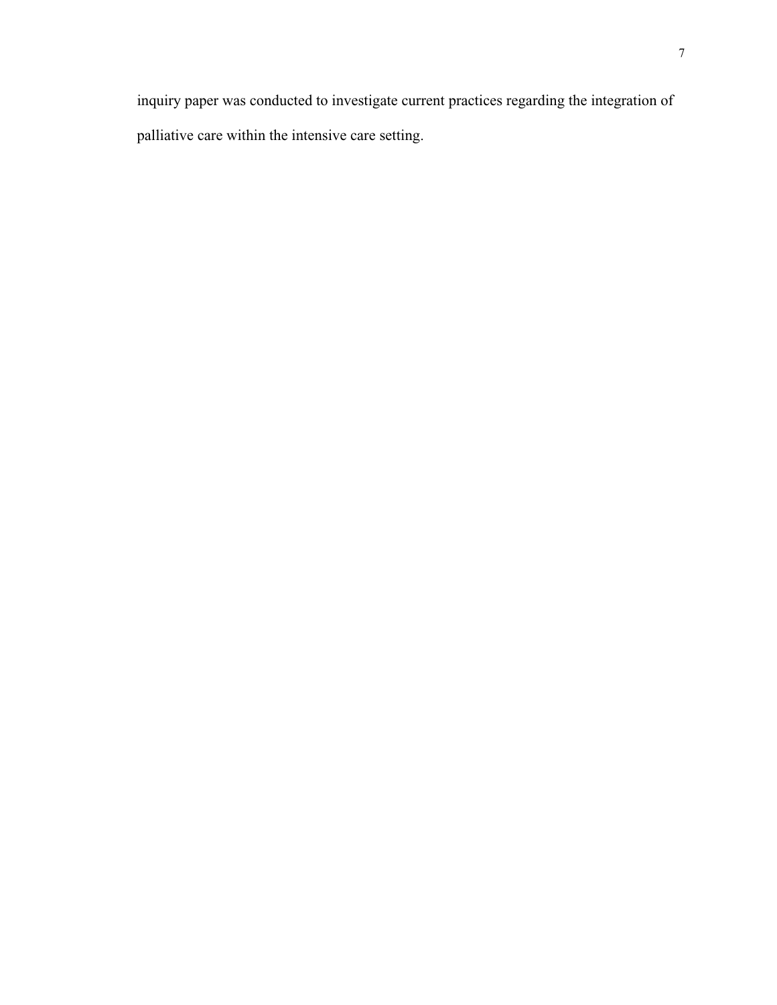inquiry paper was conducted to investigate current practices regarding the integration of palliative care within the intensive care setting.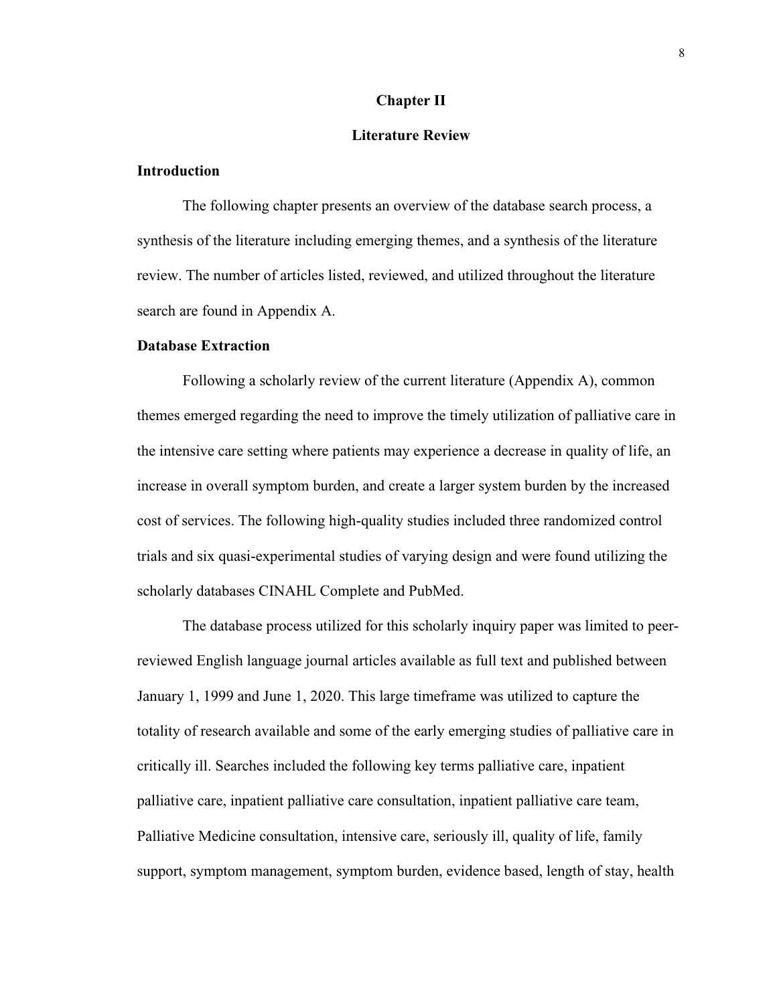#### **Chapter II**

## **Literature Review**

## **Introduction**

The following chapter presents an overview of the database search process, a synthesis of the literature including emerging themes, and a synthesis of the literature review. The number of articles listed, reviewed, and utilized throughout the literature search are found in Appendix A.

#### **Database Extraction**

Following a scholarly review of the current literature (Appendix A), common themes emerged regarding the need to improve the timely utilization of palliative care in the intensive care setting where patients may experience a decrease in quality of life, an increase in overall symptom burden, and create a larger system burden by the increased cost of services. The following high-quality studies included three randomized control trials and six quasi-experimental studies of varying design and were found utilizing the scholarly databases CINAHL Complete and PubMed.

The database process utilized for this scholarly inquiry paper was limited to peerreviewed English language journal articles available as full text and published between January 1, 1999 and June 1, 2020. This large timeframe was utilized to capture the totality of research available and some of the early emerging studies of palliative care in critically ill. Searches included the following key terms palliative care, inpatient palliative care, inpatient palliative care consultation, inpatient palliative care team, Palliative Medicine consultation, intensive care, seriously ill, quality of life, family support, symptom management, symptom burden, evidence based, length of stay, health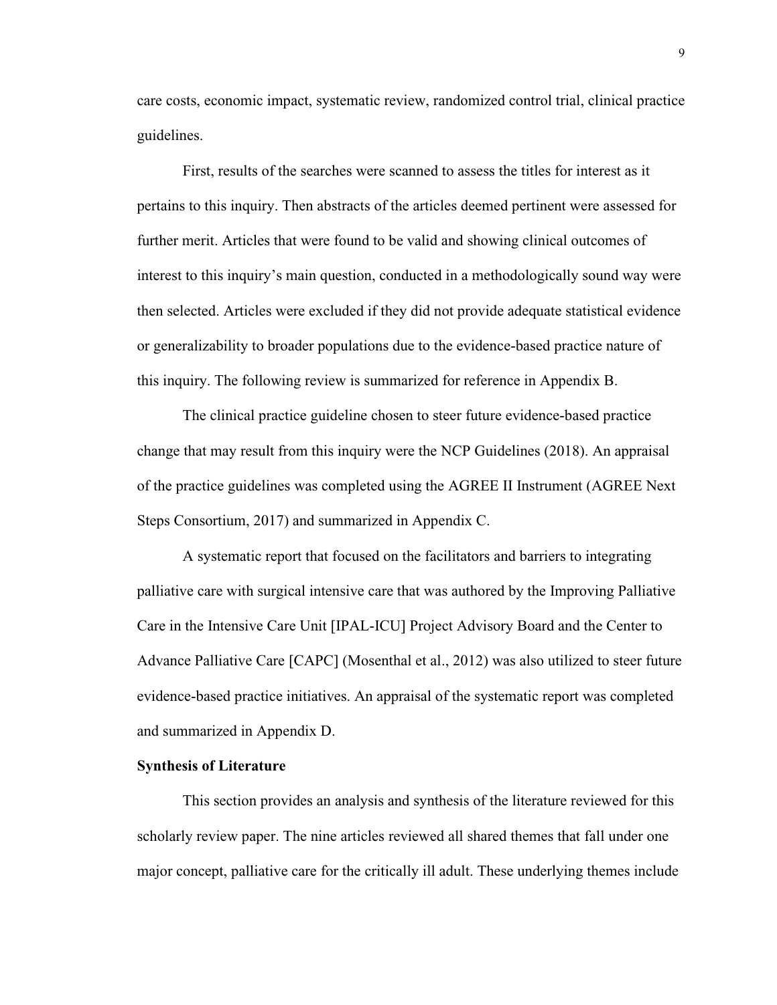care costs, economic impact, systematic review, randomized control trial, clinical practice guidelines.

First, results of the searches were scanned to assess the titles for interest as it pertains to this inquiry. Then abstracts of the articles deemed pertinent were assessed for further merit. Articles that were found to be valid and showing clinical outcomes of interest to this inquiry's main question, conducted in a methodologically sound way were then selected. Articles were excluded if they did not provide adequate statistical evidence or generalizability to broader populations due to the evidence-based practice nature of this inquiry. The following review is summarized for reference in Appendix B.

The clinical practice guideline chosen to steer future evidence-based practice change that may result from this inquiry were the NCP Guidelines (2018). An appraisal of the practice guidelines was completed using the AGREE II Instrument (AGREE Next Steps Consortium, 2017) and summarized in Appendix C.

A systematic report that focused on the facilitators and barriers to integrating palliative care with surgical intensive care that was authored by the Improving Palliative Care in the Intensive Care Unit [IPAL-ICU] Project Advisory Board and the Center to Advance Palliative Care [CAPC] (Mosenthal et al., 2012) was also utilized to steer future evidence-based practice initiatives. An appraisal of the systematic report was completed and summarized in Appendix D.

## **Synthesis of Literature**

This section provides an analysis and synthesis of the literature reviewed for this scholarly review paper. The nine articles reviewed all shared themes that fall under one major concept, palliative care for the critically ill adult. These underlying themes include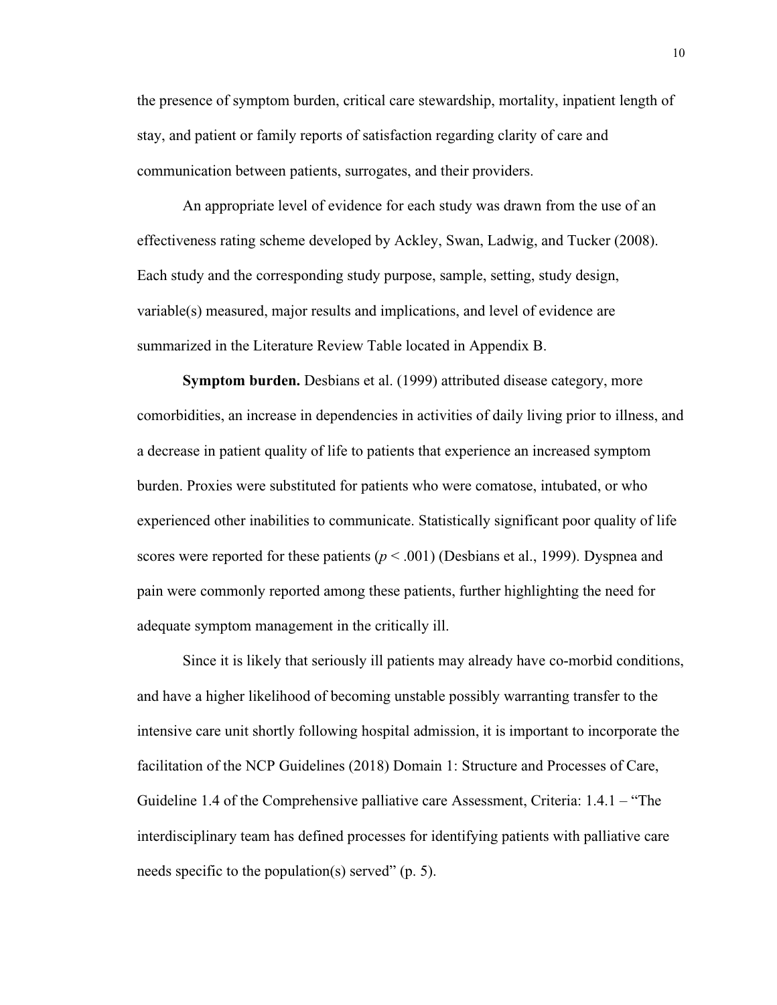the presence of symptom burden, critical care stewardship, mortality, inpatient length of stay, and patient or family reports of satisfaction regarding clarity of care and communication between patients, surrogates, and their providers.

An appropriate level of evidence for each study was drawn from the use of an effectiveness rating scheme developed by Ackley, Swan, Ladwig, and Tucker (2008). Each study and the corresponding study purpose, sample, setting, study design, variable(s) measured, major results and implications, and level of evidence are summarized in the Literature Review Table located in Appendix B.

**Symptom burden.** Desbians et al. (1999) attributed disease category, more comorbidities, an increase in dependencies in activities of daily living prior to illness, and a decrease in patient quality of life to patients that experience an increased symptom burden. Proxies were substituted for patients who were comatose, intubated, or who experienced other inabilities to communicate. Statistically significant poor quality of life scores were reported for these patients  $(p < .001)$  (Desbians et al., 1999). Dyspnea and pain were commonly reported among these patients, further highlighting the need for adequate symptom management in the critically ill.

Since it is likely that seriously ill patients may already have co-morbid conditions, and have a higher likelihood of becoming unstable possibly warranting transfer to the intensive care unit shortly following hospital admission, it is important to incorporate the facilitation of the NCP Guidelines (2018) Domain 1: Structure and Processes of Care, Guideline 1.4 of the Comprehensive palliative care Assessment, Criteria: 1.4.1 – "The interdisciplinary team has defined processes for identifying patients with palliative care needs specific to the population(s) served" (p. 5).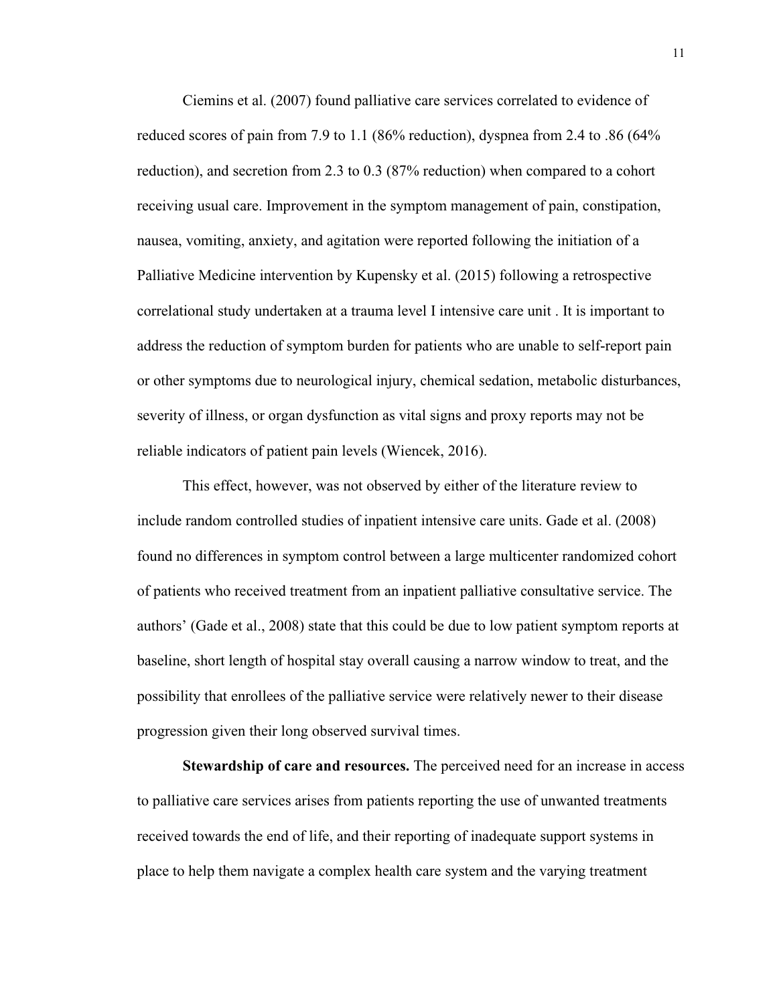Ciemins et al. (2007) found palliative care services correlated to evidence of reduced scores of pain from 7.9 to 1.1 (86% reduction), dyspnea from 2.4 to .86 (64% reduction), and secretion from 2.3 to 0.3 (87% reduction) when compared to a cohort receiving usual care. Improvement in the symptom management of pain, constipation, nausea, vomiting, anxiety, and agitation were reported following the initiation of a Palliative Medicine intervention by Kupensky et al. (2015) following a retrospective correlational study undertaken at a trauma level I intensive care unit . It is important to address the reduction of symptom burden for patients who are unable to self-report pain or other symptoms due to neurological injury, chemical sedation, metabolic disturbances, severity of illness, or organ dysfunction as vital signs and proxy reports may not be reliable indicators of patient pain levels (Wiencek, 2016).

This effect, however, was not observed by either of the literature review to include random controlled studies of inpatient intensive care units. Gade et al. (2008) found no differences in symptom control between a large multicenter randomized cohort of patients who received treatment from an inpatient palliative consultative service. The authors' (Gade et al., 2008) state that this could be due to low patient symptom reports at baseline, short length of hospital stay overall causing a narrow window to treat, and the possibility that enrollees of the palliative service were relatively newer to their disease progression given their long observed survival times.

**Stewardship of care and resources.** The perceived need for an increase in access to palliative care services arises from patients reporting the use of unwanted treatments received towards the end of life, and their reporting of inadequate support systems in place to help them navigate a complex health care system and the varying treatment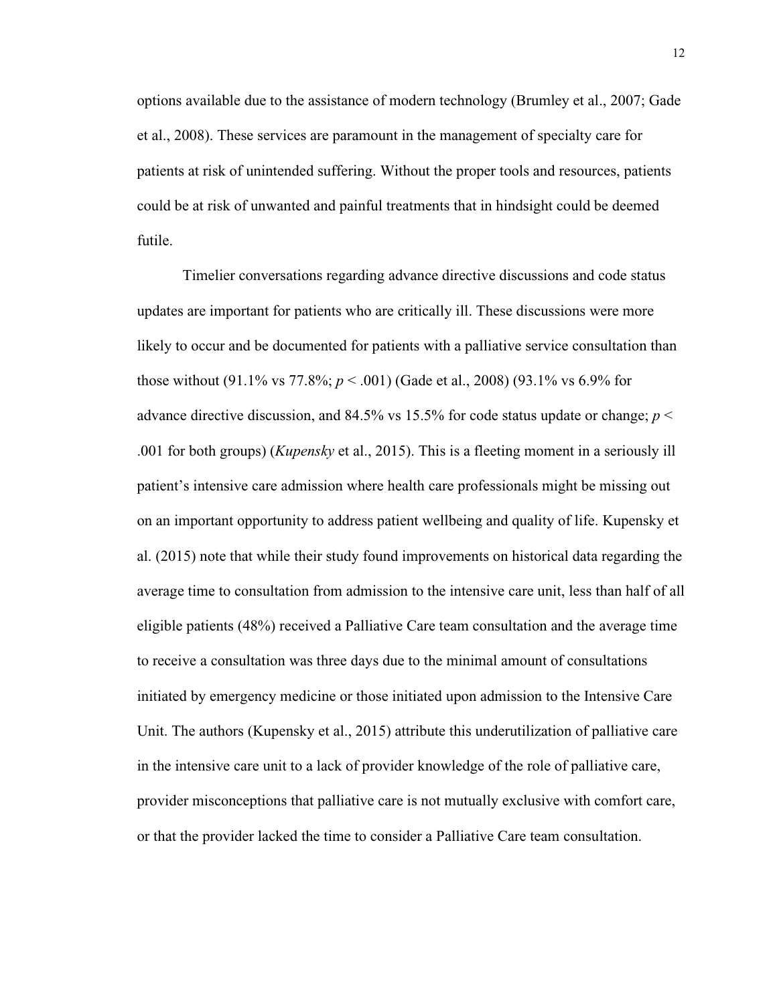options available due to the assistance of modern technology (Brumley et al., 2007; Gade et al., 2008). These services are paramount in the management of specialty care for patients at risk of unintended suffering. Without the proper tools and resources, patients could be at risk of unwanted and painful treatments that in hindsight could be deemed futile.

Timelier conversations regarding advance directive discussions and code status updates are important for patients who are critically ill. These discussions were more likely to occur and be documented for patients with a palliative service consultation than those without (91.1% vs 77.8%; *p* < .001) (Gade et al., 2008) (93.1% vs 6.9% for advance directive discussion, and 84.5% vs 15.5% for code status update or change;  $p <$ .001 for both groups) (*Kupensky* et al., 2015). This is a fleeting moment in a seriously ill patient's intensive care admission where health care professionals might be missing out on an important opportunity to address patient wellbeing and quality of life. Kupensky et al. (2015) note that while their study found improvements on historical data regarding the average time to consultation from admission to the intensive care unit, less than half of all eligible patients (48%) received a Palliative Care team consultation and the average time to receive a consultation was three days due to the minimal amount of consultations initiated by emergency medicine or those initiated upon admission to the Intensive Care Unit. The authors (Kupensky et al., 2015) attribute this underutilization of palliative care in the intensive care unit to a lack of provider knowledge of the role of palliative care, provider misconceptions that palliative care is not mutually exclusive with comfort care, or that the provider lacked the time to consider a Palliative Care team consultation.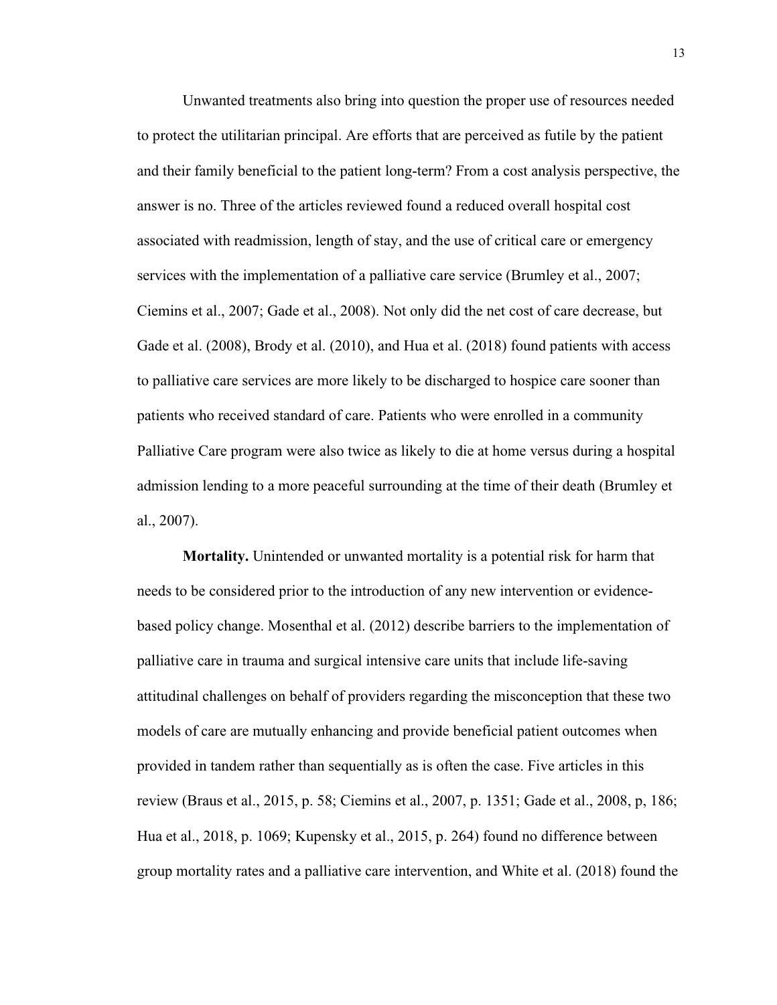Unwanted treatments also bring into question the proper use of resources needed to protect the utilitarian principal. Are efforts that are perceived as futile by the patient and their family beneficial to the patient long-term? From a cost analysis perspective, the answer is no. Three of the articles reviewed found a reduced overall hospital cost associated with readmission, length of stay, and the use of critical care or emergency services with the implementation of a palliative care service (Brumley et al., 2007; Ciemins et al., 2007; Gade et al., 2008). Not only did the net cost of care decrease, but Gade et al. (2008), Brody et al. (2010), and Hua et al. (2018) found patients with access to palliative care services are more likely to be discharged to hospice care sooner than patients who received standard of care. Patients who were enrolled in a community Palliative Care program were also twice as likely to die at home versus during a hospital admission lending to a more peaceful surrounding at the time of their death (Brumley et al., 2007).

**Mortality.** Unintended or unwanted mortality is a potential risk for harm that needs to be considered prior to the introduction of any new intervention or evidencebased policy change. Mosenthal et al. (2012) describe barriers to the implementation of palliative care in trauma and surgical intensive care units that include life-saving attitudinal challenges on behalf of providers regarding the misconception that these two models of care are mutually enhancing and provide beneficial patient outcomes when provided in tandem rather than sequentially as is often the case. Five articles in this review (Braus et al., 2015, p. 58; Ciemins et al., 2007, p. 1351; Gade et al., 2008, p, 186; Hua et al., 2018, p. 1069; Kupensky et al., 2015, p. 264) found no difference between group mortality rates and a palliative care intervention, and White et al. (2018) found the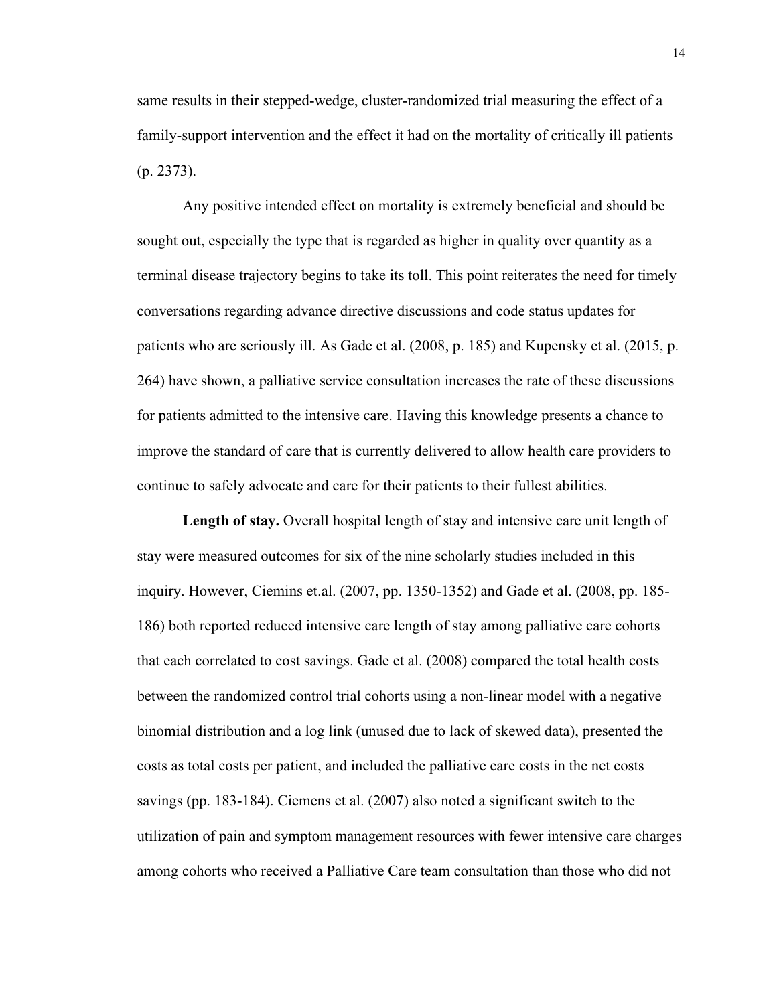same results in their stepped-wedge, cluster-randomized trial measuring the effect of a family-support intervention and the effect it had on the mortality of critically ill patients (p. 2373).

Any positive intended effect on mortality is extremely beneficial and should be sought out, especially the type that is regarded as higher in quality over quantity as a terminal disease trajectory begins to take its toll. This point reiterates the need for timely conversations regarding advance directive discussions and code status updates for patients who are seriously ill. As Gade et al. (2008, p. 185) and Kupensky et al. (2015, p. 264) have shown, a palliative service consultation increases the rate of these discussions for patients admitted to the intensive care. Having this knowledge presents a chance to improve the standard of care that is currently delivered to allow health care providers to continue to safely advocate and care for their patients to their fullest abilities.

**Length of stay.** Overall hospital length of stay and intensive care unit length of stay were measured outcomes for six of the nine scholarly studies included in this inquiry. However, Ciemins et.al. (2007, pp. 1350-1352) and Gade et al. (2008, pp. 185- 186) both reported reduced intensive care length of stay among palliative care cohorts that each correlated to cost savings. Gade et al. (2008) compared the total health costs between the randomized control trial cohorts using a non-linear model with a negative binomial distribution and a log link (unused due to lack of skewed data), presented the costs as total costs per patient, and included the palliative care costs in the net costs savings (pp. 183-184). Ciemens et al. (2007) also noted a significant switch to the utilization of pain and symptom management resources with fewer intensive care charges among cohorts who received a Palliative Care team consultation than those who did not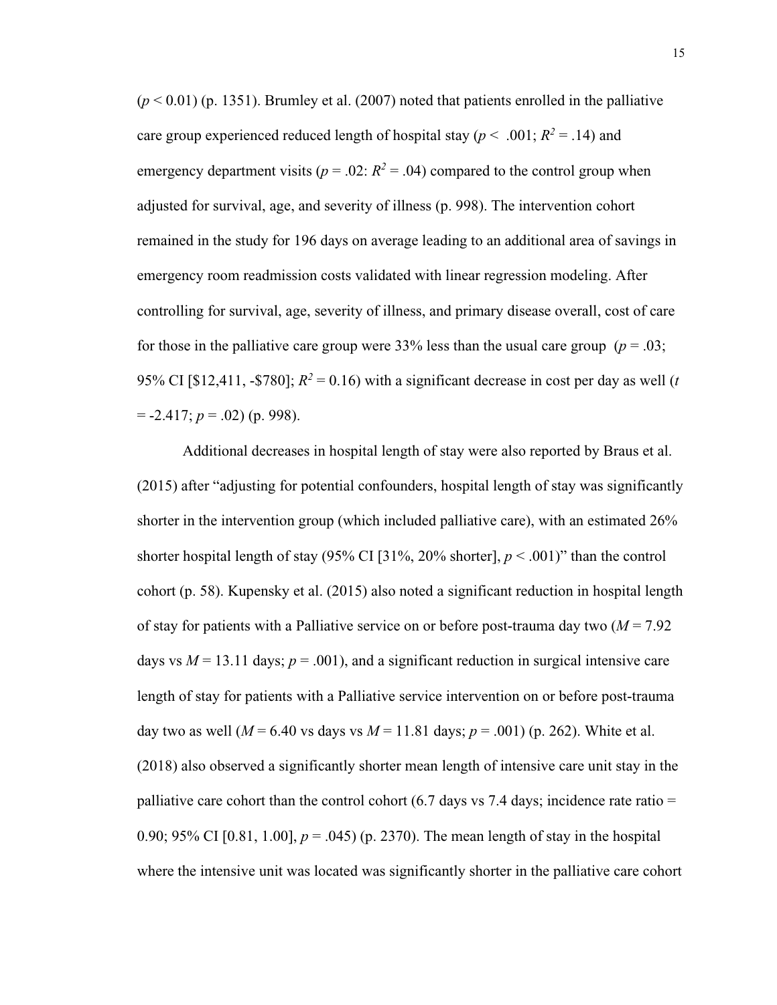$(p < 0.01)$  (p. 1351). Brumley et al. (2007) noted that patients enrolled in the palliative care group experienced reduced length of hospital stay ( $p < .001$ ;  $R^2 = .14$ ) and emergency department visits ( $p = .02$ :  $R^2 = .04$ ) compared to the control group when adjusted for survival, age, and severity of illness (p. 998). The intervention cohort remained in the study for 196 days on average leading to an additional area of savings in emergency room readmission costs validated with linear regression modeling. After controlling for survival, age, severity of illness, and primary disease overall, cost of care for those in the palliative care group were  $33\%$  less than the usual care group ( $p = .03$ ; 95% CI [\$12,411, -\$780];  $R^2 = 0.16$ ) with a significant decrease in cost per day as well (*t*  $= -2.417$ ;  $p = .02$ ) (p. 998).

Additional decreases in hospital length of stay were also reported by Braus et al. (2015) after "adjusting for potential confounders, hospital length of stay was significantly shorter in the intervention group (which included palliative care), with an estimated 26% shorter hospital length of stay  $(95\% \text{ CI } 31\%, 20\% \text{ shorter}], p < .001$ )" than the control cohort (p. 58). Kupensky et al. (2015) also noted a significant reduction in hospital length of stay for patients with a Palliative service on or before post-trauma day two (*M* = 7.92 days vs  $M = 13.11$  days;  $p = .001$ ), and a significant reduction in surgical intensive care length of stay for patients with a Palliative service intervention on or before post-trauma day two as well ( $M = 6.40$  vs days vs  $M = 11.81$  days;  $p = .001$ ) (p. 262). White et al. (2018) also observed a significantly shorter mean length of intensive care unit stay in the palliative care cohort than the control cohort  $(6.7 \text{ days vs } 7.4 \text{ days})$ ; incidence rate ratio = 0.90; 95% CI [0.81, 1.00],  $p = .045$  (p. 2370). The mean length of stay in the hospital where the intensive unit was located was significantly shorter in the palliative care cohort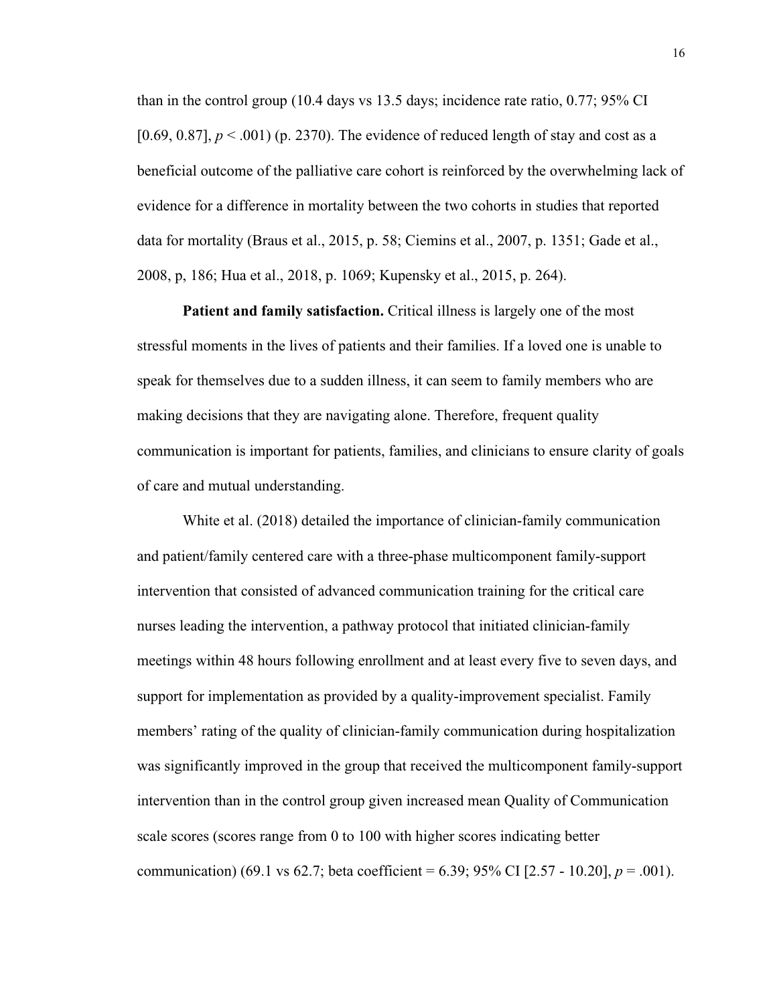than in the control group (10.4 days vs 13.5 days; incidence rate ratio, 0.77; 95% CI [0.69, 0.87],  $p < .001$  (p. 2370). The evidence of reduced length of stay and cost as a beneficial outcome of the palliative care cohort is reinforced by the overwhelming lack of evidence for a difference in mortality between the two cohorts in studies that reported data for mortality (Braus et al., 2015, p. 58; Ciemins et al., 2007, p. 1351; Gade et al., 2008, p, 186; Hua et al., 2018, p. 1069; Kupensky et al., 2015, p. 264).

**Patient and family satisfaction.** Critical illness is largely one of the most stressful moments in the lives of patients and their families. If a loved one is unable to speak for themselves due to a sudden illness, it can seem to family members who are making decisions that they are navigating alone. Therefore, frequent quality communication is important for patients, families, and clinicians to ensure clarity of goals of care and mutual understanding.

White et al. (2018) detailed the importance of clinician-family communication and patient/family centered care with a three-phase multicomponent family-support intervention that consisted of advanced communication training for the critical care nurses leading the intervention, a pathway protocol that initiated clinician-family meetings within 48 hours following enrollment and at least every five to seven days, and support for implementation as provided by a quality-improvement specialist. Family members' rating of the quality of clinician-family communication during hospitalization was significantly improved in the group that received the multicomponent family-support intervention than in the control group given increased mean Quality of Communication scale scores (scores range from 0 to 100 with higher scores indicating better communication) (69.1 vs 62.7; beta coefficient = 6.39; 95% CI [2.57 - 10.20],  $p = .001$ ).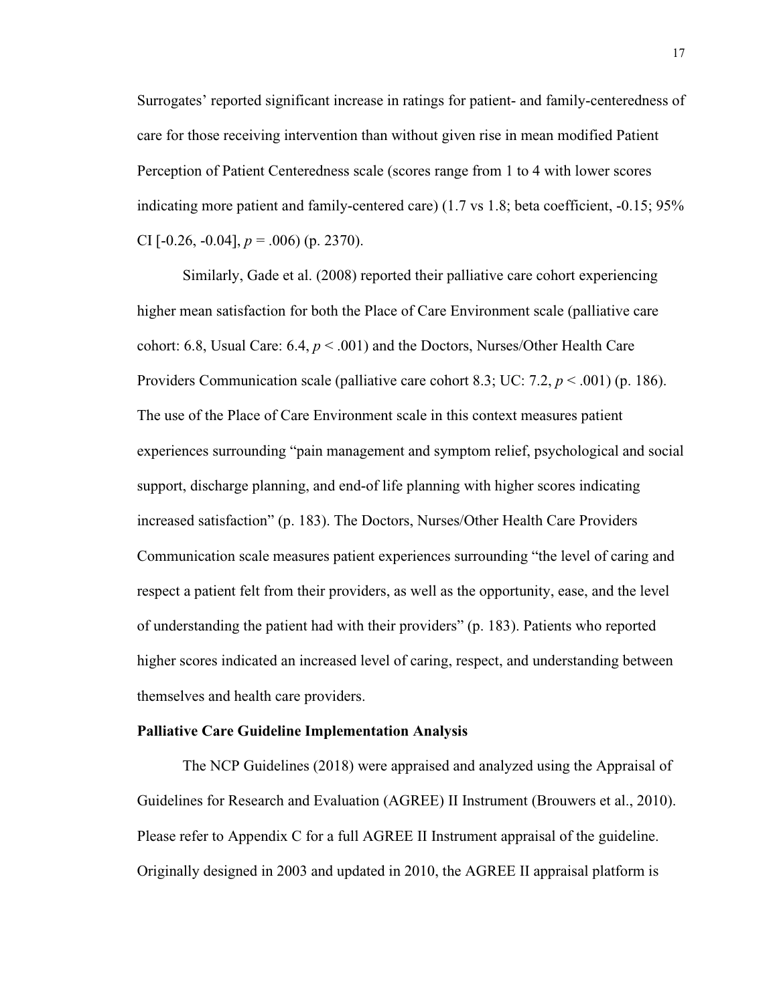Surrogates' reported significant increase in ratings for patient- and family-centeredness of care for those receiving intervention than without given rise in mean modified Patient Perception of Patient Centeredness scale (scores range from 1 to 4 with lower scores indicating more patient and family-centered care) (1.7 vs 1.8; beta coefficient, -0.15; 95% CI  $[-0.26, -0.04]$ ,  $p = .006$  (p. 2370).

Similarly, Gade et al. (2008) reported their palliative care cohort experiencing higher mean satisfaction for both the Place of Care Environment scale (palliative care cohort: 6.8, Usual Care: 6.4, *p* < .001) and the Doctors, Nurses/Other Health Care Providers Communication scale (palliative care cohort 8.3; UC: 7.2, *p* < .001) (p. 186). The use of the Place of Care Environment scale in this context measures patient experiences surrounding "pain management and symptom relief, psychological and social support, discharge planning, and end-of life planning with higher scores indicating increased satisfaction" (p. 183). The Doctors, Nurses/Other Health Care Providers Communication scale measures patient experiences surrounding "the level of caring and respect a patient felt from their providers, as well as the opportunity, ease, and the level of understanding the patient had with their providers" (p. 183). Patients who reported higher scores indicated an increased level of caring, respect, and understanding between themselves and health care providers.

#### **Palliative Care Guideline Implementation Analysis**

The NCP Guidelines (2018) were appraised and analyzed using the Appraisal of Guidelines for Research and Evaluation (AGREE) II Instrument (Brouwers et al., 2010). Please refer to Appendix C for a full AGREE II Instrument appraisal of the guideline. Originally designed in 2003 and updated in 2010, the AGREE II appraisal platform is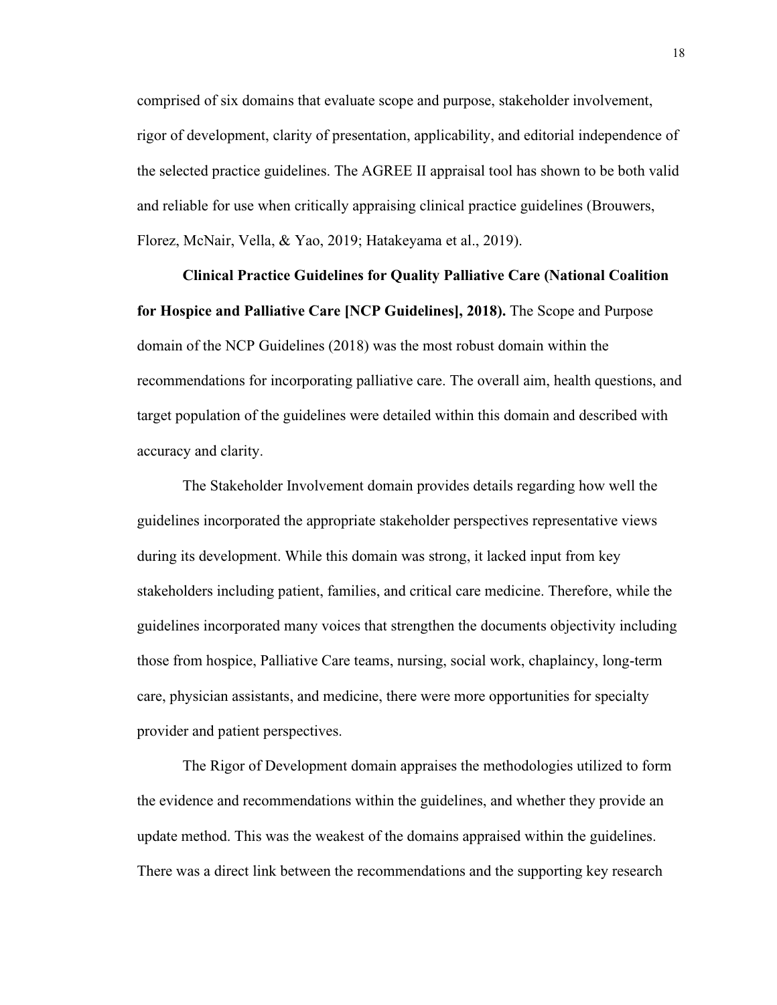comprised of six domains that evaluate scope and purpose, stakeholder involvement, rigor of development, clarity of presentation, applicability, and editorial independence of the selected practice guidelines. The AGREE II appraisal tool has shown to be both valid and reliable for use when critically appraising clinical practice guidelines (Brouwers, Florez, McNair, Vella, & Yao, 2019; Hatakeyama et al., 2019).

**Clinical Practice Guidelines for Quality Palliative Care (National Coalition for Hospice and Palliative Care [NCP Guidelines], 2018).** The Scope and Purpose domain of the NCP Guidelines (2018) was the most robust domain within the recommendations for incorporating palliative care. The overall aim, health questions, and target population of the guidelines were detailed within this domain and described with accuracy and clarity.

The Stakeholder Involvement domain provides details regarding how well the guidelines incorporated the appropriate stakeholder perspectives representative views during its development. While this domain was strong, it lacked input from key stakeholders including patient, families, and critical care medicine. Therefore, while the guidelines incorporated many voices that strengthen the documents objectivity including those from hospice, Palliative Care teams, nursing, social work, chaplaincy, long-term care, physician assistants, and medicine, there were more opportunities for specialty provider and patient perspectives.

The Rigor of Development domain appraises the methodologies utilized to form the evidence and recommendations within the guidelines, and whether they provide an update method. This was the weakest of the domains appraised within the guidelines. There was a direct link between the recommendations and the supporting key research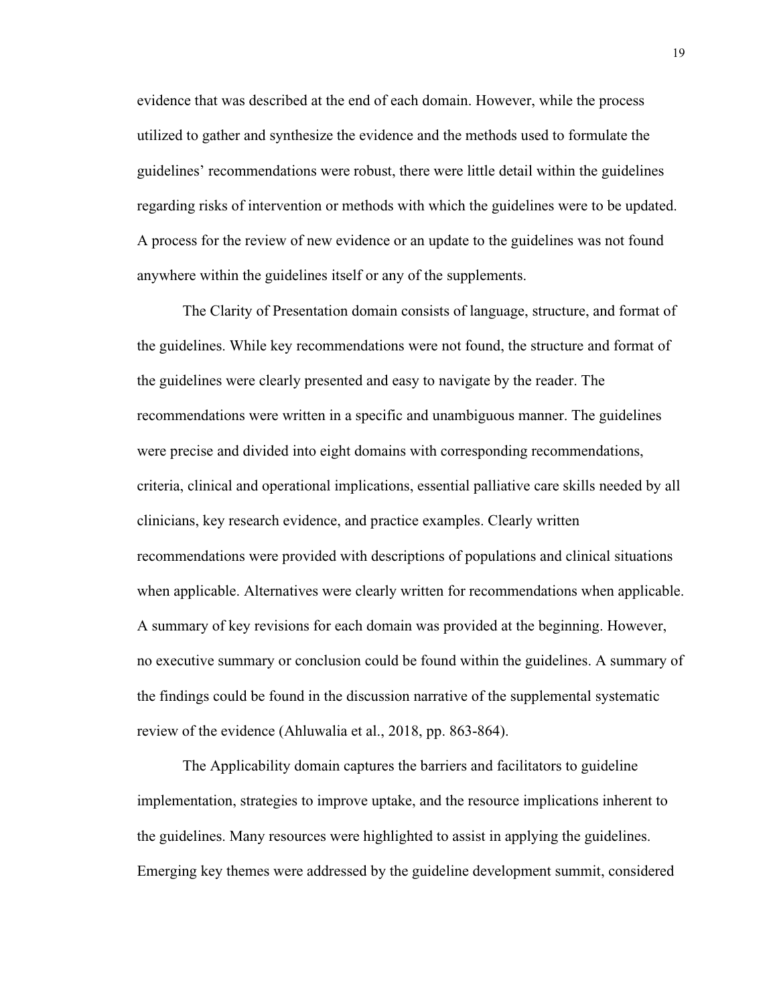evidence that was described at the end of each domain. However, while the process utilized to gather and synthesize the evidence and the methods used to formulate the guidelines' recommendations were robust, there were little detail within the guidelines regarding risks of intervention or methods with which the guidelines were to be updated. A process for the review of new evidence or an update to the guidelines was not found anywhere within the guidelines itself or any of the supplements.

The Clarity of Presentation domain consists of language, structure, and format of the guidelines. While key recommendations were not found, the structure and format of the guidelines were clearly presented and easy to navigate by the reader. The recommendations were written in a specific and unambiguous manner. The guidelines were precise and divided into eight domains with corresponding recommendations, criteria, clinical and operational implications, essential palliative care skills needed by all clinicians, key research evidence, and practice examples. Clearly written recommendations were provided with descriptions of populations and clinical situations when applicable. Alternatives were clearly written for recommendations when applicable. A summary of key revisions for each domain was provided at the beginning. However, no executive summary or conclusion could be found within the guidelines. A summary of the findings could be found in the discussion narrative of the supplemental systematic review of the evidence (Ahluwalia et al., 2018, pp. 863-864).

The Applicability domain captures the barriers and facilitators to guideline implementation, strategies to improve uptake, and the resource implications inherent to the guidelines. Many resources were highlighted to assist in applying the guidelines. Emerging key themes were addressed by the guideline development summit, considered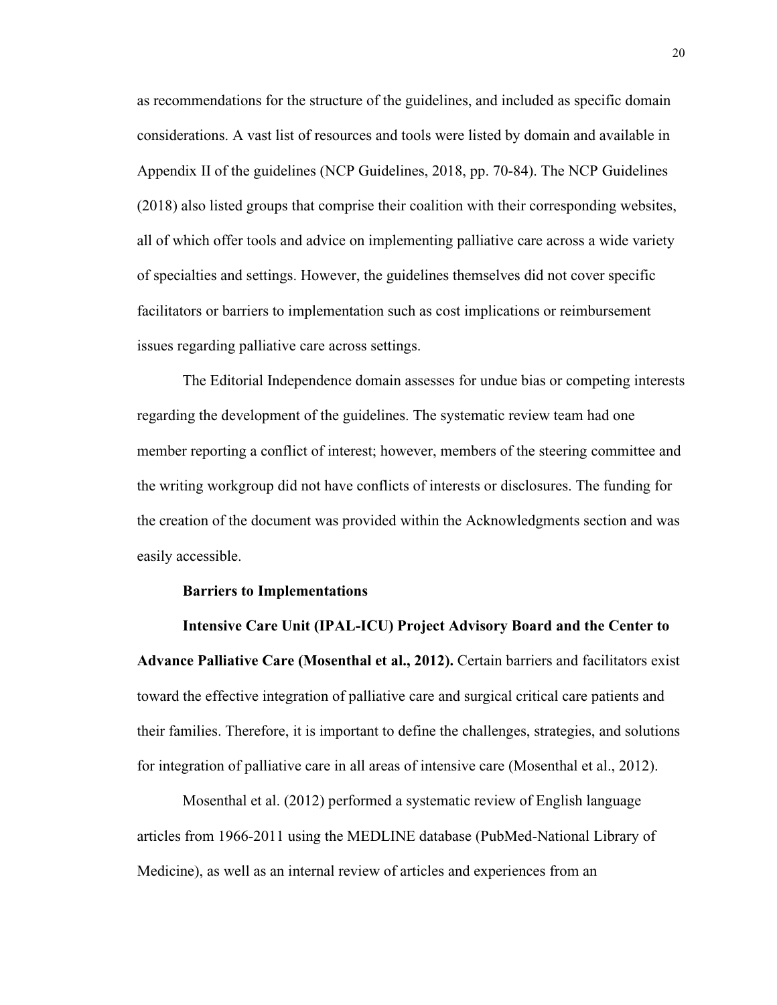as recommendations for the structure of the guidelines, and included as specific domain considerations. A vast list of resources and tools were listed by domain and available in Appendix II of the guidelines (NCP Guidelines, 2018, pp. 70-84). The NCP Guidelines (2018) also listed groups that comprise their coalition with their corresponding websites, all of which offer tools and advice on implementing palliative care across a wide variety of specialties and settings. However, the guidelines themselves did not cover specific facilitators or barriers to implementation such as cost implications or reimbursement issues regarding palliative care across settings.

The Editorial Independence domain assesses for undue bias or competing interests regarding the development of the guidelines. The systematic review team had one member reporting a conflict of interest; however, members of the steering committee and the writing workgroup did not have conflicts of interests or disclosures. The funding for the creation of the document was provided within the Acknowledgments section and was easily accessible.

#### **Barriers to Implementations**

**Intensive Care Unit (IPAL-ICU) Project Advisory Board and the Center to Advance Palliative Care (Mosenthal et al., 2012).** Certain barriers and facilitators exist toward the effective integration of palliative care and surgical critical care patients and their families. Therefore, it is important to define the challenges, strategies, and solutions for integration of palliative care in all areas of intensive care (Mosenthal et al., 2012).

Mosenthal et al. (2012) performed a systematic review of English language articles from 1966-2011 using the MEDLINE database (PubMed-National Library of Medicine), as well as an internal review of articles and experiences from an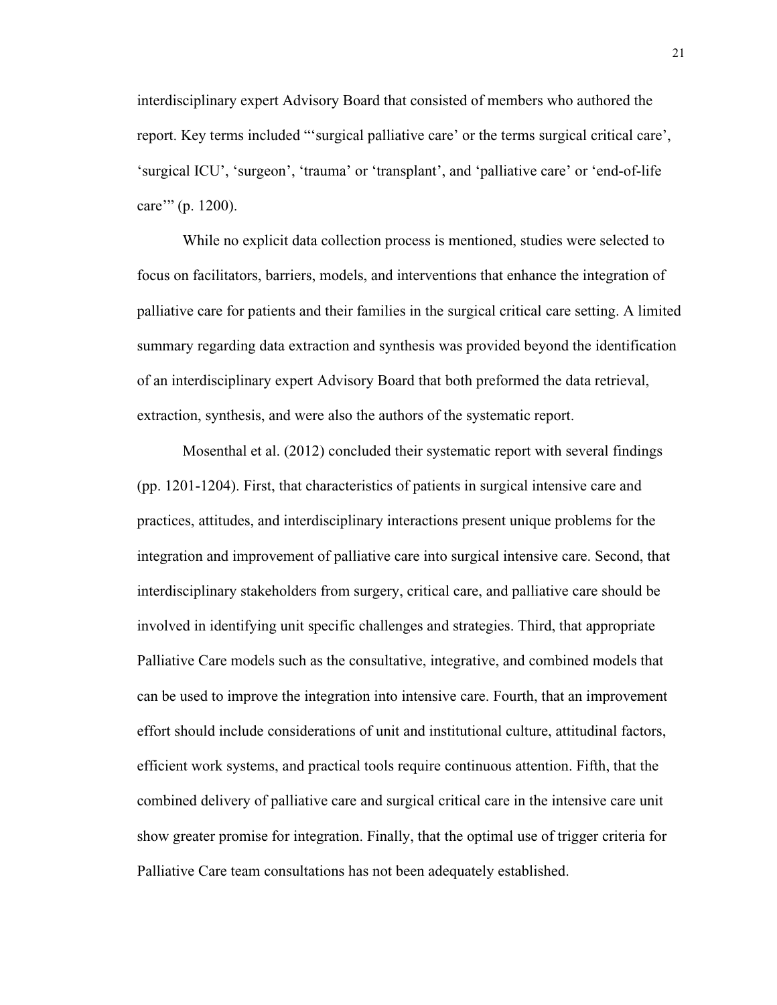interdisciplinary expert Advisory Board that consisted of members who authored the report. Key terms included "'surgical palliative care' or the terms surgical critical care', 'surgical ICU', 'surgeon', 'trauma' or 'transplant', and 'palliative care' or 'end-of-life care'" (p. 1200).

While no explicit data collection process is mentioned, studies were selected to focus on facilitators, barriers, models, and interventions that enhance the integration of palliative care for patients and their families in the surgical critical care setting. A limited summary regarding data extraction and synthesis was provided beyond the identification of an interdisciplinary expert Advisory Board that both preformed the data retrieval, extraction, synthesis, and were also the authors of the systematic report.

Mosenthal et al. (2012) concluded their systematic report with several findings (pp. 1201-1204). First, that characteristics of patients in surgical intensive care and practices, attitudes, and interdisciplinary interactions present unique problems for the integration and improvement of palliative care into surgical intensive care. Second, that interdisciplinary stakeholders from surgery, critical care, and palliative care should be involved in identifying unit specific challenges and strategies. Third, that appropriate Palliative Care models such as the consultative, integrative, and combined models that can be used to improve the integration into intensive care. Fourth, that an improvement effort should include considerations of unit and institutional culture, attitudinal factors, efficient work systems, and practical tools require continuous attention. Fifth, that the combined delivery of palliative care and surgical critical care in the intensive care unit show greater promise for integration. Finally, that the optimal use of trigger criteria for Palliative Care team consultations has not been adequately established.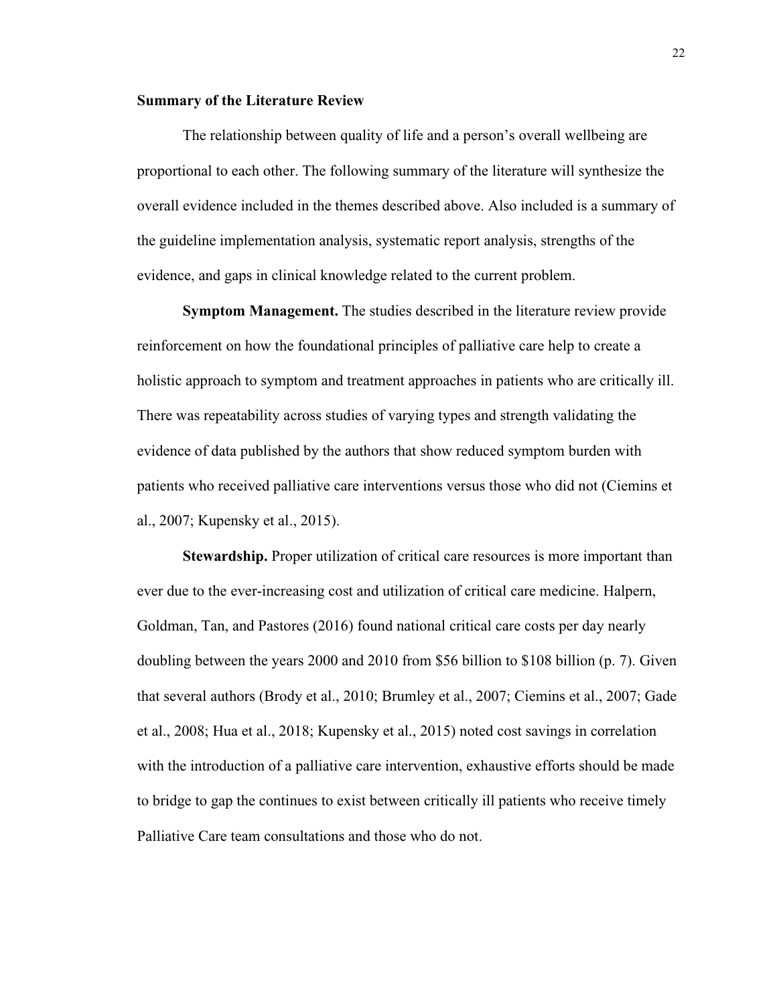#### **Summary of the Literature Review**

The relationship between quality of life and a person's overall wellbeing are proportional to each other. The following summary of the literature will synthesize the overall evidence included in the themes described above. Also included is a summary of the guideline implementation analysis, systematic report analysis, strengths of the evidence, and gaps in clinical knowledge related to the current problem.

**Symptom Management.** The studies described in the literature review provide reinforcement on how the foundational principles of palliative care help to create a holistic approach to symptom and treatment approaches in patients who are critically ill. There was repeatability across studies of varying types and strength validating the evidence of data published by the authors that show reduced symptom burden with patients who received palliative care interventions versus those who did not (Ciemins et al., 2007; Kupensky et al., 2015).

**Stewardship.** Proper utilization of critical care resources is more important than ever due to the ever-increasing cost and utilization of critical care medicine. Halpern, Goldman, Tan, and Pastores (2016) found national critical care costs per day nearly doubling between the years 2000 and 2010 from \$56 billion to \$108 billion (p. 7). Given that several authors (Brody et al., 2010; Brumley et al., 2007; Ciemins et al., 2007; Gade et al., 2008; Hua et al., 2018; Kupensky et al., 2015) noted cost savings in correlation with the introduction of a palliative care intervention, exhaustive efforts should be made to bridge to gap the continues to exist between critically ill patients who receive timely Palliative Care team consultations and those who do not.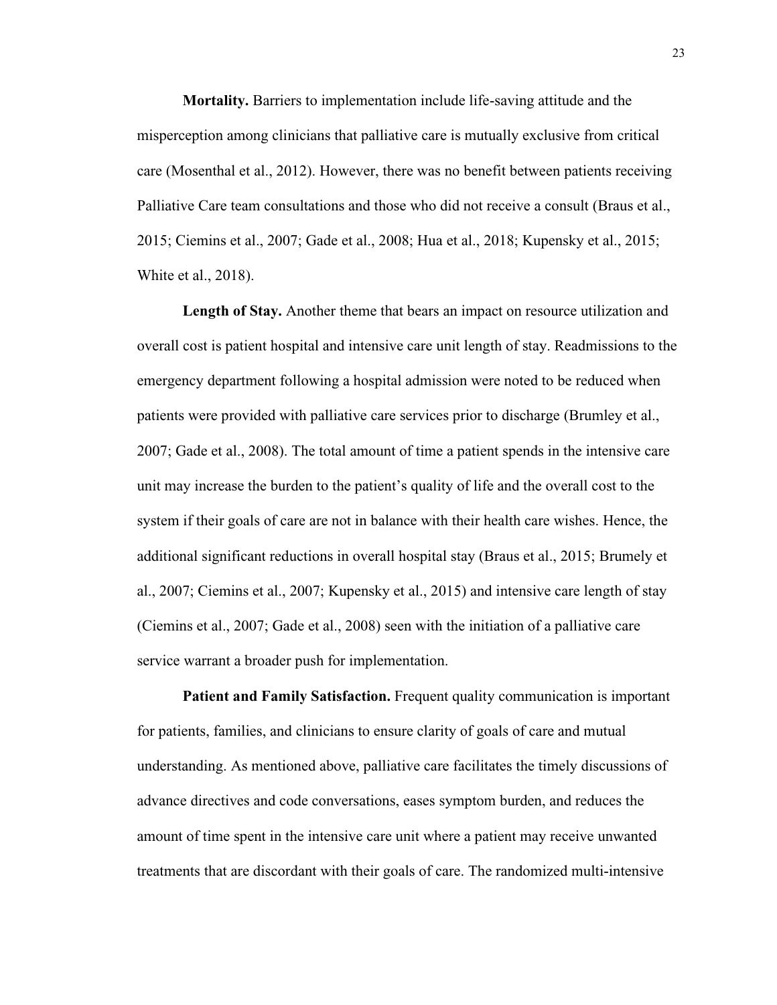**Mortality.** Barriers to implementation include life-saving attitude and the misperception among clinicians that palliative care is mutually exclusive from critical care (Mosenthal et al., 2012). However, there was no benefit between patients receiving Palliative Care team consultations and those who did not receive a consult (Braus et al., 2015; Ciemins et al., 2007; Gade et al., 2008; Hua et al., 2018; Kupensky et al., 2015; White et al., 2018).

**Length of Stay.** Another theme that bears an impact on resource utilization and overall cost is patient hospital and intensive care unit length of stay. Readmissions to the emergency department following a hospital admission were noted to be reduced when patients were provided with palliative care services prior to discharge (Brumley et al., 2007; Gade et al., 2008). The total amount of time a patient spends in the intensive care unit may increase the burden to the patient's quality of life and the overall cost to the system if their goals of care are not in balance with their health care wishes. Hence, the additional significant reductions in overall hospital stay (Braus et al., 2015; Brumely et al., 2007; Ciemins et al., 2007; Kupensky et al., 2015) and intensive care length of stay (Ciemins et al., 2007; Gade et al., 2008) seen with the initiation of a palliative care service warrant a broader push for implementation.

**Patient and Family Satisfaction.** Frequent quality communication is important for patients, families, and clinicians to ensure clarity of goals of care and mutual understanding. As mentioned above, palliative care facilitates the timely discussions of advance directives and code conversations, eases symptom burden, and reduces the amount of time spent in the intensive care unit where a patient may receive unwanted treatments that are discordant with their goals of care. The randomized multi-intensive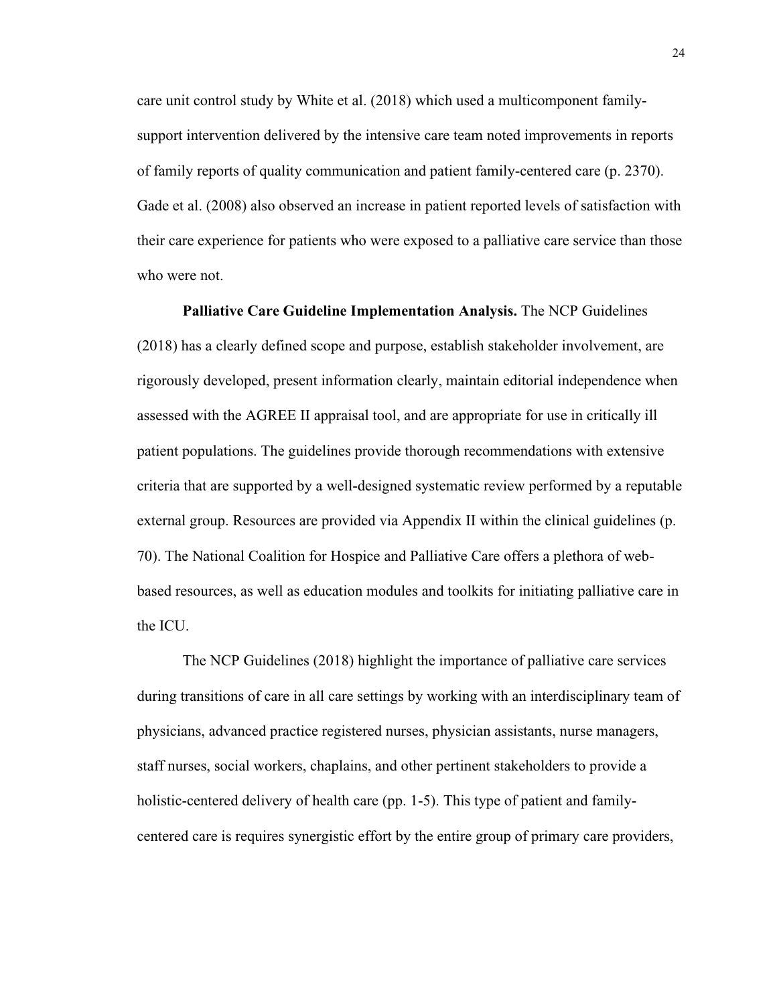care unit control study by White et al. (2018) which used a multicomponent familysupport intervention delivered by the intensive care team noted improvements in reports of family reports of quality communication and patient family-centered care (p. 2370). Gade et al. (2008) also observed an increase in patient reported levels of satisfaction with their care experience for patients who were exposed to a palliative care service than those who were not.

**Palliative Care Guideline Implementation Analysis.** The NCP Guidelines (2018) has a clearly defined scope and purpose, establish stakeholder involvement, are rigorously developed, present information clearly, maintain editorial independence when assessed with the AGREE II appraisal tool, and are appropriate for use in critically ill patient populations. The guidelines provide thorough recommendations with extensive criteria that are supported by a well-designed systematic review performed by a reputable external group. Resources are provided via Appendix II within the clinical guidelines (p. 70). The National Coalition for Hospice and Palliative Care offers a plethora of webbased resources, as well as education modules and toolkits for initiating palliative care in the ICU.

The NCP Guidelines (2018) highlight the importance of palliative care services during transitions of care in all care settings by working with an interdisciplinary team of physicians, advanced practice registered nurses, physician assistants, nurse managers, staff nurses, social workers, chaplains, and other pertinent stakeholders to provide a holistic-centered delivery of health care (pp. 1-5). This type of patient and familycentered care is requires synergistic effort by the entire group of primary care providers,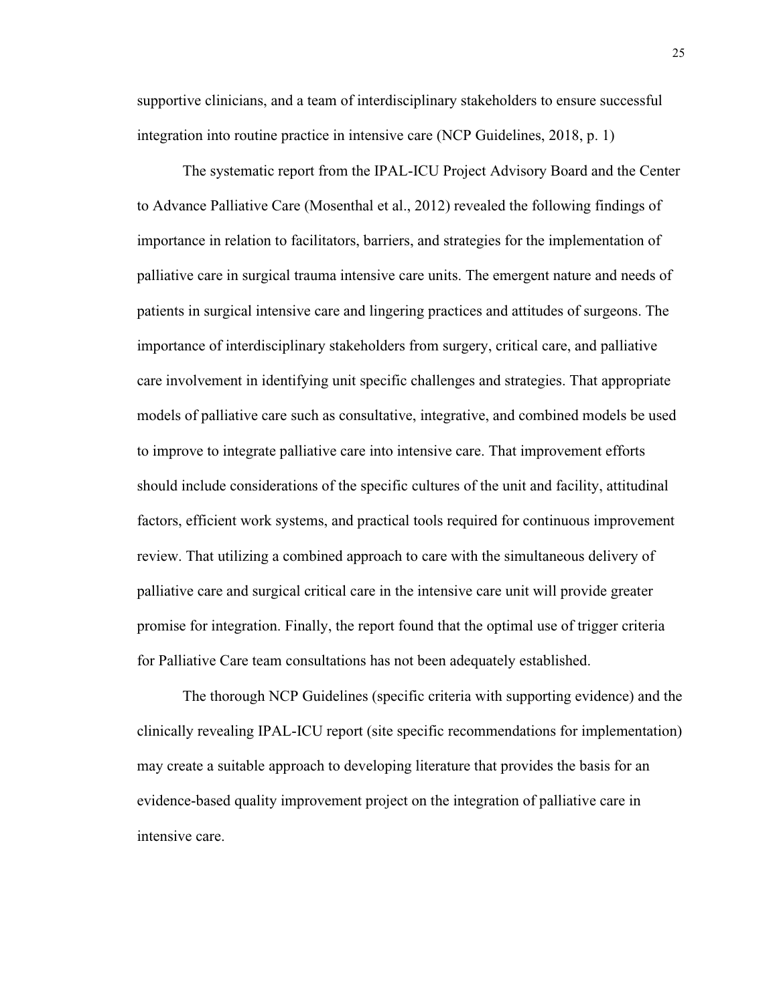supportive clinicians, and a team of interdisciplinary stakeholders to ensure successful integration into routine practice in intensive care (NCP Guidelines, 2018, p. 1)

The systematic report from the IPAL-ICU Project Advisory Board and the Center to Advance Palliative Care (Mosenthal et al., 2012) revealed the following findings of importance in relation to facilitators, barriers, and strategies for the implementation of palliative care in surgical trauma intensive care units. The emergent nature and needs of patients in surgical intensive care and lingering practices and attitudes of surgeons. The importance of interdisciplinary stakeholders from surgery, critical care, and palliative care involvement in identifying unit specific challenges and strategies. That appropriate models of palliative care such as consultative, integrative, and combined models be used to improve to integrate palliative care into intensive care. That improvement efforts should include considerations of the specific cultures of the unit and facility, attitudinal factors, efficient work systems, and practical tools required for continuous improvement review. That utilizing a combined approach to care with the simultaneous delivery of palliative care and surgical critical care in the intensive care unit will provide greater promise for integration. Finally, the report found that the optimal use of trigger criteria for Palliative Care team consultations has not been adequately established.

The thorough NCP Guidelines (specific criteria with supporting evidence) and the clinically revealing IPAL-ICU report (site specific recommendations for implementation) may create a suitable approach to developing literature that provides the basis for an evidence-based quality improvement project on the integration of palliative care in intensive care.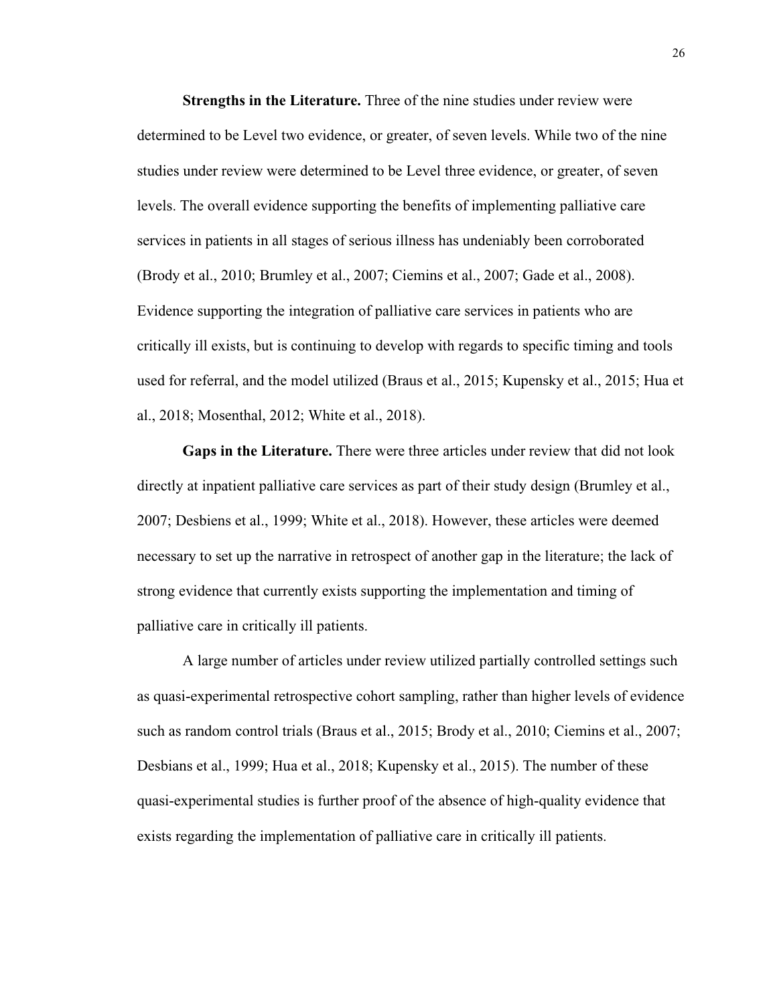**Strengths in the Literature.** Three of the nine studies under review were determined to be Level two evidence, or greater, of seven levels. While two of the nine studies under review were determined to be Level three evidence, or greater, of seven levels. The overall evidence supporting the benefits of implementing palliative care services in patients in all stages of serious illness has undeniably been corroborated (Brody et al., 2010; Brumley et al., 2007; Ciemins et al., 2007; Gade et al., 2008). Evidence supporting the integration of palliative care services in patients who are critically ill exists, but is continuing to develop with regards to specific timing and tools used for referral, and the model utilized (Braus et al., 2015; Kupensky et al., 2015; Hua et al., 2018; Mosenthal, 2012; White et al., 2018).

**Gaps in the Literature.** There were three articles under review that did not look directly at inpatient palliative care services as part of their study design (Brumley et al., 2007; Desbiens et al., 1999; White et al., 2018). However, these articles were deemed necessary to set up the narrative in retrospect of another gap in the literature; the lack of strong evidence that currently exists supporting the implementation and timing of palliative care in critically ill patients.

A large number of articles under review utilized partially controlled settings such as quasi-experimental retrospective cohort sampling, rather than higher levels of evidence such as random control trials (Braus et al., 2015; Brody et al., 2010; Ciemins et al., 2007; Desbians et al., 1999; Hua et al., 2018; Kupensky et al., 2015). The number of these quasi-experimental studies is further proof of the absence of high-quality evidence that exists regarding the implementation of palliative care in critically ill patients.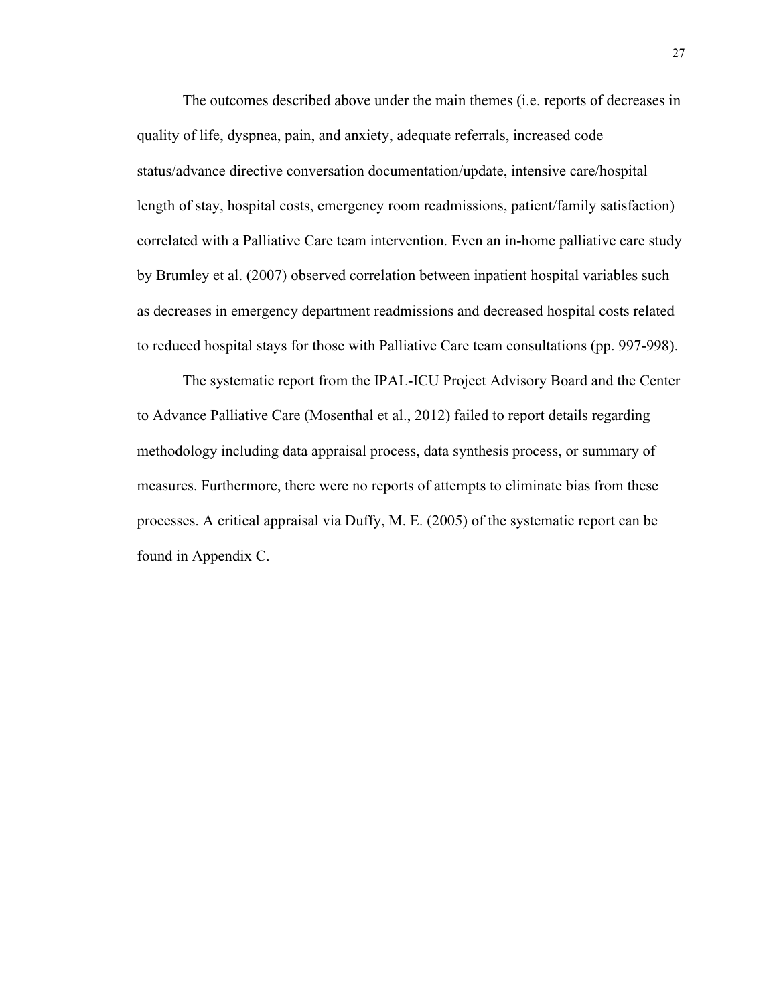The outcomes described above under the main themes (i.e. reports of decreases in quality of life, dyspnea, pain, and anxiety, adequate referrals, increased code status/advance directive conversation documentation/update, intensive care/hospital length of stay, hospital costs, emergency room readmissions, patient/family satisfaction) correlated with a Palliative Care team intervention. Even an in-home palliative care study by Brumley et al. (2007) observed correlation between inpatient hospital variables such as decreases in emergency department readmissions and decreased hospital costs related to reduced hospital stays for those with Palliative Care team consultations (pp. 997-998).

The systematic report from the IPAL-ICU Project Advisory Board and the Center to Advance Palliative Care (Mosenthal et al., 2012) failed to report details regarding methodology including data appraisal process, data synthesis process, or summary of measures. Furthermore, there were no reports of attempts to eliminate bias from these processes. A critical appraisal via Duffy, M. E. (2005) of the systematic report can be found in Appendix C.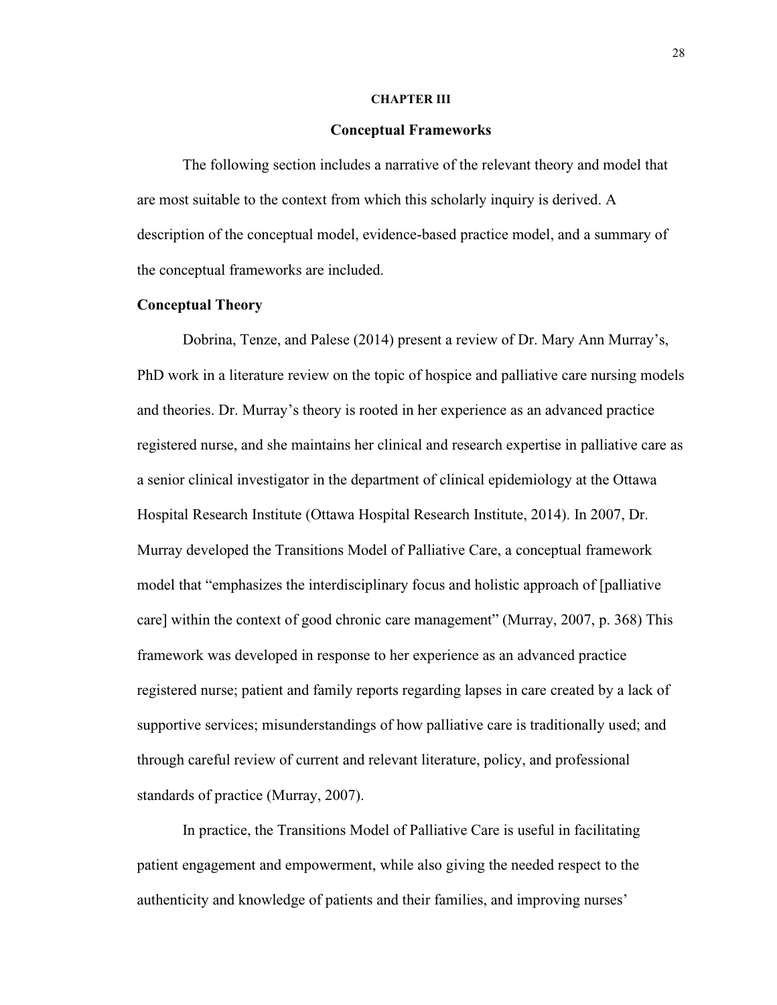#### **CHAPTER III**

#### **Conceptual Frameworks**

The following section includes a narrative of the relevant theory and model that are most suitable to the context from which this scholarly inquiry is derived. A description of the conceptual model, evidence-based practice model, and a summary of the conceptual frameworks are included.

#### **Conceptual Theory**

Dobrina, Tenze, and Palese (2014) present a review of Dr. Mary Ann Murray's, PhD work in a literature review on the topic of hospice and palliative care nursing models and theories. Dr. Murray's theory is rooted in her experience as an advanced practice registered nurse, and she maintains her clinical and research expertise in palliative care as a senior clinical investigator in the department of clinical epidemiology at the Ottawa Hospital Research Institute (Ottawa Hospital Research Institute, 2014). In 2007, Dr. Murray developed the Transitions Model of Palliative Care, a conceptual framework model that "emphasizes the interdisciplinary focus and holistic approach of [palliative care] within the context of good chronic care management" (Murray, 2007, p. 368) This framework was developed in response to her experience as an advanced practice registered nurse; patient and family reports regarding lapses in care created by a lack of supportive services; misunderstandings of how palliative care is traditionally used; and through careful review of current and relevant literature, policy, and professional standards of practice (Murray, 2007).

In practice, the Transitions Model of Palliative Care is useful in facilitating patient engagement and empowerment, while also giving the needed respect to the authenticity and knowledge of patients and their families, and improving nurses'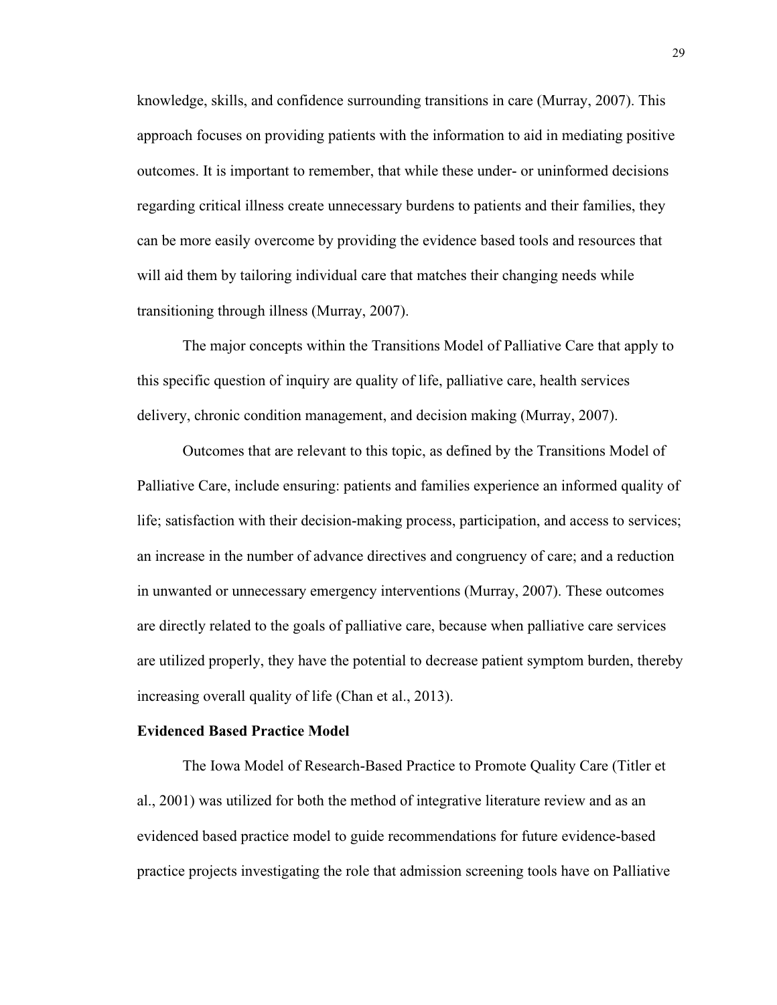knowledge, skills, and confidence surrounding transitions in care (Murray, 2007). This approach focuses on providing patients with the information to aid in mediating positive outcomes. It is important to remember, that while these under- or uninformed decisions regarding critical illness create unnecessary burdens to patients and their families, they can be more easily overcome by providing the evidence based tools and resources that will aid them by tailoring individual care that matches their changing needs while transitioning through illness (Murray, 2007).

The major concepts within the Transitions Model of Palliative Care that apply to this specific question of inquiry are quality of life, palliative care, health services delivery, chronic condition management, and decision making (Murray, 2007).

Outcomes that are relevant to this topic, as defined by the Transitions Model of Palliative Care, include ensuring: patients and families experience an informed quality of life; satisfaction with their decision-making process, participation, and access to services; an increase in the number of advance directives and congruency of care; and a reduction in unwanted or unnecessary emergency interventions (Murray, 2007). These outcomes are directly related to the goals of palliative care, because when palliative care services are utilized properly, they have the potential to decrease patient symptom burden, thereby increasing overall quality of life (Chan et al., 2013).

#### **Evidenced Based Practice Model**

The Iowa Model of Research-Based Practice to Promote Quality Care (Titler et al., 2001) was utilized for both the method of integrative literature review and as an evidenced based practice model to guide recommendations for future evidence-based practice projects investigating the role that admission screening tools have on Palliative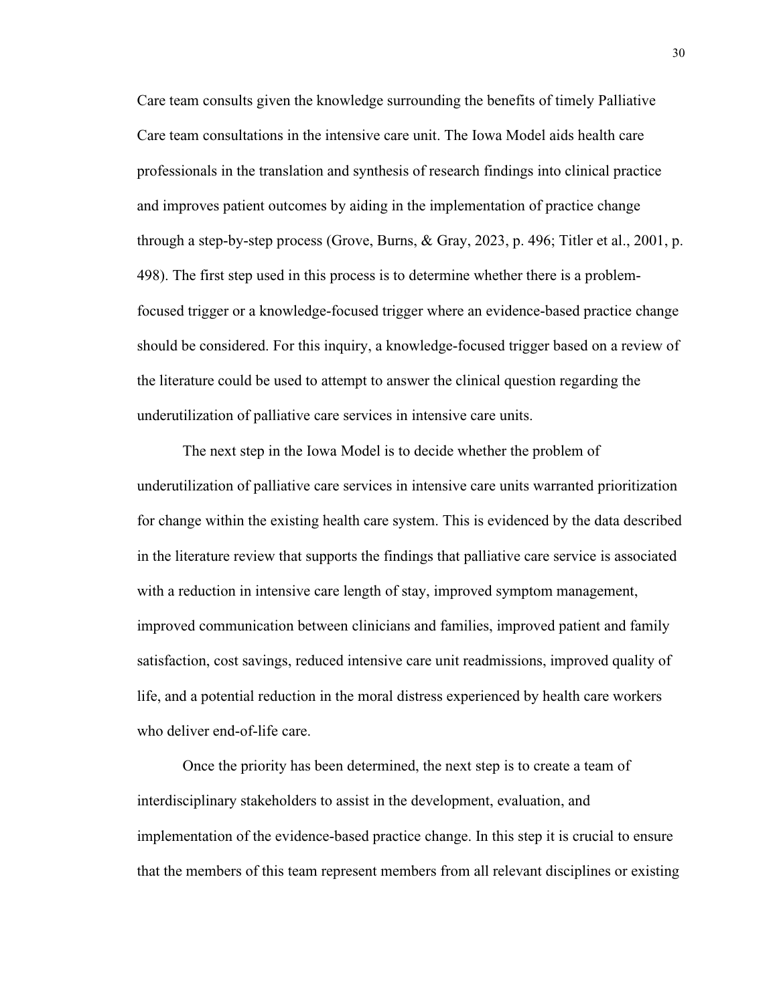Care team consults given the knowledge surrounding the benefits of timely Palliative Care team consultations in the intensive care unit. The Iowa Model aids health care professionals in the translation and synthesis of research findings into clinical practice and improves patient outcomes by aiding in the implementation of practice change through a step-by-step process (Grove, Burns, & Gray, 2023, p. 496; Titler et al., 2001, p. 498). The first step used in this process is to determine whether there is a problemfocused trigger or a knowledge-focused trigger where an evidence-based practice change should be considered. For this inquiry, a knowledge-focused trigger based on a review of the literature could be used to attempt to answer the clinical question regarding the underutilization of palliative care services in intensive care units.

The next step in the Iowa Model is to decide whether the problem of underutilization of palliative care services in intensive care units warranted prioritization for change within the existing health care system. This is evidenced by the data described in the literature review that supports the findings that palliative care service is associated with a reduction in intensive care length of stay, improved symptom management, improved communication between clinicians and families, improved patient and family satisfaction, cost savings, reduced intensive care unit readmissions, improved quality of life, and a potential reduction in the moral distress experienced by health care workers who deliver end-of-life care.

Once the priority has been determined, the next step is to create a team of interdisciplinary stakeholders to assist in the development, evaluation, and implementation of the evidence-based practice change. In this step it is crucial to ensure that the members of this team represent members from all relevant disciplines or existing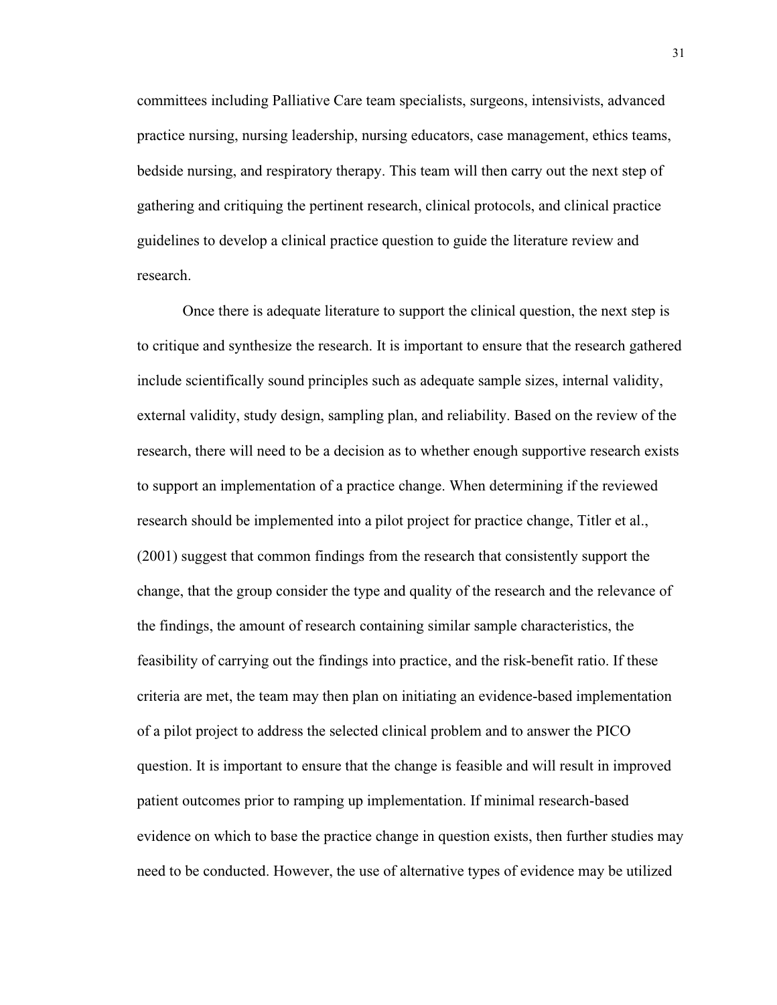committees including Palliative Care team specialists, surgeons, intensivists, advanced practice nursing, nursing leadership, nursing educators, case management, ethics teams, bedside nursing, and respiratory therapy. This team will then carry out the next step of gathering and critiquing the pertinent research, clinical protocols, and clinical practice guidelines to develop a clinical practice question to guide the literature review and research.

Once there is adequate literature to support the clinical question, the next step is to critique and synthesize the research. It is important to ensure that the research gathered include scientifically sound principles such as adequate sample sizes, internal validity, external validity, study design, sampling plan, and reliability. Based on the review of the research, there will need to be a decision as to whether enough supportive research exists to support an implementation of a practice change. When determining if the reviewed research should be implemented into a pilot project for practice change, Titler et al., (2001) suggest that common findings from the research that consistently support the change, that the group consider the type and quality of the research and the relevance of the findings, the amount of research containing similar sample characteristics, the feasibility of carrying out the findings into practice, and the risk-benefit ratio. If these criteria are met, the team may then plan on initiating an evidence-based implementation of a pilot project to address the selected clinical problem and to answer the PICO question. It is important to ensure that the change is feasible and will result in improved patient outcomes prior to ramping up implementation. If minimal research-based evidence on which to base the practice change in question exists, then further studies may need to be conducted. However, the use of alternative types of evidence may be utilized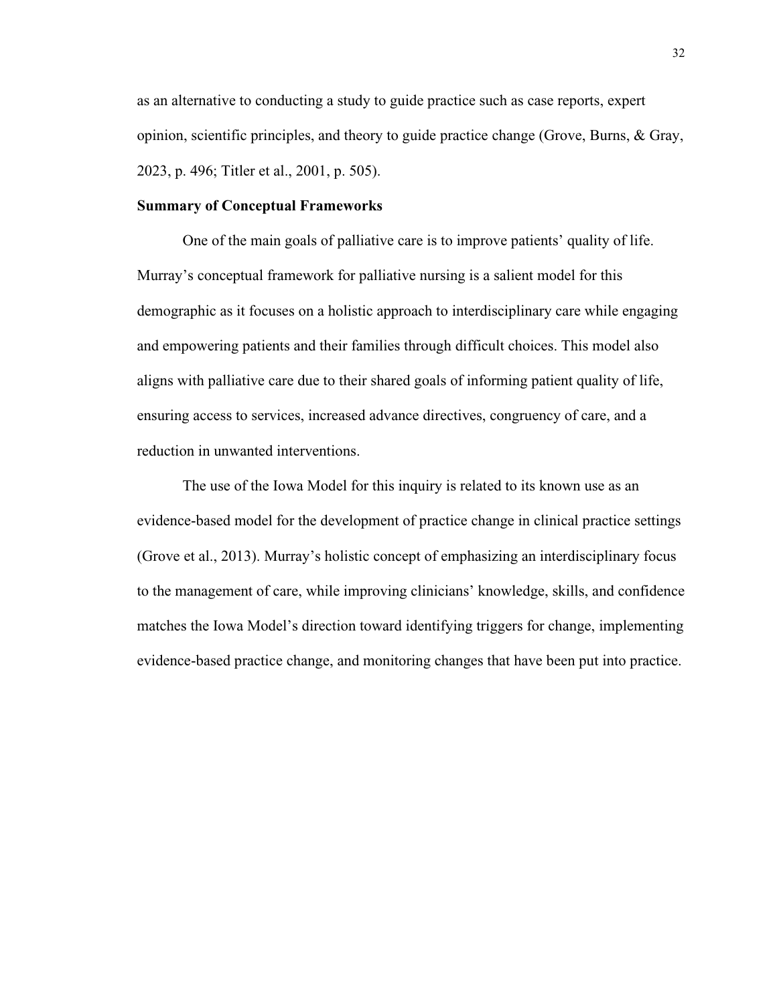as an alternative to conducting a study to guide practice such as case reports, expert opinion, scientific principles, and theory to guide practice change (Grove, Burns, & Gray, 2023, p. 496; Titler et al., 2001, p. 505).

# **Summary of Conceptual Frameworks**

One of the main goals of palliative care is to improve patients' quality of life. Murray's conceptual framework for palliative nursing is a salient model for this demographic as it focuses on a holistic approach to interdisciplinary care while engaging and empowering patients and their families through difficult choices. This model also aligns with palliative care due to their shared goals of informing patient quality of life, ensuring access to services, increased advance directives, congruency of care, and a reduction in unwanted interventions.

The use of the Iowa Model for this inquiry is related to its known use as an evidence-based model for the development of practice change in clinical practice settings (Grove et al., 2013). Murray's holistic concept of emphasizing an interdisciplinary focus to the management of care, while improving clinicians' knowledge, skills, and confidence matches the Iowa Model's direction toward identifying triggers for change, implementing evidence-based practice change, and monitoring changes that have been put into practice.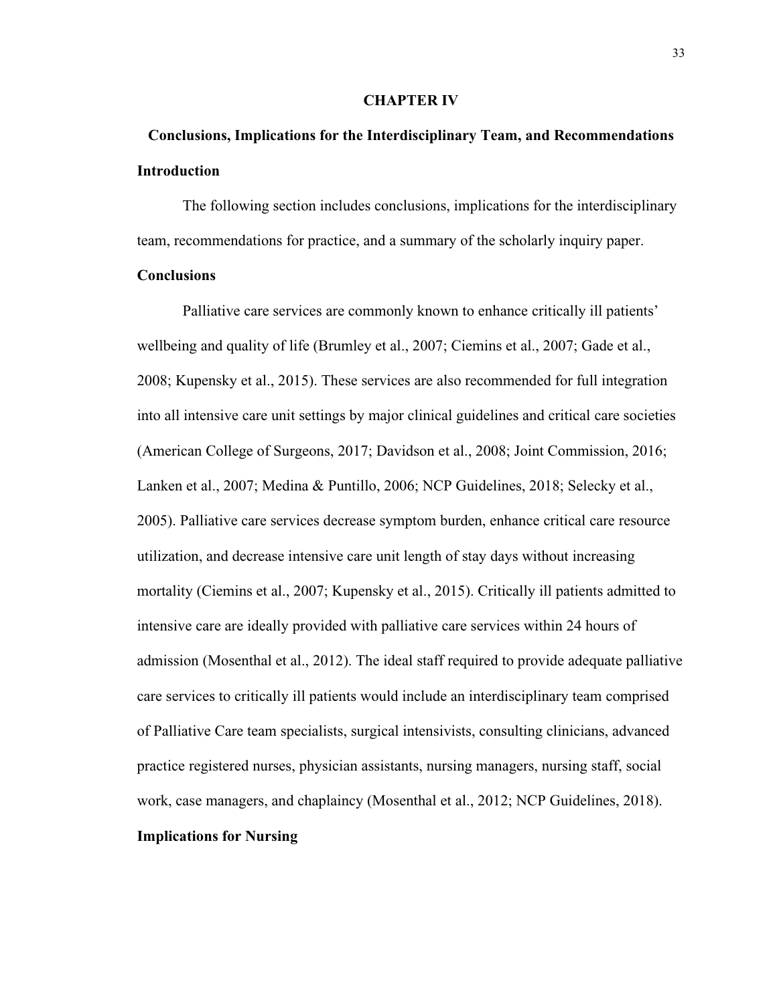#### **CHAPTER IV**

# **Conclusions, Implications for the Interdisciplinary Team, and Recommendations Introduction**

The following section includes conclusions, implications for the interdisciplinary team, recommendations for practice, and a summary of the scholarly inquiry paper.

## **Conclusions**

Palliative care services are commonly known to enhance critically ill patients' wellbeing and quality of life (Brumley et al., 2007; Ciemins et al., 2007; Gade et al., 2008; Kupensky et al., 2015). These services are also recommended for full integration into all intensive care unit settings by major clinical guidelines and critical care societies (American College of Surgeons, 2017; Davidson et al., 2008; Joint Commission, 2016; Lanken et al., 2007; Medina & Puntillo, 2006; NCP Guidelines, 2018; Selecky et al., 2005). Palliative care services decrease symptom burden, enhance critical care resource utilization, and decrease intensive care unit length of stay days without increasing mortality (Ciemins et al., 2007; Kupensky et al., 2015). Critically ill patients admitted to intensive care are ideally provided with palliative care services within 24 hours of admission (Mosenthal et al., 2012). The ideal staff required to provide adequate palliative care services to critically ill patients would include an interdisciplinary team comprised of Palliative Care team specialists, surgical intensivists, consulting clinicians, advanced practice registered nurses, physician assistants, nursing managers, nursing staff, social work, case managers, and chaplaincy (Mosenthal et al., 2012; NCP Guidelines, 2018). **Implications for Nursing**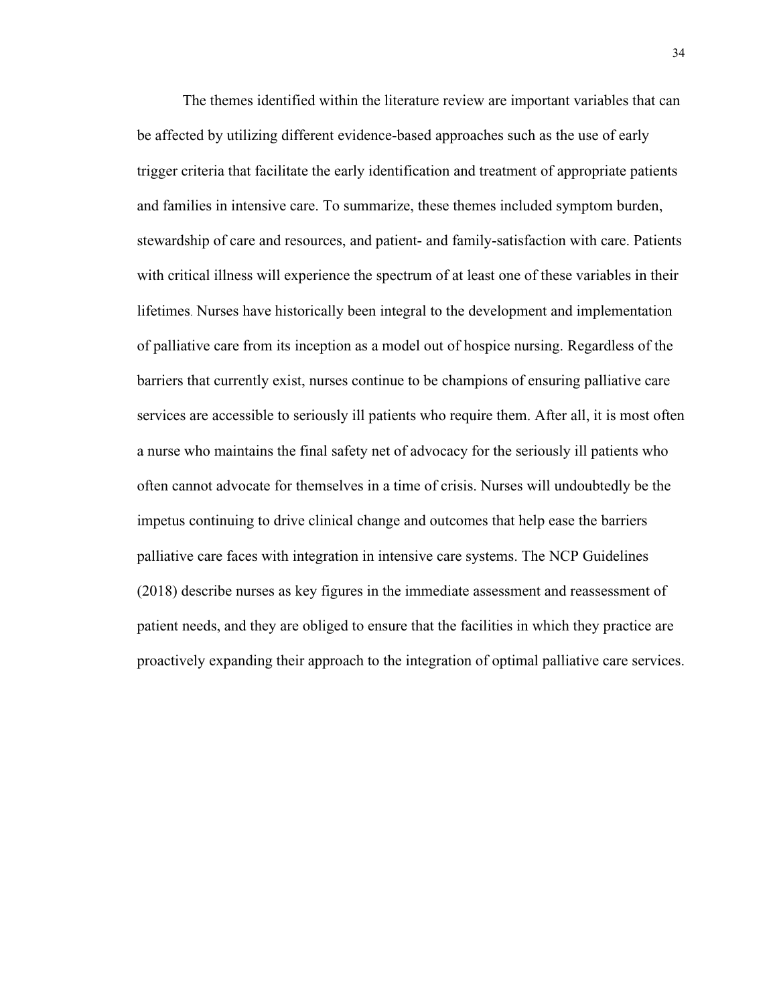The themes identified within the literature review are important variables that can be affected by utilizing different evidence-based approaches such as the use of early trigger criteria that facilitate the early identification and treatment of appropriate patients and families in intensive care. To summarize, these themes included symptom burden, stewardship of care and resources, and patient- and family-satisfaction with care. Patients with critical illness will experience the spectrum of at least one of these variables in their lifetimes. Nurses have historically been integral to the development and implementation of palliative care from its inception as a model out of hospice nursing. Regardless of the barriers that currently exist, nurses continue to be champions of ensuring palliative care services are accessible to seriously ill patients who require them. After all, it is most often a nurse who maintains the final safety net of advocacy for the seriously ill patients who often cannot advocate for themselves in a time of crisis. Nurses will undoubtedly be the impetus continuing to drive clinical change and outcomes that help ease the barriers palliative care faces with integration in intensive care systems. The NCP Guidelines (2018) describe nurses as key figures in the immediate assessment and reassessment of patient needs, and they are obliged to ensure that the facilities in which they practice are proactively expanding their approach to the integration of optimal palliative care services.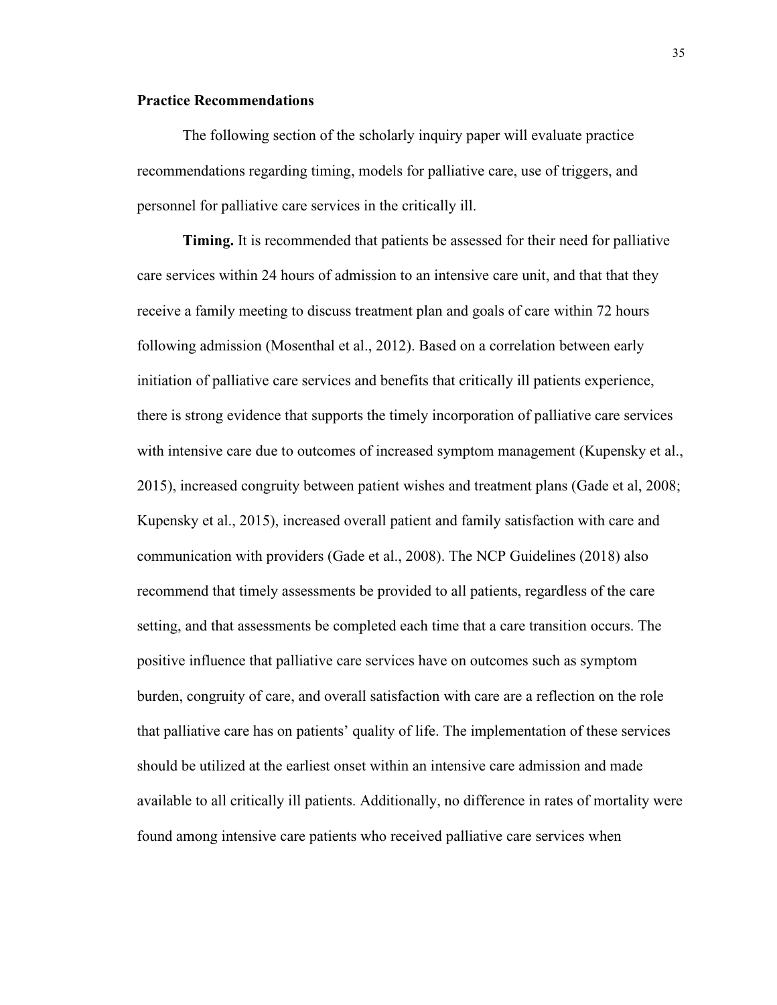## **Practice Recommendations**

The following section of the scholarly inquiry paper will evaluate practice recommendations regarding timing, models for palliative care, use of triggers, and personnel for palliative care services in the critically ill.

**Timing.** It is recommended that patients be assessed for their need for palliative care services within 24 hours of admission to an intensive care unit, and that that they receive a family meeting to discuss treatment plan and goals of care within 72 hours following admission (Mosenthal et al., 2012). Based on a correlation between early initiation of palliative care services and benefits that critically ill patients experience, there is strong evidence that supports the timely incorporation of palliative care services with intensive care due to outcomes of increased symptom management (Kupensky et al., 2015), increased congruity between patient wishes and treatment plans (Gade et al, 2008; Kupensky et al., 2015), increased overall patient and family satisfaction with care and communication with providers (Gade et al., 2008). The NCP Guidelines (2018) also recommend that timely assessments be provided to all patients, regardless of the care setting, and that assessments be completed each time that a care transition occurs. The positive influence that palliative care services have on outcomes such as symptom burden, congruity of care, and overall satisfaction with care are a reflection on the role that palliative care has on patients' quality of life. The implementation of these services should be utilized at the earliest onset within an intensive care admission and made available to all critically ill patients. Additionally, no difference in rates of mortality were found among intensive care patients who received palliative care services when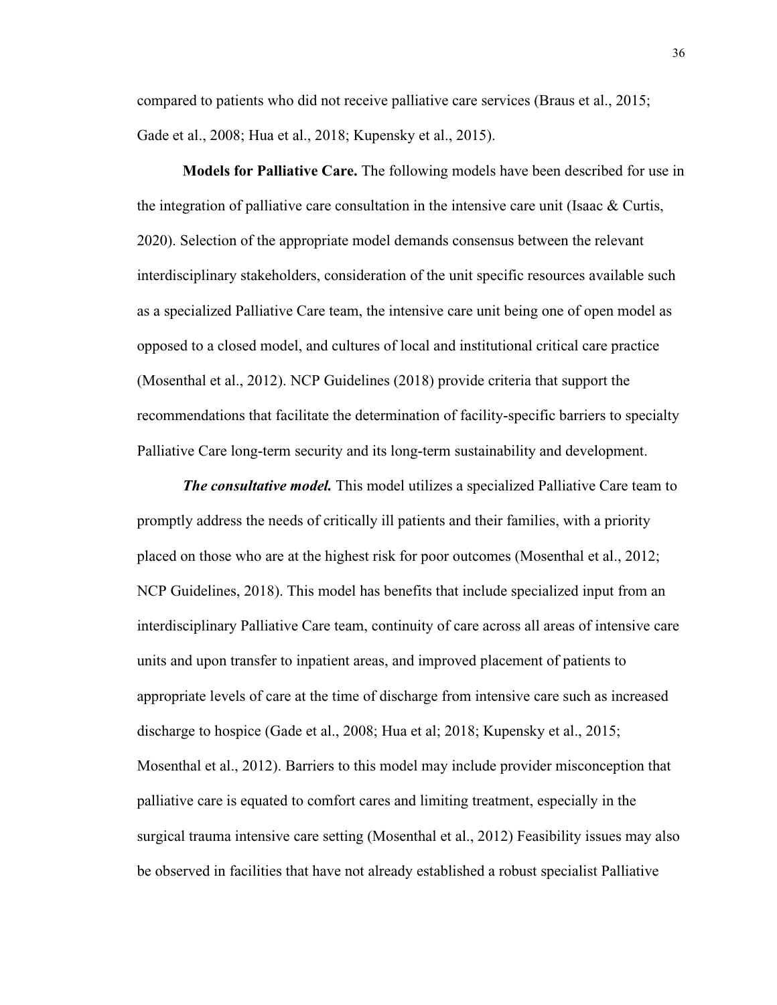compared to patients who did not receive palliative care services (Braus et al., 2015; Gade et al., 2008; Hua et al., 2018; Kupensky et al., 2015).

**Models for Palliative Care.** The following models have been described for use in the integration of palliative care consultation in the intensive care unit (Isaac  $\&$  Curtis, 2020). Selection of the appropriate model demands consensus between the relevant interdisciplinary stakeholders, consideration of the unit specific resources available such as a specialized Palliative Care team, the intensive care unit being one of open model as opposed to a closed model, and cultures of local and institutional critical care practice (Mosenthal et al., 2012). NCP Guidelines (2018) provide criteria that support the recommendations that facilitate the determination of facility-specific barriers to specialty Palliative Care long-term security and its long-term sustainability and development.

*The consultative model.* This model utilizes a specialized Palliative Care team to promptly address the needs of critically ill patients and their families, with a priority placed on those who are at the highest risk for poor outcomes (Mosenthal et al., 2012; NCP Guidelines, 2018). This model has benefits that include specialized input from an interdisciplinary Palliative Care team, continuity of care across all areas of intensive care units and upon transfer to inpatient areas, and improved placement of patients to appropriate levels of care at the time of discharge from intensive care such as increased discharge to hospice (Gade et al., 2008; Hua et al; 2018; Kupensky et al., 2015; Mosenthal et al., 2012). Barriers to this model may include provider misconception that palliative care is equated to comfort cares and limiting treatment, especially in the surgical trauma intensive care setting (Mosenthal et al., 2012) Feasibility issues may also be observed in facilities that have not already established a robust specialist Palliative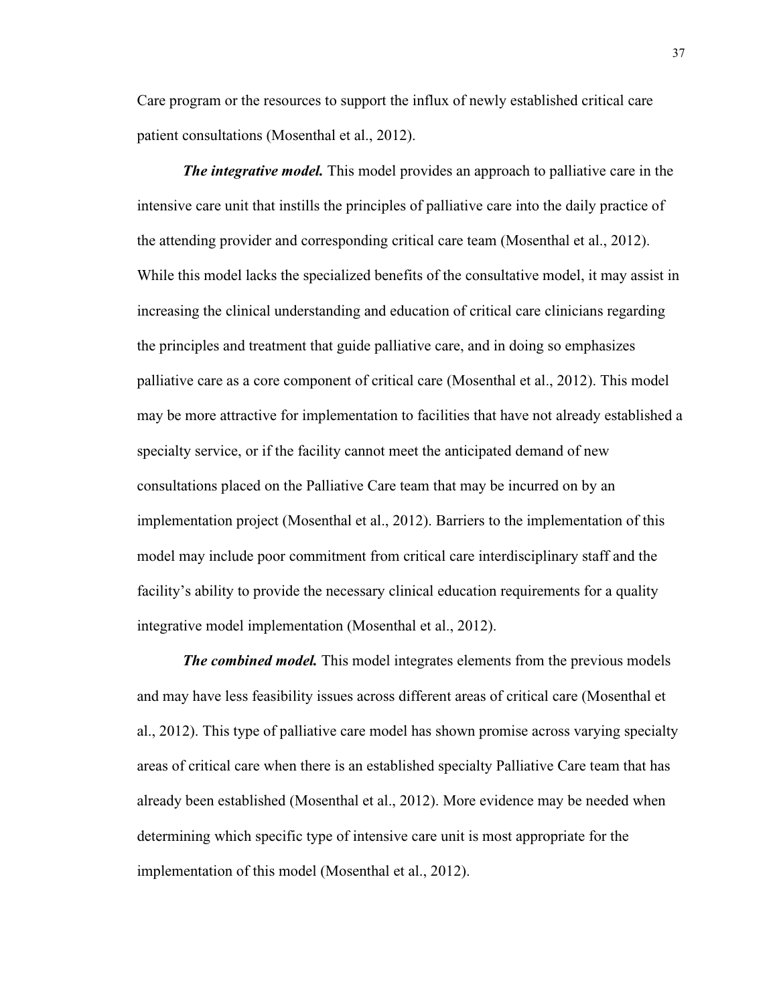Care program or the resources to support the influx of newly established critical care patient consultations (Mosenthal et al., 2012).

*The integrative model.* This model provides an approach to palliative care in the intensive care unit that instills the principles of palliative care into the daily practice of the attending provider and corresponding critical care team (Mosenthal et al., 2012). While this model lacks the specialized benefits of the consultative model, it may assist in increasing the clinical understanding and education of critical care clinicians regarding the principles and treatment that guide palliative care, and in doing so emphasizes palliative care as a core component of critical care (Mosenthal et al., 2012). This model may be more attractive for implementation to facilities that have not already established a specialty service, or if the facility cannot meet the anticipated demand of new consultations placed on the Palliative Care team that may be incurred on by an implementation project (Mosenthal et al., 2012). Barriers to the implementation of this model may include poor commitment from critical care interdisciplinary staff and the facility's ability to provide the necessary clinical education requirements for a quality integrative model implementation (Mosenthal et al., 2012).

*The combined model.* This model integrates elements from the previous models and may have less feasibility issues across different areas of critical care (Mosenthal et al., 2012). This type of palliative care model has shown promise across varying specialty areas of critical care when there is an established specialty Palliative Care team that has already been established (Mosenthal et al., 2012). More evidence may be needed when determining which specific type of intensive care unit is most appropriate for the implementation of this model (Mosenthal et al., 2012).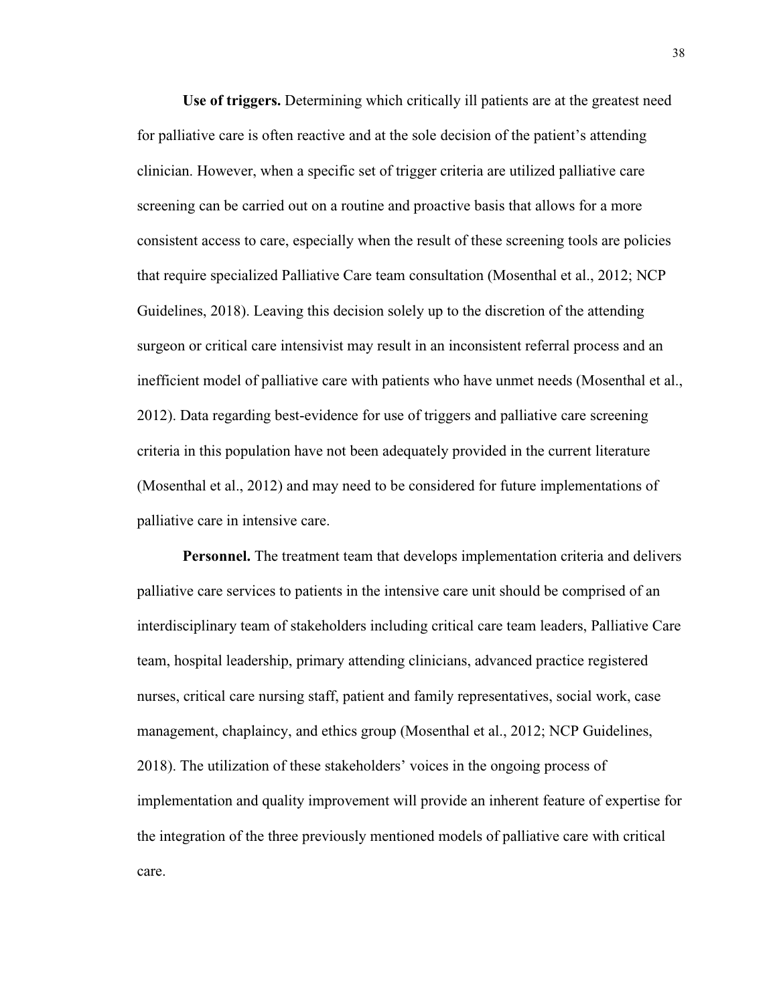**Use of triggers.** Determining which critically ill patients are at the greatest need for palliative care is often reactive and at the sole decision of the patient's attending clinician. However, when a specific set of trigger criteria are utilized palliative care screening can be carried out on a routine and proactive basis that allows for a more consistent access to care, especially when the result of these screening tools are policies that require specialized Palliative Care team consultation (Mosenthal et al., 2012; NCP Guidelines, 2018). Leaving this decision solely up to the discretion of the attending surgeon or critical care intensivist may result in an inconsistent referral process and an inefficient model of palliative care with patients who have unmet needs (Mosenthal et al., 2012). Data regarding best-evidence for use of triggers and palliative care screening criteria in this population have not been adequately provided in the current literature (Mosenthal et al., 2012) and may need to be considered for future implementations of palliative care in intensive care.

**Personnel.** The treatment team that develops implementation criteria and delivers palliative care services to patients in the intensive care unit should be comprised of an interdisciplinary team of stakeholders including critical care team leaders, Palliative Care team, hospital leadership, primary attending clinicians, advanced practice registered nurses, critical care nursing staff, patient and family representatives, social work, case management, chaplaincy, and ethics group (Mosenthal et al., 2012; NCP Guidelines, 2018). The utilization of these stakeholders' voices in the ongoing process of implementation and quality improvement will provide an inherent feature of expertise for the integration of the three previously mentioned models of palliative care with critical care.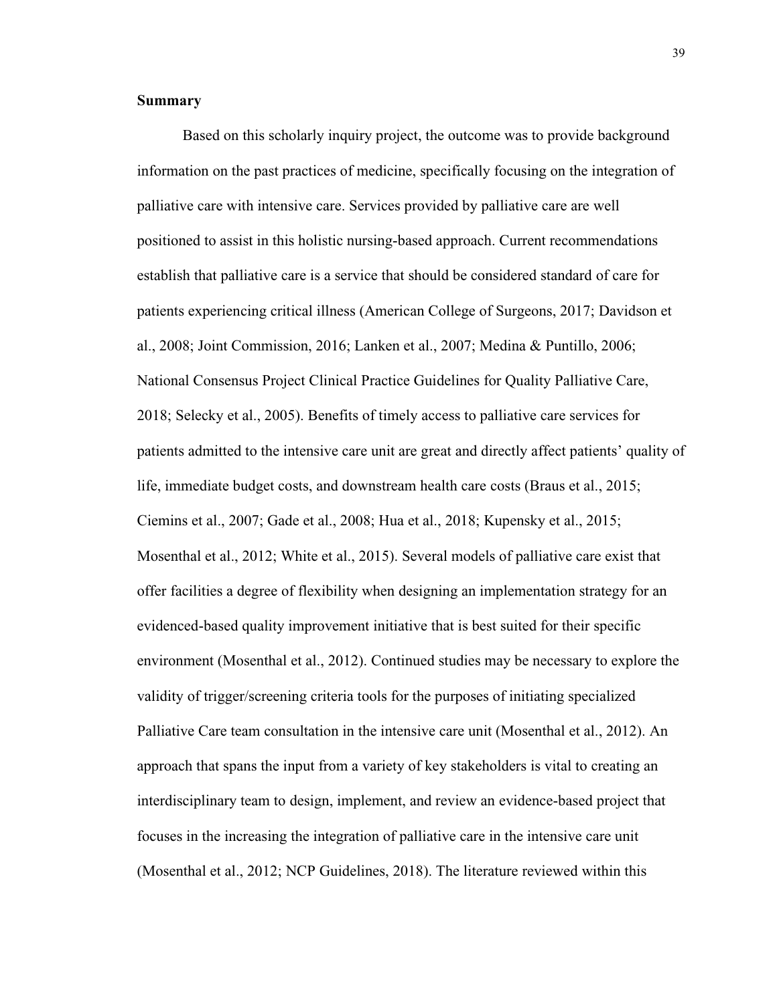# **Summary**

Based on this scholarly inquiry project, the outcome was to provide background information on the past practices of medicine, specifically focusing on the integration of palliative care with intensive care. Services provided by palliative care are well positioned to assist in this holistic nursing-based approach. Current recommendations establish that palliative care is a service that should be considered standard of care for patients experiencing critical illness (American College of Surgeons, 2017; Davidson et al., 2008; Joint Commission, 2016; Lanken et al., 2007; Medina & Puntillo, 2006; National Consensus Project Clinical Practice Guidelines for Quality Palliative Care, 2018; Selecky et al., 2005). Benefits of timely access to palliative care services for patients admitted to the intensive care unit are great and directly affect patients' quality of life, immediate budget costs, and downstream health care costs (Braus et al., 2015; Ciemins et al., 2007; Gade et al., 2008; Hua et al., 2018; Kupensky et al., 2015; Mosenthal et al., 2012; White et al., 2015). Several models of palliative care exist that offer facilities a degree of flexibility when designing an implementation strategy for an evidenced-based quality improvement initiative that is best suited for their specific environment (Mosenthal et al., 2012). Continued studies may be necessary to explore the validity of trigger/screening criteria tools for the purposes of initiating specialized Palliative Care team consultation in the intensive care unit (Mosenthal et al., 2012). An approach that spans the input from a variety of key stakeholders is vital to creating an interdisciplinary team to design, implement, and review an evidence-based project that focuses in the increasing the integration of palliative care in the intensive care unit (Mosenthal et al., 2012; NCP Guidelines, 2018). The literature reviewed within this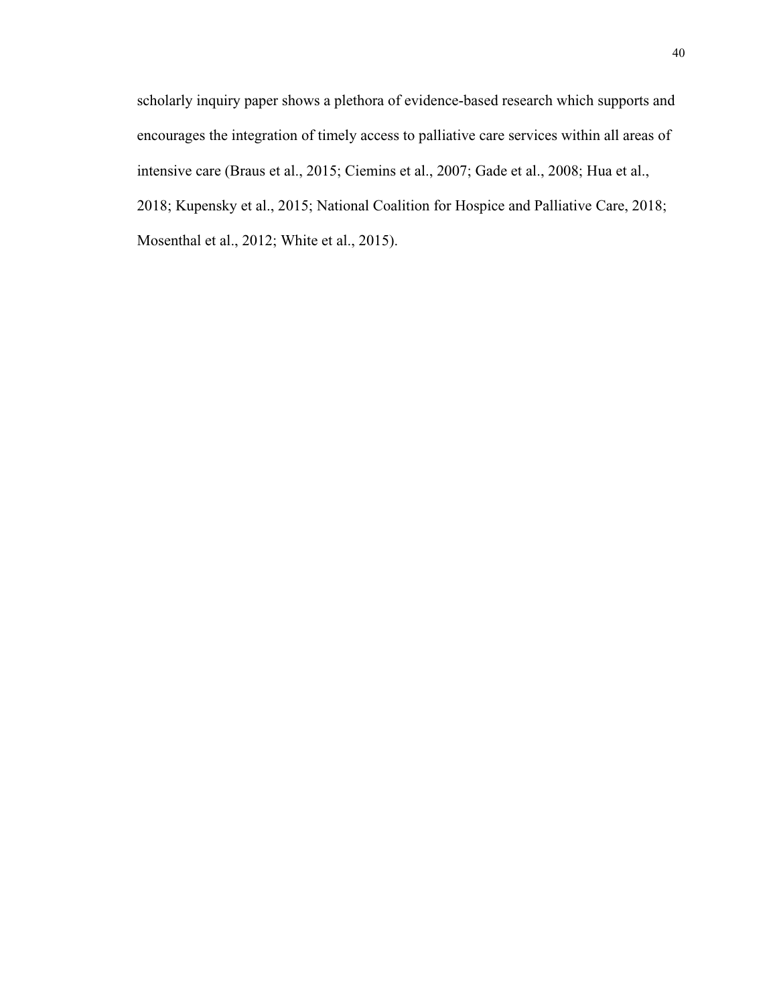scholarly inquiry paper shows a plethora of evidence-based research which supports and encourages the integration of timely access to palliative care services within all areas of intensive care (Braus et al., 2015; Ciemins et al., 2007; Gade et al., 2008; Hua et al., 2018; Kupensky et al., 2015; National Coalition for Hospice and Palliative Care, 2018; Mosenthal et al., 2012; White et al., 2015).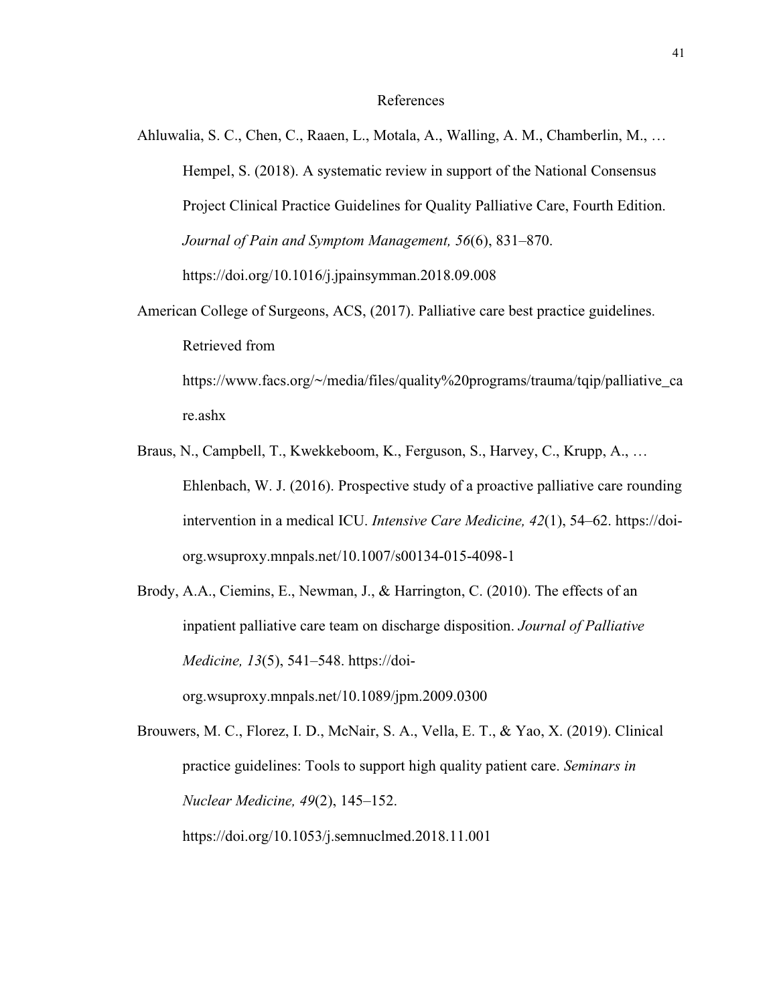### References

- Ahluwalia, S. C., Chen, C., Raaen, L., Motala, A., Walling, A. M., Chamberlin, M., … Hempel, S. (2018). A systematic review in support of the National Consensus Project Clinical Practice Guidelines for Quality Palliative Care, Fourth Edition. *Journal of Pain and Symptom Management, 56*(6), 831–870. https://doi.org/10.1016/j.jpainsymman.2018.09.008
- American College of Surgeons, ACS, (2017). Palliative care best practice guidelines. Retrieved from https://www.facs.org/~/media/files/quality%20programs/trauma/tqip/palliative\_ca

re.ashx

- Braus, N., Campbell, T., Kwekkeboom, K., Ferguson, S., Harvey, C., Krupp, A., … Ehlenbach, W. J. (2016). Prospective study of a proactive palliative care rounding intervention in a medical ICU. *Intensive Care Medicine, 42*(1), 54–62. https://doiorg.wsuproxy.mnpals.net/10.1007/s00134-015-4098-1
- Brody, A.A., Ciemins, E., Newman, J., & Harrington, C. (2010). The effects of an inpatient palliative care team on discharge disposition. *Journal of Palliative Medicine, 13*(5), 541–548. https://doiorg.wsuproxy.mnpals.net/10.1089/jpm.2009.0300

Brouwers, M. C., Florez, I. D., McNair, S. A., Vella, E. T., & Yao, X. (2019). Clinical practice guidelines: Tools to support high quality patient care. *Seminars in Nuclear Medicine, 49*(2), 145–152. https://doi.org/10.1053/j.semnuclmed.2018.11.001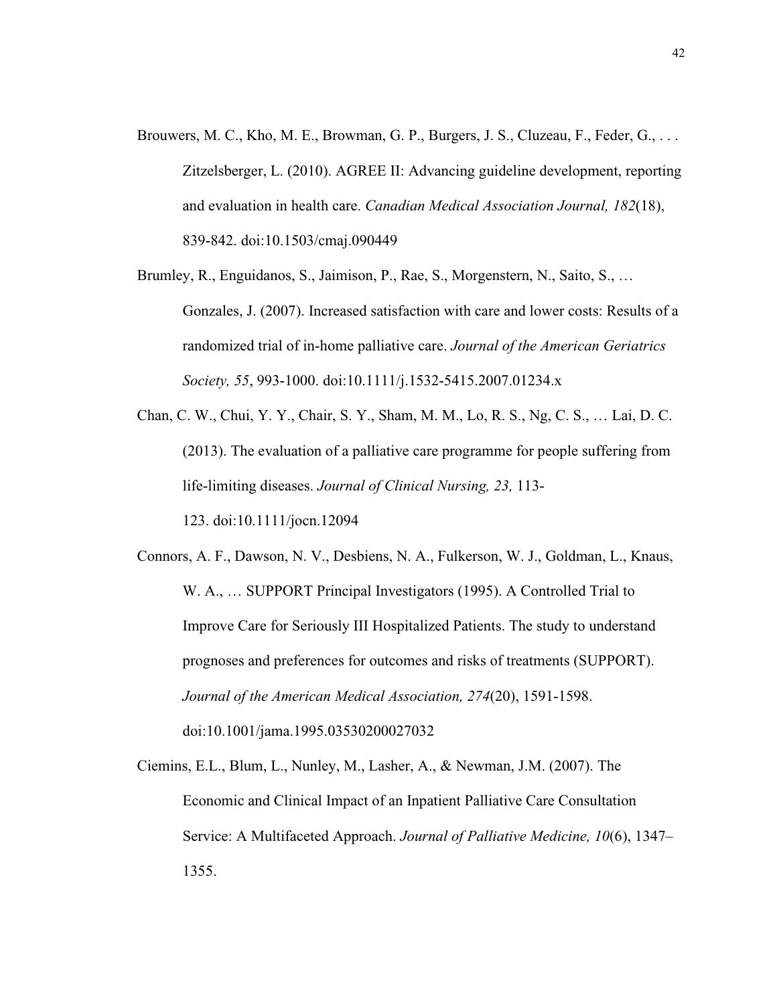- Brouwers, M. C., Kho, M. E., Browman, G. P., Burgers, J. S., Cluzeau, F., Feder, G., . . . Zitzelsberger, L. (2010). AGREE II: Advancing guideline development, reporting and evaluation in health care. *Canadian Medical Association Journal, 182*(18), 839-842. doi:10.1503/cmaj.090449
- Brumley, R., Enguidanos, S., Jaimison, P., Rae, S., Morgenstern, N., Saito, S., … Gonzales, J. (2007). Increased satisfaction with care and lower costs: Results of a randomized trial of in-home palliative care. *Journal of the American Geriatrics Society, 55*, 993-1000. doi:10.1111/j.1532-5415.2007.01234.x
- Chan, C. W., Chui, Y. Y., Chair, S. Y., Sham, M. M., Lo, R. S., Ng, C. S., … Lai, D. C. (2013). The evaluation of a palliative care programme for people suffering from life-limiting diseases. *Journal of Clinical Nursing, 23,* 113-

123. doi:10.1111/jocn.12094

- Connors, A. F., Dawson, N. V., Desbiens, N. A., Fulkerson, W. J., Goldman, L., Knaus, W. A., … SUPPORT Principal Investigators (1995). A Controlled Trial to Improve Care for Seriously III Hospitalized Patients. The study to understand prognoses and preferences for outcomes and risks of treatments (SUPPORT). *Journal of the American Medical Association, 274*(20), 1591-1598. doi:10.1001/jama.1995.03530200027032
- Ciemins, E.L., Blum, L., Nunley, M., Lasher, A., & Newman, J.M. (2007). The Economic and Clinical Impact of an Inpatient Palliative Care Consultation Service: A Multifaceted Approach. *Journal of Palliative Medicine, 10*(6), 1347– 1355.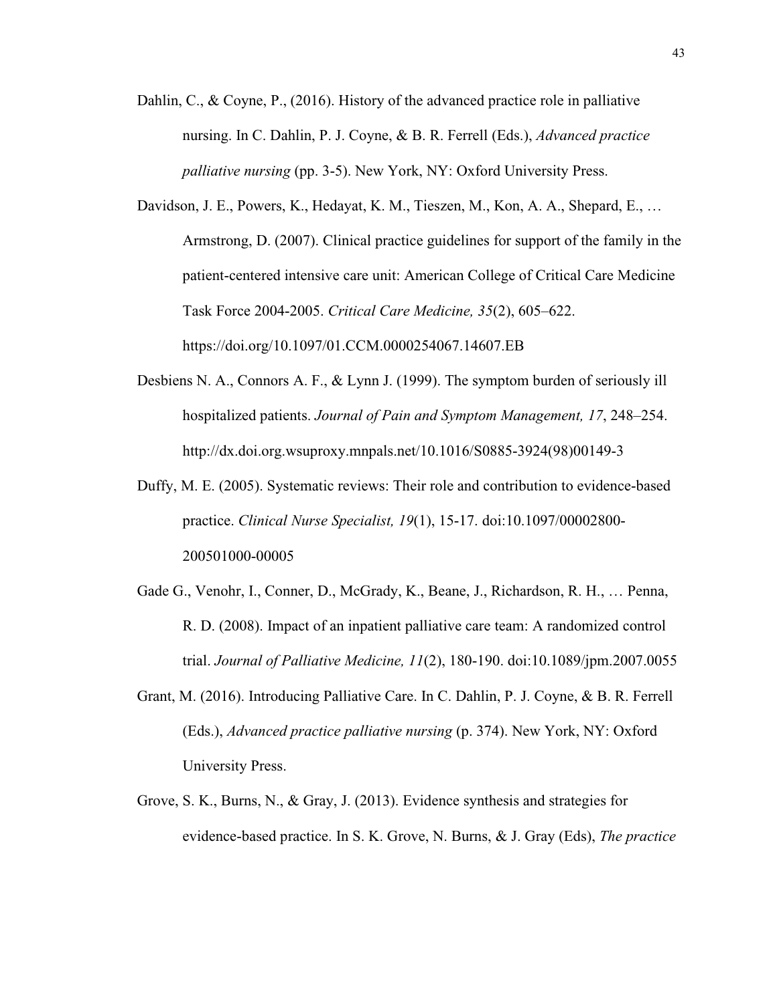- Dahlin, C., & Coyne, P., (2016). History of the advanced practice role in palliative nursing. In C. Dahlin, P. J. Coyne, & B. R. Ferrell (Eds.), *Advanced practice palliative nursing* (pp. 3-5). New York, NY: Oxford University Press.
- Davidson, J. E., Powers, K., Hedayat, K. M., Tieszen, M., Kon, A. A., Shepard, E., … Armstrong, D. (2007). Clinical practice guidelines for support of the family in the patient-centered intensive care unit: American College of Critical Care Medicine Task Force 2004-2005. *Critical Care Medicine, 35*(2), 605–622. https://doi.org/10.1097/01.CCM.0000254067.14607.EB
- Desbiens N. A., Connors A. F., & Lynn J. (1999). The symptom burden of seriously ill hospitalized patients. *Journal of Pain and Symptom Management, 17*, 248–254. http://dx.doi.org.wsuproxy.mnpals.net/10.1016/S0885-3924(98)00149-3
- Duffy, M. E. (2005). Systematic reviews: Their role and contribution to evidence-based practice. *Clinical Nurse Specialist, 19*(1), 15-17. doi:10.1097/00002800- 200501000-00005
- Gade G., Venohr, I., Conner, D., McGrady, K., Beane, J., Richardson, R. H., … Penna, R. D. (2008). Impact of an inpatient palliative care team: A randomized control trial. *Journal of Palliative Medicine, 11*(2), 180-190. doi:10.1089/jpm.2007.0055
- Grant, M. (2016). Introducing Palliative Care. In C. Dahlin, P. J. Coyne, & B. R. Ferrell (Eds.), *Advanced practice palliative nursing* (p. 374). New York, NY: Oxford University Press.
- Grove, S. K., Burns, N., & Gray, J. (2013). Evidence synthesis and strategies for evidence-based practice. In S. K. Grove, N. Burns, & J. Gray (Eds), *The practice*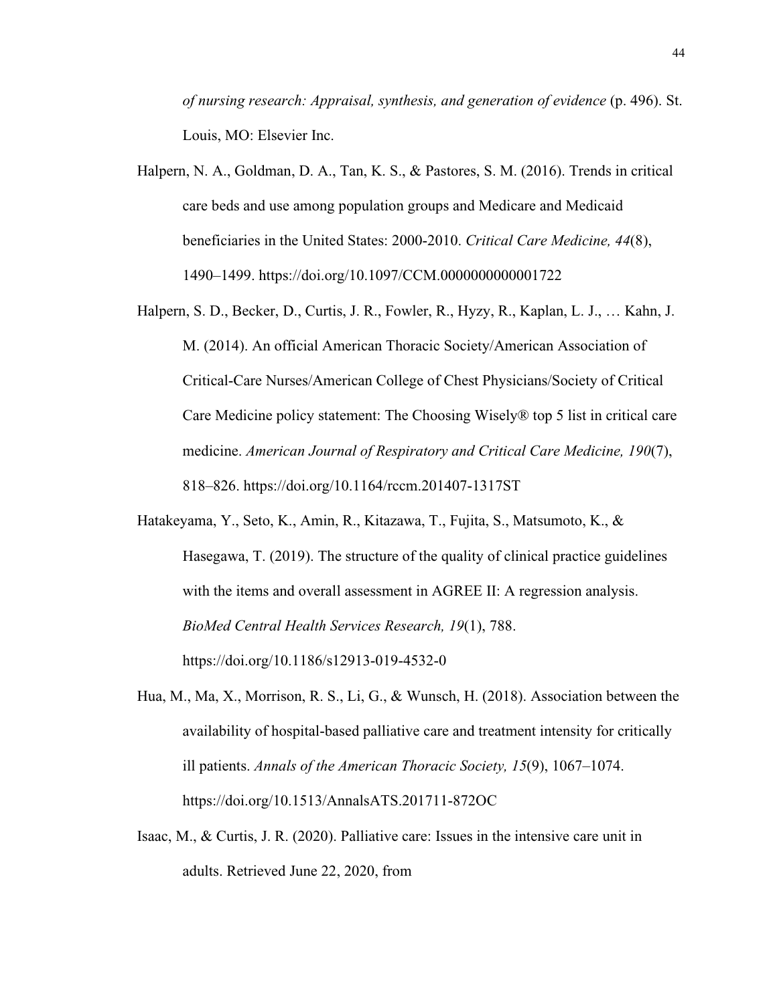*of nursing research: Appraisal, synthesis, and generation of evidence* (p. 496). St. Louis, MO: Elsevier Inc.

- Halpern, N. A., Goldman, D. A., Tan, K. S., & Pastores, S. M. (2016). Trends in critical care beds and use among population groups and Medicare and Medicaid beneficiaries in the United States: 2000-2010. *Critical Care Medicine, 44*(8), 1490–1499. https://doi.org/10.1097/CCM.0000000000001722
- Halpern, S. D., Becker, D., Curtis, J. R., Fowler, R., Hyzy, R., Kaplan, L. J., … Kahn, J. M. (2014). An official American Thoracic Society/American Association of Critical-Care Nurses/American College of Chest Physicians/Society of Critical Care Medicine policy statement: The Choosing Wisely® top 5 list in critical care medicine. *American Journal of Respiratory and Critical Care Medicine, 190*(7), 818–826. https://doi.org/10.1164/rccm.201407-1317ST
- Hatakeyama, Y., Seto, K., Amin, R., Kitazawa, T., Fujita, S., Matsumoto, K., & Hasegawa, T. (2019). The structure of the quality of clinical practice guidelines with the items and overall assessment in AGREE II: A regression analysis. *BioMed Central Health Services Research, 19*(1), 788. https://doi.org/10.1186/s12913-019-4532-0
- Hua, M., Ma, X., Morrison, R. S., Li, G., & Wunsch, H. (2018). Association between the availability of hospital-based palliative care and treatment intensity for critically ill patients. *Annals of the American Thoracic Society, 15*(9), 1067–1074. https://doi.org/10.1513/AnnalsATS.201711-872OC
- Isaac, M., & Curtis, J. R. (2020). Palliative care: Issues in the intensive care unit in adults. Retrieved June 22, 2020, from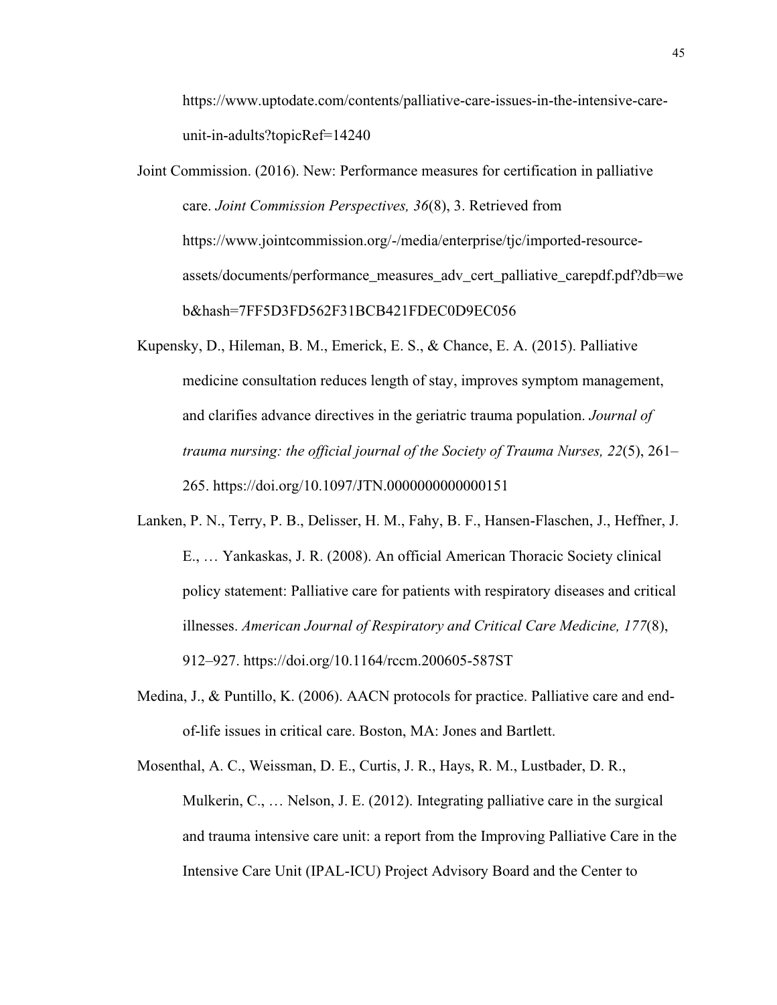https://www.uptodate.com/contents/palliative-care-issues-in-the-intensive-careunit-in-adults?topicRef=14240

- Joint Commission. (2016). New: Performance measures for certification in palliative care. *Joint Commission Perspectives, 36*(8), 3. Retrieved from https://www.jointcommission.org/-/media/enterprise/tjc/imported-resourceassets/documents/performance\_measures\_adv\_cert\_palliative\_carepdf.pdf?db=we b&hash=7FF5D3FD562F31BCB421FDEC0D9EC056
- Kupensky, D., Hileman, B. M., Emerick, E. S., & Chance, E. A. (2015). Palliative medicine consultation reduces length of stay, improves symptom management, and clarifies advance directives in the geriatric trauma population. *Journal of trauma nursing: the official journal of the Society of Trauma Nurses, 22*(5), 261– 265. https://doi.org/10.1097/JTN.0000000000000151
- Lanken, P. N., Terry, P. B., Delisser, H. M., Fahy, B. F., Hansen-Flaschen, J., Heffner, J. E., … Yankaskas, J. R. (2008). An official American Thoracic Society clinical policy statement: Palliative care for patients with respiratory diseases and critical illnesses. *American Journal of Respiratory and Critical Care Medicine, 177*(8), 912–927. https://doi.org/10.1164/rccm.200605-587ST
- Medina, J., & Puntillo, K. (2006). AACN protocols for practice. Palliative care and endof-life issues in critical care. Boston, MA: Jones and Bartlett.
- Mosenthal, A. C., Weissman, D. E., Curtis, J. R., Hays, R. M., Lustbader, D. R., Mulkerin, C., … Nelson, J. E. (2012). Integrating palliative care in the surgical and trauma intensive care unit: a report from the Improving Palliative Care in the Intensive Care Unit (IPAL-ICU) Project Advisory Board and the Center to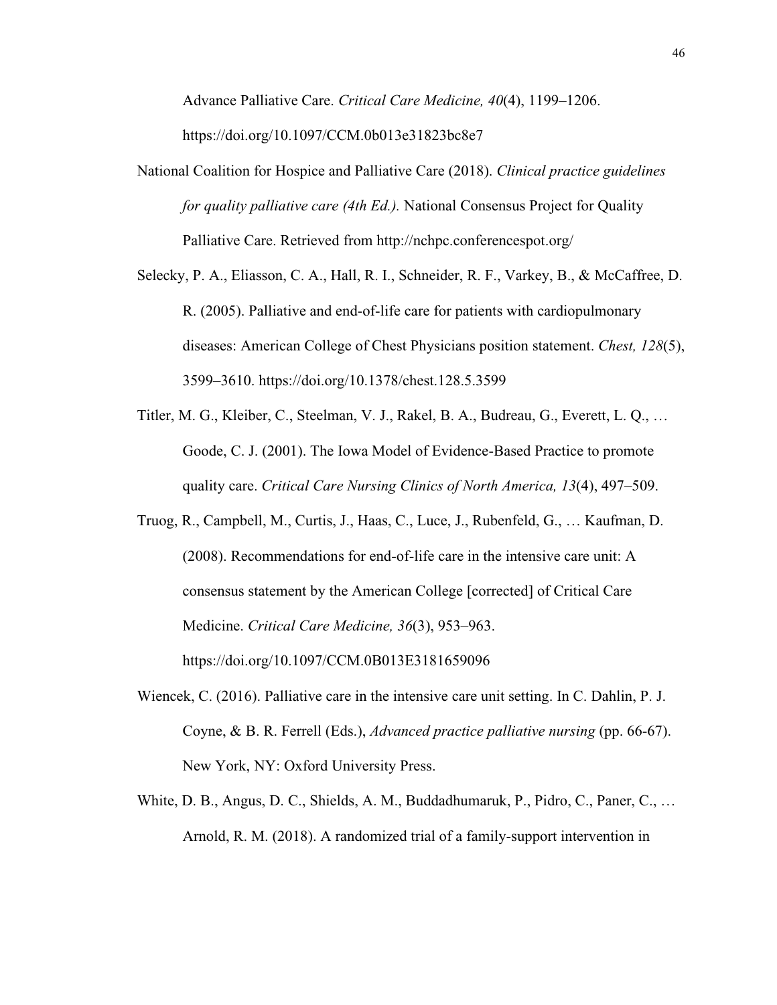Advance Palliative Care. *Critical Care Medicine, 40*(4), 1199–1206.

https://doi.org/10.1097/CCM.0b013e31823bc8e7

- National Coalition for Hospice and Palliative Care (2018). *Clinical practice guidelines for quality palliative care (4th Ed.).* National Consensus Project for Quality Palliative Care. Retrieved from http://nchpc.conferencespot.org/
- Selecky, P. A., Eliasson, C. A., Hall, R. I., Schneider, R. F., Varkey, B., & McCaffree, D. R. (2005). Palliative and end-of-life care for patients with cardiopulmonary diseases: American College of Chest Physicians position statement. *Chest, 128*(5), 3599–3610. https://doi.org/10.1378/chest.128.5.3599
- Titler, M. G., Kleiber, C., Steelman, V. J., Rakel, B. A., Budreau, G., Everett, L. Q., … Goode, C. J. (2001). The Iowa Model of Evidence-Based Practice to promote quality care. *Critical Care Nursing Clinics of North America, 13*(4), 497–509.
- Truog, R., Campbell, M., Curtis, J., Haas, C., Luce, J., Rubenfeld, G., … Kaufman, D. (2008). Recommendations for end-of-life care in the intensive care unit: A consensus statement by the American College [corrected] of Critical Care Medicine. *Critical Care Medicine, 36*(3), 953–963. https://doi.org/10.1097/CCM.0B013E3181659096
- Wiencek, C. (2016). Palliative care in the intensive care unit setting. In C. Dahlin, P. J. Coyne, & B. R. Ferrell (Eds.), *Advanced practice palliative nursing* (pp. 66-67). New York, NY: Oxford University Press.
- White, D. B., Angus, D. C., Shields, A. M., Buddadhumaruk, P., Pidro, C., Paner, C., … Arnold, R. M. (2018). A randomized trial of a family-support intervention in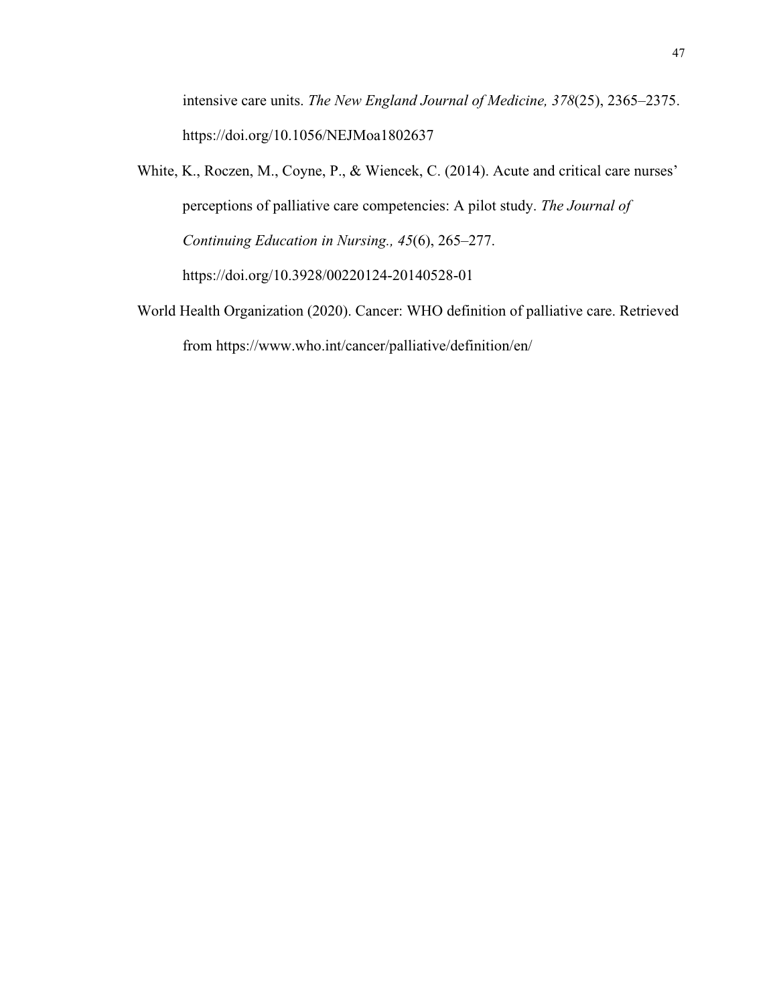intensive care units. *The New England Journal of Medicine, 378*(25), 2365–2375. https://doi.org/10.1056/NEJMoa1802637

- White, K., Roczen, M., Coyne, P., & Wiencek, C. (2014). Acute and critical care nurses' perceptions of palliative care competencies: A pilot study. *The Journal of Continuing Education in Nursing., 45*(6), 265–277. https://doi.org/10.3928/00220124-20140528-01
- World Health Organization (2020). Cancer: WHO definition of palliative care. Retrieved from https://www.who.int/cancer/palliative/definition/en/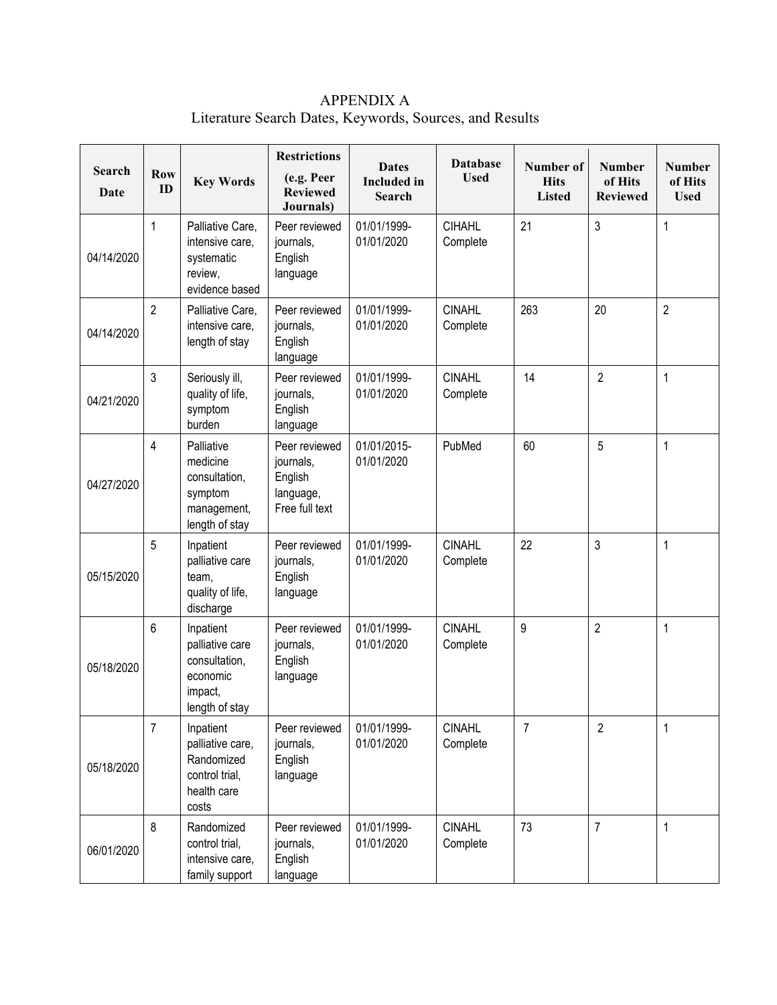APPENDIX A Literature Search Dates, Keywords, Sources, and Results

|                       |                  |                                                                                        | <b>Restrictions</b>                                                  | <b>Dates</b>                        | <b>Database</b>           | Number of                    | <b>Number</b>              | <b>Number</b>          |
|-----------------------|------------------|----------------------------------------------------------------------------------------|----------------------------------------------------------------------|-------------------------------------|---------------------------|------------------------------|----------------------------|------------------------|
| <b>Search</b><br>Date | <b>Row</b><br>ID | <b>Key Words</b>                                                                       | (e.g. Peer<br><b>Reviewed</b><br>Journals)                           | <b>Included</b> in<br><b>Search</b> | <b>Used</b>               | <b>Hits</b><br><b>Listed</b> | of Hits<br><b>Reviewed</b> | of Hits<br><b>Used</b> |
| 04/14/2020            | 1                | Palliative Care,<br>intensive care,<br>systematic<br>review,<br>evidence based         | Peer reviewed<br>journals,<br>English<br>language                    | 01/01/1999-<br>01/01/2020           | <b>CIHAHL</b><br>Complete | 21                           | 3                          | $\mathbf 1$            |
| 04/14/2020            | $\overline{2}$   | Palliative Care,<br>intensive care,<br>length of stay                                  | Peer reviewed<br>journals,<br>English<br>language                    | 01/01/1999-<br>01/01/2020           | <b>CINAHL</b><br>Complete | 263                          | 20                         | $\overline{2}$         |
| 04/21/2020            | 3                | Seriously ill,<br>quality of life,<br>symptom<br>burden                                | Peer reviewed<br>journals,<br>English<br>language                    | 01/01/1999-<br>01/01/2020           | <b>CINAHL</b><br>Complete | 14                           | $\overline{2}$             | $\mathbf 1$            |
| 04/27/2020            | 4                | Palliative<br>medicine<br>consultation,<br>symptom<br>management,<br>length of stay    | Peer reviewed<br>journals,<br>English<br>language,<br>Free full text | 01/01/2015-<br>01/01/2020           | PubMed                    | 60                           | 5                          | $\mathbf 1$            |
| 05/15/2020            | 5                | Inpatient<br>palliative care<br>team,<br>quality of life,<br>discharge                 | Peer reviewed<br>journals,<br>English<br>language                    | 01/01/1999-<br>01/01/2020           | <b>CINAHL</b><br>Complete | 22                           | 3                          | 1                      |
| 05/18/2020            | 6                | Inpatient<br>palliative care<br>consultation,<br>economic<br>impact,<br>length of stay | Peer reviewed<br>journals,<br>English<br>language                    | 01/01/1999-<br>01/01/2020           | <b>CINAHL</b><br>Complete | 9                            | $\overline{2}$             | $\mathbf 1$            |
| 05/18/2020            | $\overline{7}$   | Inpatient<br>palliative care,<br>Randomized<br>control trial,<br>health care<br>costs  | Peer reviewed<br>journals,<br>English<br>language                    | 01/01/1999-<br>01/01/2020           | <b>CINAHL</b><br>Complete | 7                            | $\overline{2}$             | 1                      |
| 06/01/2020            | 8                | Randomized<br>control trial,<br>intensive care,<br>family support                      | Peer reviewed<br>journals,<br>English<br>language                    | 01/01/1999-<br>01/01/2020           | <b>CINAHL</b><br>Complete | 73                           | $\overline{7}$             | 1                      |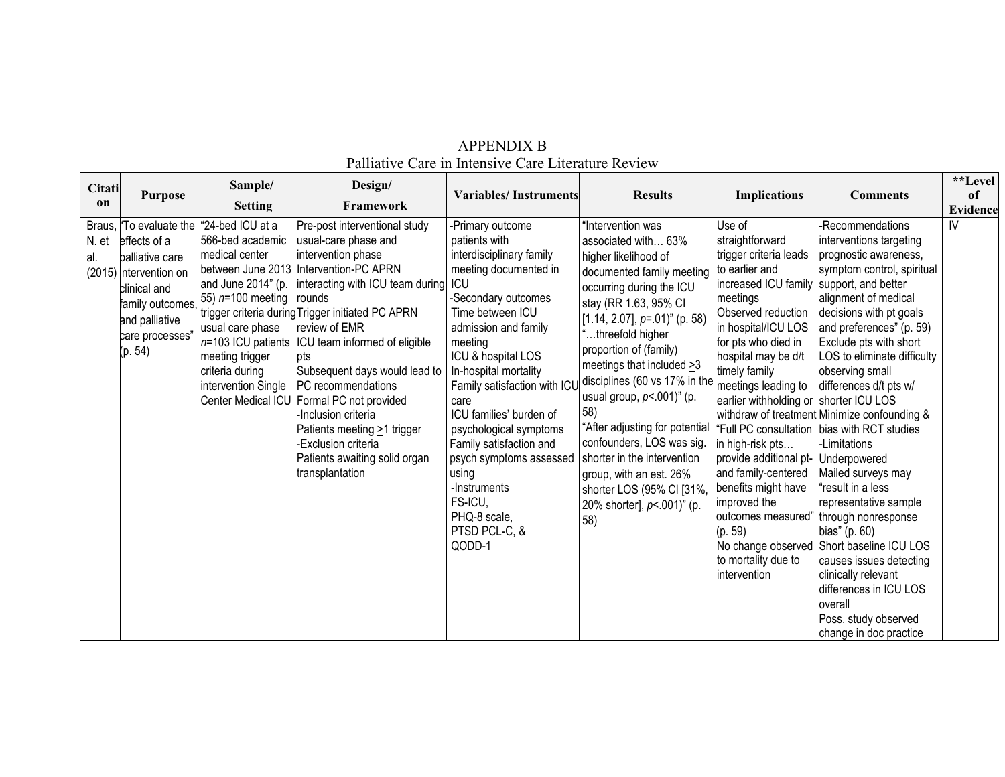| Citati<br>on           | <b>Purpose</b>                                                                                                                                | Sample/<br><b>Setting</b>                                                                                                                                                                                                                                                  | Design/<br>Framework                                                                                                                                                                                                                                                                                                                                                                                                                                                                 | <b>Variables/Instruments</b>                                                                                                                                                                                                                                                                                                                                                                                                                          | <b>Results</b>                                                                                                                                                                                                                                                                                                                                                                                                                                                                                                                             | <b>Implications</b>                                                                                                                                                                                                                                                                                                                                                                                                                                                                                        | <b>Comments</b>                                                                                                                                                                                                                                                                                                                                                                                                                                                                                                                                                                                                                                                                                                   | **Level<br>of<br>Evidence |
|------------------------|-----------------------------------------------------------------------------------------------------------------------------------------------|----------------------------------------------------------------------------------------------------------------------------------------------------------------------------------------------------------------------------------------------------------------------------|--------------------------------------------------------------------------------------------------------------------------------------------------------------------------------------------------------------------------------------------------------------------------------------------------------------------------------------------------------------------------------------------------------------------------------------------------------------------------------------|-------------------------------------------------------------------------------------------------------------------------------------------------------------------------------------------------------------------------------------------------------------------------------------------------------------------------------------------------------------------------------------------------------------------------------------------------------|--------------------------------------------------------------------------------------------------------------------------------------------------------------------------------------------------------------------------------------------------------------------------------------------------------------------------------------------------------------------------------------------------------------------------------------------------------------------------------------------------------------------------------------------|------------------------------------------------------------------------------------------------------------------------------------------------------------------------------------------------------------------------------------------------------------------------------------------------------------------------------------------------------------------------------------------------------------------------------------------------------------------------------------------------------------|-------------------------------------------------------------------------------------------------------------------------------------------------------------------------------------------------------------------------------------------------------------------------------------------------------------------------------------------------------------------------------------------------------------------------------------------------------------------------------------------------------------------------------------------------------------------------------------------------------------------------------------------------------------------------------------------------------------------|---------------------------|
| Braus,<br>N. et<br>al. | effects of a<br>balliative care<br>(2015) intervention on<br>clinical and<br>family outcomes.<br>and palliative<br>care processes"<br>(p. 54) | "To evaluate the 1"24-bed ICU at a<br>566-bed academic<br>lmedical center<br>between June 2013<br>and June 2014" (p.<br>55) $n=100$ meeting<br>usual care phase<br>$n=103$ ICU patients<br>meeting trigger<br>criteria during<br>intervention Single<br>Center Medical ICU | Pre-post interventional study<br>usual-care phase and<br>intervention phase<br>Intervention-PC APRN<br>interacting with ICU team during ICU<br>rounds<br>trigger criteria during Trigger initiated PC APRN<br>review of EMR<br>ICU team informed of eligible<br>pts<br>Subsequent days would lead to<br>PC recommendations<br>Formal PC not provided<br>Inclusion criteria<br>Patients meeting >1 trigger<br>-Exclusion criteria<br>Patients awaiting solid organ<br>transplantation | -Primary outcome<br>patients with<br>interdisciplinary family<br>meeting documented in<br>-Secondary outcomes<br>Time between ICU<br>admission and family<br>meeting<br>ICU & hospital LOS<br>In-hospital mortality<br>Family satisfaction with ICI<br>care<br>ICU families' burden of<br>psychological symptoms<br>Family satisfaction and<br>psych symptoms assessed<br>using<br>-Instruments<br>FS-ICU,<br>PHQ-8 scale,<br>PTSD PCL-C, &<br>QODD-1 | Intervention was<br>associated with 63%<br>higher likelihood of<br>documented family meeting<br>occurring during the ICU<br>stay (RR 1.63, 95% CI<br>[1.14, 2.07], $p=01$ ]" (p. 58)<br>threefold higher<br>proportion of (family)<br>meetings that included $\geq 3$<br>disciplines (60 vs 17% in the<br>usual group, $p$ <.001)" (p.<br>58)<br>"After adjusting for potential<br>confounders, LOS was sig.<br>shorter in the intervention<br>group, with an est. 26%<br>shorter LOS (95% CI [31%,<br>20% shorter], p <. 001)" (p.<br>58) | Use of<br>straightforward<br>trigger criteria leads<br>to earlier and<br>increased ICU family support, and better<br>meetings<br>Observed reduction<br>in hospital/ICU LOS<br>for pts who died in<br>hospital may be d/t<br>timely family<br>meetings leading to<br>earlier withholding or shorter ICU LOS<br>in high-risk pts<br>provide additional pt- Underpowered<br>and family-centered<br>benefits might have<br>improved the<br>outcomes measured<br>(p. 59)<br>to mortality due to<br>intervention | -Recommendations<br>interventions targeting<br>prognostic awareness,<br>symptom control, spiritual<br>alignment of medical<br>decisions with pt goals<br>and preferences" (p. 59)<br>Exclude pts with short<br>LOS to eliminate difficulty<br>observing small<br>differences d/t pts w/<br>withdraw of treatment Minimize confounding &<br>"Full PC consultation bias with RCT studies<br>-Limitations<br>Mailed surveys may<br>result in a less<br>representative sample<br>" through nonresponse<br>bias" (p. 60)<br>No change observed Short baseline ICU LOS<br>causes issues detecting<br>clinically relevant<br>differences in ICU LOS<br><b>loverall</b><br>Poss. study observed<br>change in doc practice | IV                        |

# APPENDIX B Palliative Care in Intensive Care Literature Review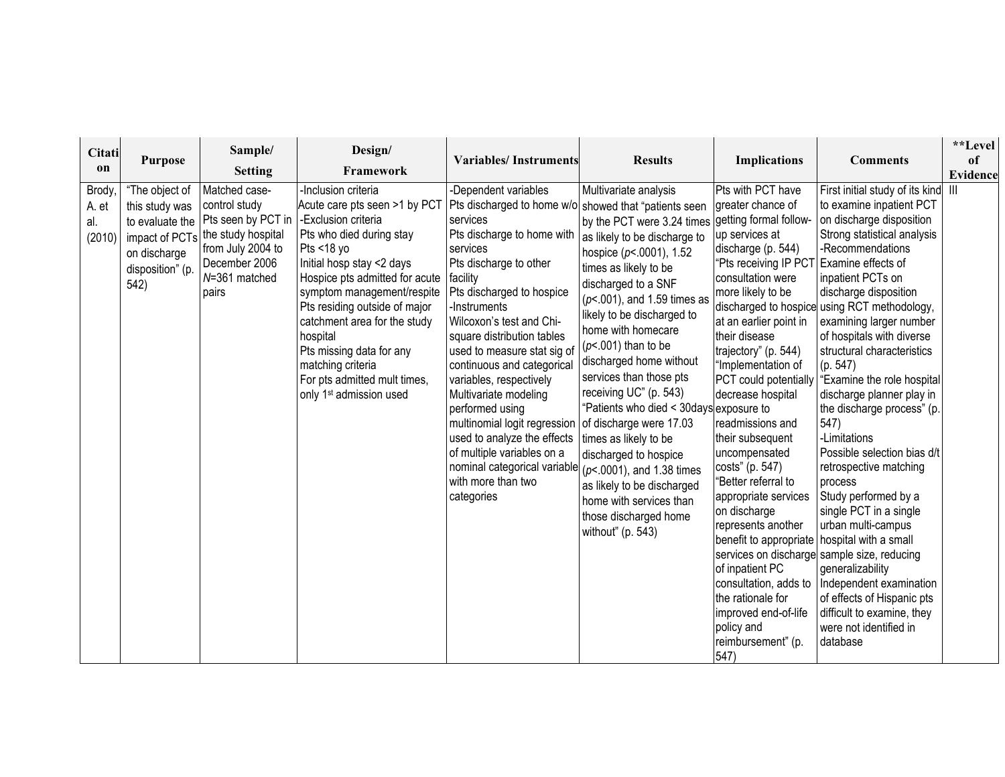| Citati<br>on                           | <b>Purpose</b>                                                                                 | Sample/<br><b>Setting</b>                                                                                                                                    | Design/<br>Framework                                                                                                                                                                                                                                                                                                                                                                                                               | <b>Variables/Instruments</b>                                                                                                                                                                                                                                                                                                                                                                                                                                                                                                                                                                            | <b>Results</b>                                                                                                                                                                                                                                                                                                                                                                                                                                                                                                                                                                                   | <b>Implications</b>                                                                                                                                                                                                                                                                                                                                                                                                                                                                                                                                                                                                                                                                           | <b>Comments</b>                                                                                                                                                                                                                                                                                                                                                                                                                                                                                                                                                                                                                                                                                                                                                                                         | **Level<br>of              |
|----------------------------------------|------------------------------------------------------------------------------------------------|--------------------------------------------------------------------------------------------------------------------------------------------------------------|------------------------------------------------------------------------------------------------------------------------------------------------------------------------------------------------------------------------------------------------------------------------------------------------------------------------------------------------------------------------------------------------------------------------------------|---------------------------------------------------------------------------------------------------------------------------------------------------------------------------------------------------------------------------------------------------------------------------------------------------------------------------------------------------------------------------------------------------------------------------------------------------------------------------------------------------------------------------------------------------------------------------------------------------------|--------------------------------------------------------------------------------------------------------------------------------------------------------------------------------------------------------------------------------------------------------------------------------------------------------------------------------------------------------------------------------------------------------------------------------------------------------------------------------------------------------------------------------------------------------------------------------------------------|-----------------------------------------------------------------------------------------------------------------------------------------------------------------------------------------------------------------------------------------------------------------------------------------------------------------------------------------------------------------------------------------------------------------------------------------------------------------------------------------------------------------------------------------------------------------------------------------------------------------------------------------------------------------------------------------------|---------------------------------------------------------------------------------------------------------------------------------------------------------------------------------------------------------------------------------------------------------------------------------------------------------------------------------------------------------------------------------------------------------------------------------------------------------------------------------------------------------------------------------------------------------------------------------------------------------------------------------------------------------------------------------------------------------------------------------------------------------------------------------------------------------|----------------------------|
| <b>Brody</b><br>A. et<br>al.<br>(2010) | "The object of<br>this study was<br>impact of PCTs<br>on discharge<br>disposition" (p.<br>542) | Matched case-<br>control study<br>to evaluate the   Pts seen by PCT in<br>the study hospital<br>from July 2004 to<br>December 2006<br>N=361 matched<br>pairs | -Inclusion criteria<br>Acute care pts seen >1 by PCT<br>-Exclusion criteria<br>Pts who died during stay<br>Pts <18 yo<br>Initial hosp stay <2 days<br>Hospice pts admitted for acute   facility<br>symptom management/respite<br>Pts residing outside of major<br>catchment area for the study<br>hospital<br>Pts missing data for any<br>matching criteria<br>For pts admitted mult times,<br>only 1 <sup>st</sup> admission used | -Dependent variables<br>Pts discharged to home w/o showed that "patients seen<br>services<br>Pts discharge to home with<br>services<br>Pts discharge to other<br>Pts discharged to hospice<br>-Instruments<br>Wilcoxon's test and Chi-<br>square distribution tables<br>used to measure stat sig of<br>continuous and categorical<br>variables, respectively<br>Multivariate modeling<br>performed using<br>multinomial logit regression<br>used to analyze the effects<br>of multiple variables on a<br>nominal categorical variable $(p< .0001)$ , and 1.38 times<br>with more than two<br>categories | Multivariate analysis<br>by the PCT were 3.24 times<br>as likely to be discharge to<br>hospice $(p< .0001)$ , 1.52<br>times as likely to be<br>discharged to a SNF<br>$(p<.001)$ , and 1.59 times as<br>likely to be discharged to<br>home with homecare<br>$(p<.001)$ than to be<br>discharged home without<br>services than those pts<br>receiving UC" (p. 543)<br>"Patients who died < 30days exposure to<br>of discharge were 17.03<br>times as likely to be<br>discharged to hospice<br>as likely to be discharged<br>home with services than<br>those discharged home<br>without" (p. 543) | Pts with PCT have<br>greater chance of<br>getting formal follow-<br>up services at<br>discharge (p. 544)<br>"Pts receiving IP PCT Examine effects of<br>consultation were<br>more likely to be<br>at an earlier point in<br>their disease<br>trajectory" (p. 544)<br>"Implementation of<br>PCT could potentially<br>decrease hospital<br>readmissions and<br>their subsequent<br>uncompensated<br>costs" (p. 547)<br>'Better referral to<br>appropriate services<br>on discharge<br>represents another<br>benefit to appropriate   hospital with a small<br>of inpatient PC<br>consultation, adds to<br>the rationale for<br>improved end-of-life<br>policy and<br>reimbursement" (p.<br>547) | First initial study of its kind<br>to examine inpatient PCT<br>on discharge disposition<br>Strong statistical analysis<br>-Recommendations<br>inpatient PCTs on<br>discharge disposition<br>discharged to hospice using RCT methodology,<br>examining larger number<br>of hospitals with diverse<br>structural characteristics<br>(p. 547)<br>"Examine the role hospital<br>discharge planner play in<br>the discharge process" (p.<br>547)<br>-Limitations<br>Possible selection bias d/t<br>retrospective matching<br>process<br>Study performed by a<br>single PCT in a single<br>urban multi-campus<br>services on discharge sample size, reducing<br>generalizability<br>Independent examination<br>of effects of Hispanic pts<br>difficult to examine, they<br>were not identified in<br>database | Evidence<br>$\mathbf{III}$ |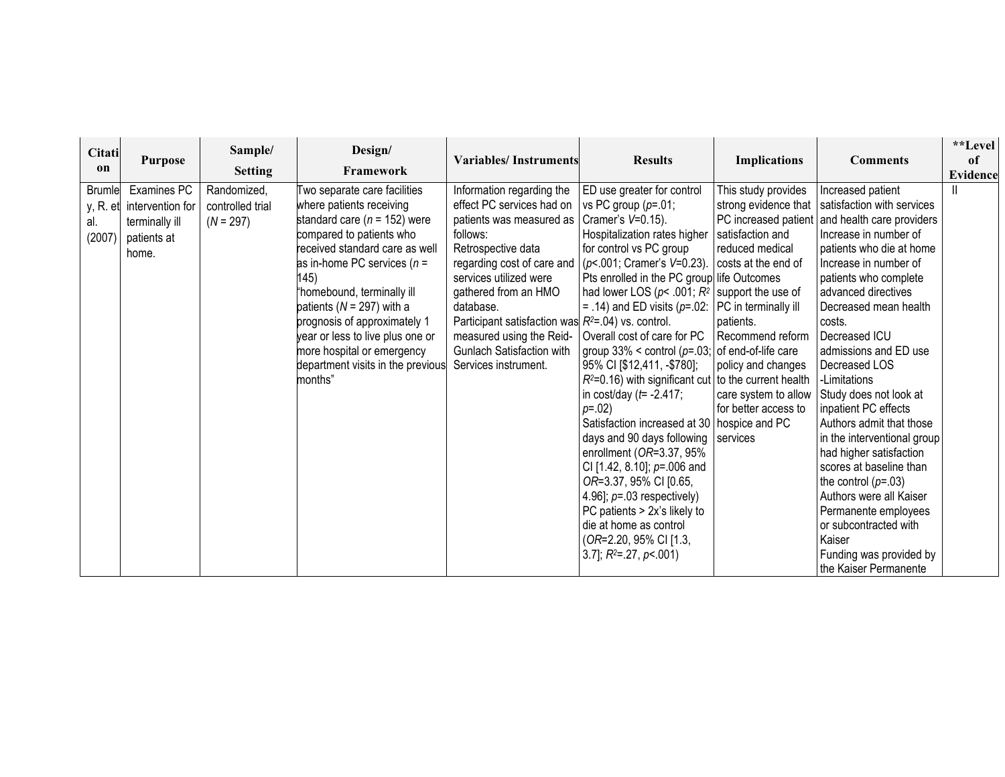| Citati<br>on                   | <b>Purpose</b>                                                                     | Sample/<br><b>Setting</b>                      | Design/<br>Framework                                                                                                                                                                                                                                                                                                                                                                                                 | <b>Variables/Instruments</b>                                                                                                                                                                                                                                                                                                                                         | <b>Results</b>                                                                                                                                                                                                                                                                                                                                                                                                                                                                                                                                                                                                                                                                                                                                                                                                                                                                                                                 | <b>Implications</b>                                                                                                                                                                                   | <b>Comments</b>                                                                                                                                                                                                                                                                                                                                                                                                                                                                                                                                                                                                                                                                     | **Level<br>of<br><b>Evidence</b> |
|--------------------------------|------------------------------------------------------------------------------------|------------------------------------------------|----------------------------------------------------------------------------------------------------------------------------------------------------------------------------------------------------------------------------------------------------------------------------------------------------------------------------------------------------------------------------------------------------------------------|----------------------------------------------------------------------------------------------------------------------------------------------------------------------------------------------------------------------------------------------------------------------------------------------------------------------------------------------------------------------|--------------------------------------------------------------------------------------------------------------------------------------------------------------------------------------------------------------------------------------------------------------------------------------------------------------------------------------------------------------------------------------------------------------------------------------------------------------------------------------------------------------------------------------------------------------------------------------------------------------------------------------------------------------------------------------------------------------------------------------------------------------------------------------------------------------------------------------------------------------------------------------------------------------------------------|-------------------------------------------------------------------------------------------------------------------------------------------------------------------------------------------------------|-------------------------------------------------------------------------------------------------------------------------------------------------------------------------------------------------------------------------------------------------------------------------------------------------------------------------------------------------------------------------------------------------------------------------------------------------------------------------------------------------------------------------------------------------------------------------------------------------------------------------------------------------------------------------------------|----------------------------------|
| <b>Brumle</b><br>al.<br>(2007) | Examines PC<br>y, R. et intervention for<br>terminally ill<br>patients at<br>home. | Randomized,<br>controlled trial<br>$(N = 297)$ | Two separate care facilities<br>where patients receiving<br>standard care ( $n = 152$ ) were<br>compared to patients who<br>received standard care as well<br>as in-home PC services $(n =$<br>145)<br>"homebound, terminally ill<br>patients ( $N = 297$ ) with a<br>prognosis of approximately 1<br>year or less to live plus one or<br>more hospital or emergency<br>department visits in the previous<br>months" | Information regarding the<br>effect PC services had on<br>patients was measured as<br>follows:<br>Retrospective data<br>regarding cost of care and<br>services utilized were<br>gathered from an HMO<br>database.<br>Participant satisfaction was $R^2 = .04$ ) vs. control.<br>measured using the Reid-<br><b>Gunlach Satisfaction with</b><br>Services instrument. | ED use greater for control<br>vs PC group $(p=.01)$ ;<br>Cramer's V=0.15).<br>Hospitalization rates higher<br>for control vs PC group<br>$\left( p<.001;$ Cramer's V=0.23). costs at the end of<br>Pts enrolled in the PC group life Outcomes<br>had lower LOS ( $p$ < .001; $R^2$ support the use of<br>= .14) and ED visits ( $p=0.02$ :  PC in terminally ill<br>Overall cost of care for PC<br>group $33\%$ < control ( $p=.03$ ; of end-of-life care<br>95% CI [\$12,411, -\$780];<br>$R^{2}=0.16$ ) with significant cut to the current health<br>in cost/day $(t=$ -2.417;<br>$p=.02$<br>Satisfaction increased at 30   hospice and PC<br>days and 90 days following<br>enrollment (OR=3.37, 95%<br>CI [1.42, 8.10]; p=.006 and<br>OR=3.37, 95% CI [0.65,<br>4.96]; $p = 03$ respectively)<br>PC patients $> 2x$ 's likely to<br>die at home as control<br>(OR=2.20, 95% CI [1.3,<br>3.7]; $R^{2} = .27$ , $p < .001$ ) | This study provides<br>strong evidence that<br>PC increased patient<br>satisfaction and<br>reduced medical<br>patients.<br>Recommend reform<br>policy and changes<br>for better access to<br>services | Increased patient<br>satisfaction with services<br>and health care providers<br>Increase in number of<br>patients who die at home<br>Increase in number of<br>patients who complete<br>advanced directives<br>Decreased mean health<br>costs.<br>Decreased ICU<br>admissions and ED use<br>Decreased LOS<br>-Limitations<br>care system to allow Study does not look at<br>inpatient PC effects<br>Authors admit that those<br>in the interventional group<br>had higher satisfaction<br>scores at baseline than<br>the control $(p=.03)$<br>Authors were all Kaiser<br>Permanente employees<br>or subcontracted with<br>Kaiser<br>Funding was provided by<br>the Kaiser Permanente |                                  |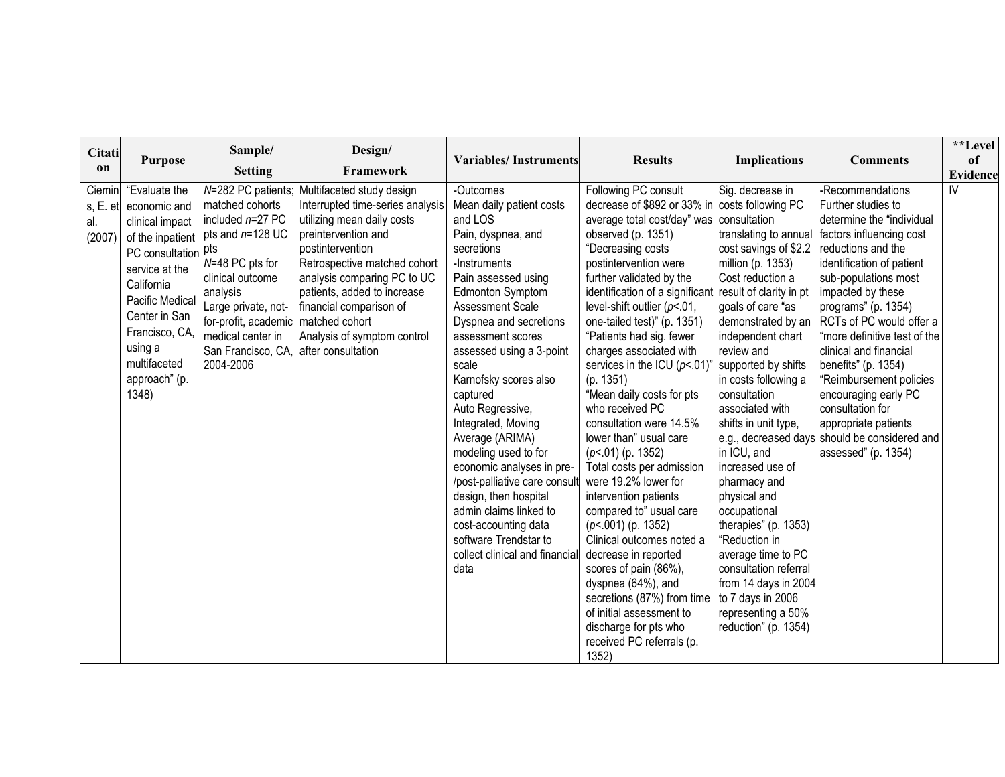| Citati<br>on                        | <b>Purpose</b>                                                                                                                                                                                                    | Sample/<br><b>Setting</b>                                                                                                                                                                                                                                | Design/<br>Framework                                                                                                                                                                                                                                                                                                                    | <b>Variables/Instruments</b>                                                                                                                                                                                                                                                                                                                                                                                                                                                                                                                                                                         | <b>Results</b>                                                                                                                                                                                                                                                                                                                                                                                                                                                                                                                                                                                                                                                                                                                                                                                                                                                                         | <b>Implications</b>                                                                                                                                                                                                                                                                                                                                                                                                                                                                                                                                                                                               | <b>Comments</b>                                                                                                                                                                                                                                                                                                                                                                                                                                                                                                                  | **Level<br>of<br>Evidence |
|-------------------------------------|-------------------------------------------------------------------------------------------------------------------------------------------------------------------------------------------------------------------|----------------------------------------------------------------------------------------------------------------------------------------------------------------------------------------------------------------------------------------------------------|-----------------------------------------------------------------------------------------------------------------------------------------------------------------------------------------------------------------------------------------------------------------------------------------------------------------------------------------|------------------------------------------------------------------------------------------------------------------------------------------------------------------------------------------------------------------------------------------------------------------------------------------------------------------------------------------------------------------------------------------------------------------------------------------------------------------------------------------------------------------------------------------------------------------------------------------------------|----------------------------------------------------------------------------------------------------------------------------------------------------------------------------------------------------------------------------------------------------------------------------------------------------------------------------------------------------------------------------------------------------------------------------------------------------------------------------------------------------------------------------------------------------------------------------------------------------------------------------------------------------------------------------------------------------------------------------------------------------------------------------------------------------------------------------------------------------------------------------------------|-------------------------------------------------------------------------------------------------------------------------------------------------------------------------------------------------------------------------------------------------------------------------------------------------------------------------------------------------------------------------------------------------------------------------------------------------------------------------------------------------------------------------------------------------------------------------------------------------------------------|----------------------------------------------------------------------------------------------------------------------------------------------------------------------------------------------------------------------------------------------------------------------------------------------------------------------------------------------------------------------------------------------------------------------------------------------------------------------------------------------------------------------------------|---------------------------|
| Ciemin<br>s, E. et<br>al.<br>(2007) | "Evaluate the<br>economic and<br>clinical impact<br>PC consultation pts<br>service at the<br>California<br>Pacific Medical<br>Center in San<br>Francisco, CA<br>using a<br>multifaceted<br>approach" (p.<br>1348) | matched cohorts<br>included $n=27$ PC<br>of the inpatient $ $ pts and n=128 UC<br>N=48 PC pts for<br>clinical outcome<br>analysis<br>Large private, not-<br>for-profit, academic   matched cohort<br>medical center in<br>San Francisco, CA<br>2004-2006 | N=282 PC patients; Multifaceted study design<br>Interrupted time-series analysis<br>utilizing mean daily costs<br>preintervention and<br>postintervention<br>Retrospective matched cohort<br>analysis comparing PC to UC<br>patients, added to increase<br>financial comparison of<br>Analysis of symptom control<br>after consultation | -Outcomes<br>Mean daily patient costs<br>and LOS<br>Pain, dyspnea, and<br>secretions<br>-Instruments<br>Pain assessed using<br><b>Edmonton Symptom</b><br>Assessment Scale<br>Dyspnea and secretions<br>assessment scores<br>assessed using a 3-point<br>scale<br>Karnofsky scores also<br>captured<br>Auto Regressive,<br>Integrated, Moving<br>Average (ARIMA)<br>modeling used to for<br>economic analyses in pre-<br>/post-palliative care consult<br>design, then hospital<br>admin claims linked to<br>cost-accounting data<br>software Trendstar to<br>collect clinical and financial<br>data | Following PC consult<br>decrease of \$892 or 33% in<br>average total cost/day" was<br>observed (p. 1351)<br>"Decreasing costs<br>postintervention were<br>further validated by the<br>identification of a significan<br>level-shift outlier $(p<.01$ ,<br>one-tailed test)" (p. 1351)<br>"Patients had sig. fewer<br>charges associated with<br>services in the ICU ( $p$ <.01)<br>(p. 1351)<br>"Mean daily costs for pts<br>who received PC<br>consultation were 14.5%<br>lower than" usual care<br>$(p<.01)$ (p. 1352)<br>Total costs per admission<br>were 19.2% lower for<br>intervention patients<br>compared to" usual care<br>$(p<.001)$ (p. 1352)<br>Clinical outcomes noted a<br>decrease in reported<br>scores of pain (86%),<br>dyspnea (64%), and<br>secretions (87%) from time<br>of initial assessment to<br>discharge for pts who<br>received PC referrals (p.<br>1352) | Sig. decrease in<br>costs following PC<br>consultation<br>cost savings of \$2.2<br>million (p. 1353)<br>Cost reduction a<br>result of clarity in pt<br>goals of care "as<br>demonstrated by an<br>independent chart<br>review and<br>supported by shifts<br>in costs following a<br>consultation<br>associated with<br>shifts in unit type,<br>in ICU, and<br>increased use of<br>pharmacy and<br>physical and<br>occupational<br>therapies" (p. 1353)<br>"Reduction in<br>average time to PC<br>consultation referral<br>from 14 days in 2004<br>to 7 days in 2006<br>representing a 50%<br>reduction" (p. 1354) | -Recommendations<br>Further studies to<br>determine the "individual<br>translating to annual factors influencing cost<br>reductions and the<br>identification of patient<br>sub-populations most<br>impacted by these<br>programs" (p. 1354)<br>RCTs of PC would offer a<br>"more definitive test of the<br>clinical and financial<br>benefits" (p. 1354)<br>"Reimbursement policies<br>encouraging early PC<br>consultation for<br>appropriate patients<br>e.g., decreased days should be considered and<br>assessed" (p. 1354) | IV                        |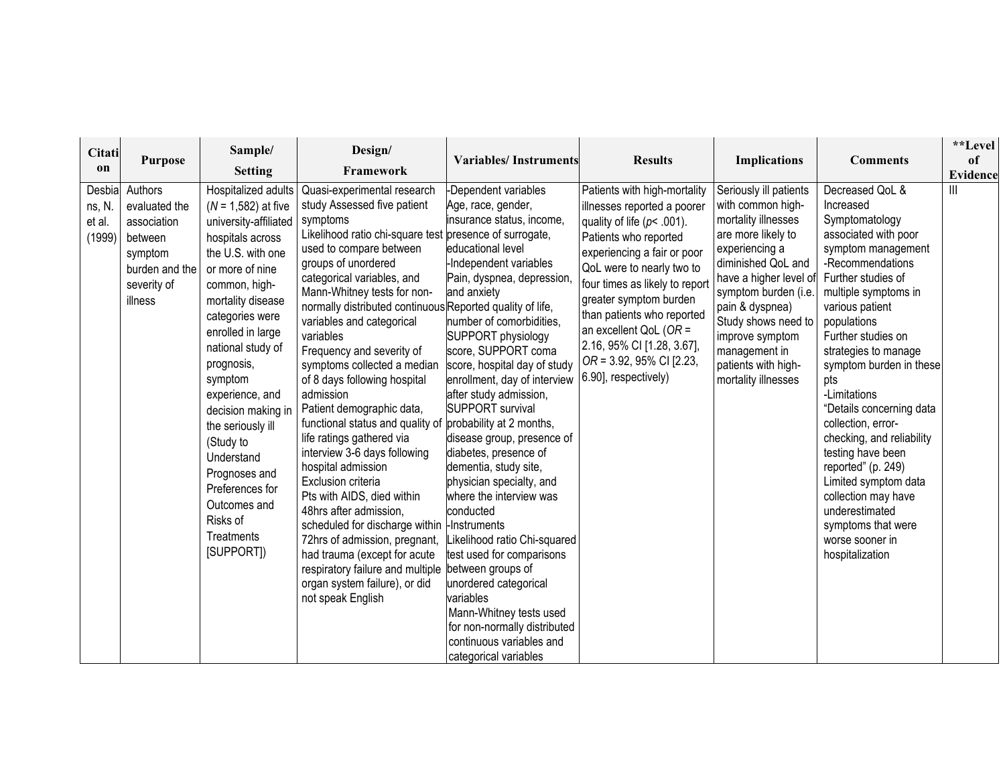| Citati                               |                                                                                                           | Sample/                                                                                                                                                                                                                                                                                                                                                                                                                                            | Design/                                                                                                                                                                                                                                                                                                                                                                                                                                                                                                                                                                                                                                                                                                                                                                                                                                                                                         |                                                                                                                                                                                                                                                                                                                                                                                                                                                                                                                                                                                                                                                                                                                                                                                                                |                                                                                                                                                                                                                                                                                                                                                                                             |                                                                                                                                                                                                                                                                                                                |                                                                                                                                                                                                                                                                                                                                                                                                                                                                                                                                                         | **Level         |
|--------------------------------------|-----------------------------------------------------------------------------------------------------------|----------------------------------------------------------------------------------------------------------------------------------------------------------------------------------------------------------------------------------------------------------------------------------------------------------------------------------------------------------------------------------------------------------------------------------------------------|-------------------------------------------------------------------------------------------------------------------------------------------------------------------------------------------------------------------------------------------------------------------------------------------------------------------------------------------------------------------------------------------------------------------------------------------------------------------------------------------------------------------------------------------------------------------------------------------------------------------------------------------------------------------------------------------------------------------------------------------------------------------------------------------------------------------------------------------------------------------------------------------------|----------------------------------------------------------------------------------------------------------------------------------------------------------------------------------------------------------------------------------------------------------------------------------------------------------------------------------------------------------------------------------------------------------------------------------------------------------------------------------------------------------------------------------------------------------------------------------------------------------------------------------------------------------------------------------------------------------------------------------------------------------------------------------------------------------------|---------------------------------------------------------------------------------------------------------------------------------------------------------------------------------------------------------------------------------------------------------------------------------------------------------------------------------------------------------------------------------------------|----------------------------------------------------------------------------------------------------------------------------------------------------------------------------------------------------------------------------------------------------------------------------------------------------------------|---------------------------------------------------------------------------------------------------------------------------------------------------------------------------------------------------------------------------------------------------------------------------------------------------------------------------------------------------------------------------------------------------------------------------------------------------------------------------------------------------------------------------------------------------------|-----------------|
| on                                   | <b>Purpose</b>                                                                                            | <b>Setting</b>                                                                                                                                                                                                                                                                                                                                                                                                                                     | Framework                                                                                                                                                                                                                                                                                                                                                                                                                                                                                                                                                                                                                                                                                                                                                                                                                                                                                       | <b>Variables/Instruments</b>                                                                                                                                                                                                                                                                                                                                                                                                                                                                                                                                                                                                                                                                                                                                                                                   | <b>Results</b>                                                                                                                                                                                                                                                                                                                                                                              | <b>Implications</b>                                                                                                                                                                                                                                                                                            | <b>Comments</b>                                                                                                                                                                                                                                                                                                                                                                                                                                                                                                                                         | of              |
|                                      |                                                                                                           |                                                                                                                                                                                                                                                                                                                                                                                                                                                    |                                                                                                                                                                                                                                                                                                                                                                                                                                                                                                                                                                                                                                                                                                                                                                                                                                                                                                 |                                                                                                                                                                                                                                                                                                                                                                                                                                                                                                                                                                                                                                                                                                                                                                                                                |                                                                                                                                                                                                                                                                                                                                                                                             |                                                                                                                                                                                                                                                                                                                |                                                                                                                                                                                                                                                                                                                                                                                                                                                                                                                                                         | <b>Evidence</b> |
| Desbia<br>ns, N.<br>et al.<br>(1999) | Authors<br>evaluated the<br>association<br>between<br>symptom<br>burden and the<br>severity of<br>illness | Hospitalized adults<br>$(N = 1,582)$ at five<br>university-affiliated<br>hospitals across<br>the U.S. with one<br>or more of nine<br>common, high-<br>mortality disease<br>categories were<br>enrolled in large<br>national study of<br>prognosis,<br>symptom<br>experience, and<br>decision making in<br>the seriously ill<br>(Study to<br>Understand<br>Prognoses and<br>Preferences for<br>Outcomes and<br>Risks of<br>Treatments<br>[SUPPORT]) | Quasi-experimental research<br>study Assessed five patient<br>symptoms<br>Likelihood ratio chi-square test presence of surrogate,<br>used to compare between<br>groups of unordered<br>categorical variables, and<br>Mann-Whitney tests for non-<br>normally distributed continuous Reported quality of life,<br>variables and categorical<br>variables<br>Frequency and severity of<br>symptoms collected a median<br>of 8 days following hospital<br>admission<br>Patient demographic data,<br>functional status and quality of<br>life ratings gathered via<br>interview 3-6 days following<br>hospital admission<br>Exclusion criteria<br>Pts with AIDS, died within<br>48hrs after admission,<br>scheduled for discharge within<br>72hrs of admission, pregnant,<br>had trauma (except for acute<br>respiratory failure and multiple<br>organ system failure), or did<br>not speak English | Dependent variables<br>Age, race, gender,<br>insurance status, income,<br>educational level<br>Independent variables<br>Pain, dyspnea, depression,<br>and anxiety<br>number of comorbidities,<br>SUPPORT physiology<br>score, SUPPORT coma<br>score, hospital day of study<br>enrollment, day of interview<br>after study admission,<br><b>SUPPORT survival</b><br>probability at 2 months,<br>disease group, presence of<br>diabetes, presence of<br>dementia, study site,<br>physician specialty, and<br>where the interview was<br>conducted<br><b>-Instruments</b><br>Likelihood ratio Chi-squared<br>test used for comparisons<br>between groups of<br>unordered categorical<br>variables<br>Mann-Whitney tests used<br>for non-normally distributed<br>continuous variables and<br>categorical variables | Patients with high-mortality<br>illnesses reported a poorer<br>quality of life ( $p$ < .001).<br>Patients who reported<br>experiencing a fair or poor<br>QoL were to nearly two to<br>four times as likely to report<br>greater symptom burden<br>than patients who reported<br>an excellent QoL ( $OR =$<br>2.16, 95% CI [1.28, 3.67],<br>OR = 3.92, 95% CI [2.23,<br>6.90], respectively) | Seriously ill patients<br>with common high-<br>mortality illnesses<br>are more likely to<br>experiencing a<br>diminished QoL and<br>have a higher level of<br>symptom burden (i.e.<br>pain & dyspnea)<br>Study shows need to<br>improve symptom<br>management in<br>patients with high-<br>mortality illnesses | Decreased QoL &<br>Increased<br>Symptomatology<br>associated with poor<br>symptom management<br>-Recommendations<br>Further studies of<br>multiple symptoms in<br>various patient<br>populations<br>Further studies on<br>strategies to manage<br>symptom burden in these<br>pts<br>-Limitations<br>"Details concerning data<br>collection, error-<br>checking, and reliability<br>testing have been<br>reported" (p. 249)<br>Limited symptom data<br>collection may have<br>underestimated<br>symptoms that were<br>worse sooner in<br>hospitalization |                 |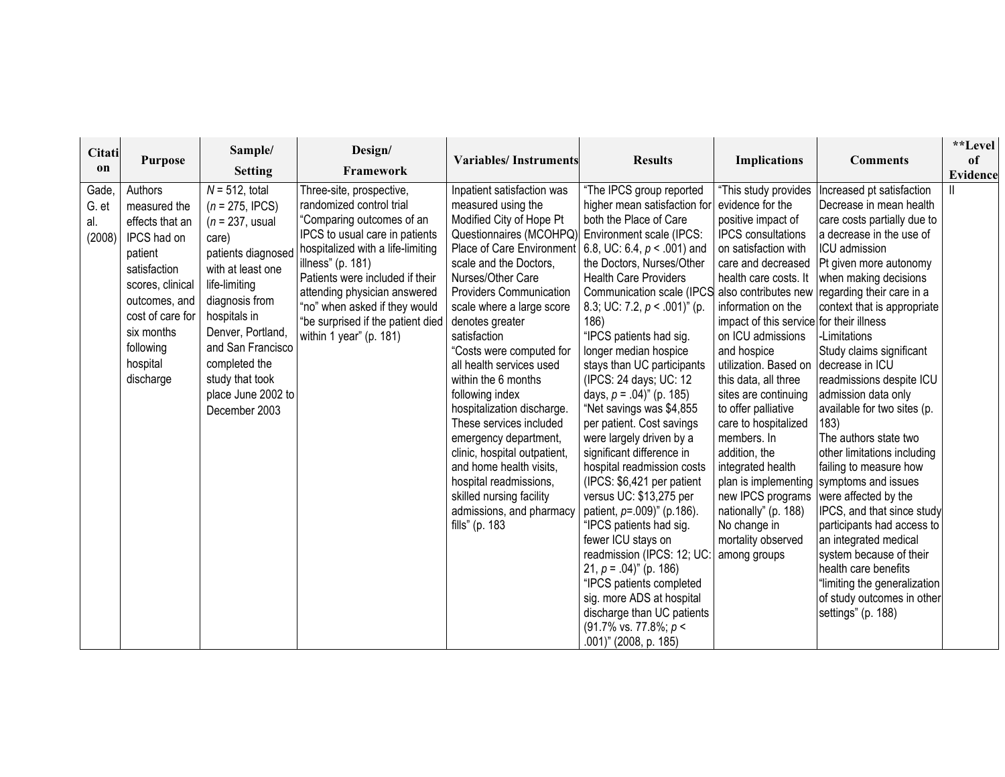| Citati                          |                                                                                                                                                                                                   | Sample/                                                                                                                                                                                                                                                                                 | Design/                                                                                                                                                                                                                                                                                                                                           |                                                                                                                                                                                                                                                                                                                                                                                                                                                                                                                                                                                                                                                                                                    |                                                                                                                                                                                                                                                                                                                                                                                                                                                                                                                                                                                                                                                                                                                                                                                                                                                                                                                        |                                                                                                                                                                                                                                                                                                                                                                                                                                                                                                                                                          |                                                                                                                                                                                                                                                                                                                                                                                                                                                                                                                                                                                                                                                                                                                                                               | **Level  |
|---------------------------------|---------------------------------------------------------------------------------------------------------------------------------------------------------------------------------------------------|-----------------------------------------------------------------------------------------------------------------------------------------------------------------------------------------------------------------------------------------------------------------------------------------|---------------------------------------------------------------------------------------------------------------------------------------------------------------------------------------------------------------------------------------------------------------------------------------------------------------------------------------------------|----------------------------------------------------------------------------------------------------------------------------------------------------------------------------------------------------------------------------------------------------------------------------------------------------------------------------------------------------------------------------------------------------------------------------------------------------------------------------------------------------------------------------------------------------------------------------------------------------------------------------------------------------------------------------------------------------|------------------------------------------------------------------------------------------------------------------------------------------------------------------------------------------------------------------------------------------------------------------------------------------------------------------------------------------------------------------------------------------------------------------------------------------------------------------------------------------------------------------------------------------------------------------------------------------------------------------------------------------------------------------------------------------------------------------------------------------------------------------------------------------------------------------------------------------------------------------------------------------------------------------------|----------------------------------------------------------------------------------------------------------------------------------------------------------------------------------------------------------------------------------------------------------------------------------------------------------------------------------------------------------------------------------------------------------------------------------------------------------------------------------------------------------------------------------------------------------|---------------------------------------------------------------------------------------------------------------------------------------------------------------------------------------------------------------------------------------------------------------------------------------------------------------------------------------------------------------------------------------------------------------------------------------------------------------------------------------------------------------------------------------------------------------------------------------------------------------------------------------------------------------------------------------------------------------------------------------------------------------|----------|
| on                              | <b>Purpose</b>                                                                                                                                                                                    | <b>Setting</b>                                                                                                                                                                                                                                                                          | Framework                                                                                                                                                                                                                                                                                                                                         | <b>Variables/Instruments</b>                                                                                                                                                                                                                                                                                                                                                                                                                                                                                                                                                                                                                                                                       | <b>Results</b>                                                                                                                                                                                                                                                                                                                                                                                                                                                                                                                                                                                                                                                                                                                                                                                                                                                                                                         | <b>Implications</b>                                                                                                                                                                                                                                                                                                                                                                                                                                                                                                                                      | <b>Comments</b>                                                                                                                                                                                                                                                                                                                                                                                                                                                                                                                                                                                                                                                                                                                                               | of       |
|                                 |                                                                                                                                                                                                   |                                                                                                                                                                                                                                                                                         |                                                                                                                                                                                                                                                                                                                                                   |                                                                                                                                                                                                                                                                                                                                                                                                                                                                                                                                                                                                                                                                                                    |                                                                                                                                                                                                                                                                                                                                                                                                                                                                                                                                                                                                                                                                                                                                                                                                                                                                                                                        |                                                                                                                                                                                                                                                                                                                                                                                                                                                                                                                                                          |                                                                                                                                                                                                                                                                                                                                                                                                                                                                                                                                                                                                                                                                                                                                                               | Evidence |
| Gade,<br>G. et<br>al.<br>(2008) | Authors<br>measured the<br>effects that an<br>IPCS had on<br>patient<br>satisfaction<br>scores, clinical<br>outcomes, and<br>cost of care for<br>six months<br>following<br>hospital<br>discharge | $N = 512$ , total<br>$(n = 275, IPCS)$<br>$(n = 237,$ usual<br>care)<br>patients diagnosed<br>with at least one<br>life-limiting<br>diagnosis from<br>hospitals in<br>Denver, Portland,<br>and San Francisco<br>completed the<br>study that took<br>place June 2002 to<br>December 2003 | Three-site, prospective,<br>randomized control trial<br>"Comparing outcomes of an<br>IPCS to usual care in patients<br>hospitalized with a life-limiting<br>illness" (p. 181)<br>Patients were included if their<br>attending physician answered<br>"no" when asked if they would<br>"be surprised if the patient died<br>within 1 year" (p. 181) | Inpatient satisfaction was<br>measured using the<br>Modified City of Hope Pt<br>Questionnaires (MCOHPQ) Environment scale (IPCS:<br>Place of Care Environment   6.8, UC: 6.4, $p < .001$ ) and<br>scale and the Doctors,<br>Nurses/Other Care<br><b>Providers Communication</b><br>scale where a large score<br>denotes greater<br>satisfaction<br>"Costs were computed for<br>all health services used<br>within the 6 months<br>following index<br>hospitalization discharge.<br>These services included<br>emergency department,<br>clinic, hospital outpatient,<br>and home health visits,<br>hospital readmissions,<br>skilled nursing facility<br>admissions, and pharmacy<br>fills" (p. 183 | "The IPCS group reported<br>higher mean satisfaction for<br>both the Place of Care<br>the Doctors, Nurses/Other<br><b>Health Care Providers</b><br>Communication scale (IPCS also contributes new regarding their care in a<br>8.3; UC: 7.2, $p < .001$ <sup>"</sup> (p.<br>186)<br>"IPCS patients had sig.<br>longer median hospice<br>stays than UC participants<br>(IPCS: 24 days; UC: 12<br>days, $p = .04$ )" (p. 185)<br>"Net savings was \$4,855<br>per patient. Cost savings<br>were largely driven by a<br>significant difference in<br>hospital readmission costs<br>(IPCS: \$6,421 per patient<br>versus UC: \$13,275 per<br>patient, p=.009)" (p.186).<br>"IPCS patients had sig.<br>fewer ICU stays on<br>readmission (IPCS: 12; UC<br>21, $p = .04$ )" (p. 186)<br>"IPCS patients completed<br>sig. more ADS at hospital<br>discharge than UC patients<br>(91.7% vs. 77.8%; p <<br>.001)" (2008, p. 185) | "This study provides<br>evidence for the<br>positive impact of<br><b>IPCS</b> consultations<br>on satisfaction with<br>care and decreased<br>health care costs. It<br>information on the<br>impact of this service for their illness<br>on ICU admissions<br>and hospice<br>utilization. Based on<br>this data, all three<br>sites are continuing<br>to offer palliative<br>care to hospitalized<br>members. In<br>addition, the<br>integrated health<br>new IPCS programs<br>nationally" (p. 188)<br>No change in<br>mortality observed<br>among groups | Increased pt satisfaction<br>Decrease in mean health<br>care costs partially due to<br>a decrease in the use of<br>ICU admission<br>Pt given more autonomy<br>when making decisions<br>context that is appropriate<br>-Limitations<br>Study claims significant<br>decrease in ICU<br>readmissions despite ICU<br>admission data only<br>available for two sites (p.<br>183)<br>The authors state two<br>other limitations including<br>failing to measure how<br>plan is implementing symptoms and issues<br>were affected by the<br>IPCS, and that since study<br>participants had access to<br>an integrated medical<br>system because of their<br>health care benefits<br>"limiting the generalization<br>of study outcomes in other<br>settings" (p. 188) |          |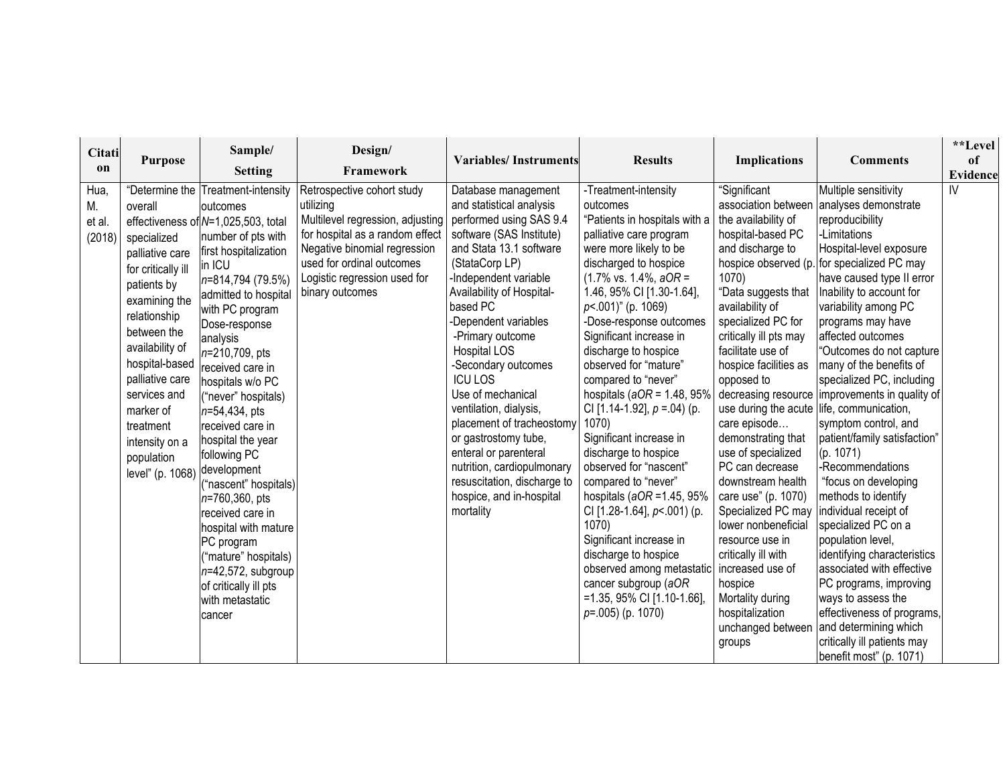| Citati                         | <b>Purpose</b>                                                                                                                                                                                                                                                                       | Sample/                                                                                                                                                                                                                                                                                                                                                                                                                                                                                                                                                                                                                                                       | Design/                                                                                                                                                                                                                        | <b>Variables/Instruments</b>                                                                                                                                                                                                                                                                                                                                                                                                                                                                                                                                 | <b>Results</b>                                                                                                                                                                                                                                                                                                                                                                                                                                                                                                                                                                                                                                                                                                                                                                                    | <b>Implications</b>                                                                                                                                                                                                                                                                                                                                                                                                                                                                                                                                                                       | <b>Comments</b>                                                                                                                                                                                                                                                                                                                                                                                                                                                                                                                                                                                                                                                                                                                                                                                                                                                                                                   | **Level<br>of   |
|--------------------------------|--------------------------------------------------------------------------------------------------------------------------------------------------------------------------------------------------------------------------------------------------------------------------------------|---------------------------------------------------------------------------------------------------------------------------------------------------------------------------------------------------------------------------------------------------------------------------------------------------------------------------------------------------------------------------------------------------------------------------------------------------------------------------------------------------------------------------------------------------------------------------------------------------------------------------------------------------------------|--------------------------------------------------------------------------------------------------------------------------------------------------------------------------------------------------------------------------------|--------------------------------------------------------------------------------------------------------------------------------------------------------------------------------------------------------------------------------------------------------------------------------------------------------------------------------------------------------------------------------------------------------------------------------------------------------------------------------------------------------------------------------------------------------------|---------------------------------------------------------------------------------------------------------------------------------------------------------------------------------------------------------------------------------------------------------------------------------------------------------------------------------------------------------------------------------------------------------------------------------------------------------------------------------------------------------------------------------------------------------------------------------------------------------------------------------------------------------------------------------------------------------------------------------------------------------------------------------------------------|-------------------------------------------------------------------------------------------------------------------------------------------------------------------------------------------------------------------------------------------------------------------------------------------------------------------------------------------------------------------------------------------------------------------------------------------------------------------------------------------------------------------------------------------------------------------------------------------|-------------------------------------------------------------------------------------------------------------------------------------------------------------------------------------------------------------------------------------------------------------------------------------------------------------------------------------------------------------------------------------------------------------------------------------------------------------------------------------------------------------------------------------------------------------------------------------------------------------------------------------------------------------------------------------------------------------------------------------------------------------------------------------------------------------------------------------------------------------------------------------------------------------------|-----------------|
| on                             |                                                                                                                                                                                                                                                                                      | <b>Setting</b>                                                                                                                                                                                                                                                                                                                                                                                                                                                                                                                                                                                                                                                | Framework                                                                                                                                                                                                                      |                                                                                                                                                                                                                                                                                                                                                                                                                                                                                                                                                              |                                                                                                                                                                                                                                                                                                                                                                                                                                                                                                                                                                                                                                                                                                                                                                                                   |                                                                                                                                                                                                                                                                                                                                                                                                                                                                                                                                                                                           |                                                                                                                                                                                                                                                                                                                                                                                                                                                                                                                                                                                                                                                                                                                                                                                                                                                                                                                   | <b>Evidence</b> |
| Hua,<br>М.<br>et al.<br>(2018) | overall<br>specialized<br>palliative care<br>for critically ill<br>patients by<br>examining the<br>relationship<br>between the<br>availability of<br>hospital-based<br>palliative care<br>services and<br>marker of<br>treatment<br>intensity on a<br>population<br>level" (p. 1068) | "Determine the Treatment-intensity<br><b>loutcomes</b><br>effectiveness of N=1,025,503, total<br>number of pts with<br>first hospitalization<br>in ICU<br>n=814,794 (79.5%)<br>admitted to hospital<br>with PC program<br>Dose-response<br>analysis<br>n=210,709, pts<br>received care in<br>hospitals w/o PC<br>("never" hospitals)<br>$n = 54,434, \text{pts}$<br>received care in<br>hospital the year<br>following PC<br>development<br>("nascent" hospitals)<br>$n=760,360, \text{pts}$<br>received care in<br>hospital with mature<br>PC program<br>("mature" hospitals)<br>$n=42,572$ , subgroup<br>of critically ill pts<br>with metastatic<br>cancer | Retrospective cohort study<br>utilizing<br>Multilevel regression, adjusting<br>for hospital as a random effect<br>Negative binomial regression<br>used for ordinal outcomes<br>Logistic regression used for<br>binary outcomes | Database management<br>and statistical analysis<br>performed using SAS 9.4<br>software (SAS Institute)<br>and Stata 13.1 software<br>(StataCorp LP)<br>Independent variable<br>Availability of Hospital-<br>based PC<br>-Dependent variables<br>-Primary outcome<br>Hospital LOS<br>-Secondary outcomes<br><b>ICU LOS</b><br>Use of mechanical<br>ventilation, dialysis,<br>placement of tracheostomy<br>or gastrostomy tube,<br>enteral or parenteral<br>nutrition, cardiopulmonary<br>resuscitation, discharge to<br>hospice, and in-hospital<br>mortality | -Treatment-intensity<br>outcomes<br>"Patients in hospitals with a<br>palliative care program<br>were more likely to be<br>discharged to hospice<br>$(1.7\% \text{ vs. } 1.4\%, aOR =$<br>1.46, 95% CI [1.30-1.64],<br>$p<.001$ )" (p. 1069)<br>-Dose-response outcomes<br>Significant increase in<br>discharge to hospice<br>observed for "mature"<br>compared to "never"<br>hospitals ( $aOR = 1.48$ , 95%<br>CI [1.14-1.92], $p = 0.04$ (p.<br>1070)<br>Significant increase in<br>discharge to hospice<br>observed for "nascent"<br>compared to "never"<br>hospitals (aOR =1.45, 95%<br>CI [1.28-1.64], p <. 001) (p.<br>1070)<br>Significant increase in<br>discharge to hospice<br>observed among metastatic<br>cancer subgroup (aOR<br>$=$ 1.35, 95% CI [1.10-1.66],<br>$p=.005)$ (p. 1070) | "Significant<br>association between<br>the availability of<br>hospital-based PC<br>and discharge to<br>1070)<br>"Data suggests that<br>availability of<br>specialized PC for<br>critically ill pts may<br>facilitate use of<br>hospice facilities as<br>opposed to<br>care episode<br>demonstrating that<br>use of specialized<br>PC can decrease<br>downstream health<br>care use" (p. 1070)<br>Specialized PC may<br>lower nonbeneficial<br>resource use in<br>critically ill with<br>increased use of<br>hospice<br>Mortality during<br>hospitalization<br>unchanged between<br>groups | Multiple sensitivity<br>analyses demonstrate<br>reproducibility<br>-Limitations<br>Hospital-level exposure<br>hospice observed (p. for specialized PC may<br>have caused type II error<br>Inability to account for<br>variability among PC<br>programs may have<br>affected outcomes<br>"Outcomes do not capture<br>many of the benefits of<br>specialized PC, including<br>decreasing resource improvements in quality of<br>use during the acute life, communication,<br>symptom control, and<br>patient/family satisfaction"<br>(p. 1071)<br>-Recommendations<br>"focus on developing<br>methods to identify<br>individual receipt of<br>specialized PC on a<br>population level,<br>identifying characteristics<br>associated with effective<br>PC programs, improving<br>ways to assess the<br>effectiveness of programs,<br>and determining which<br>critically ill patients may<br>benefit most" (p. 1071) | IV              |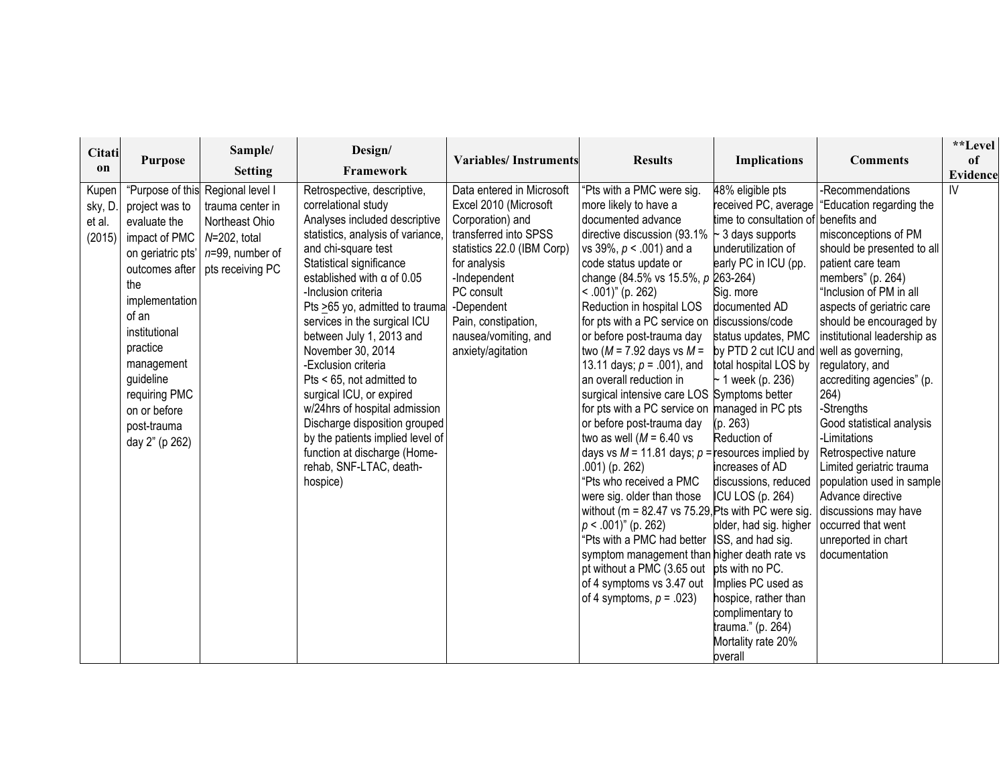| Citati                               |                                                                                                                                                                                                                                  | Sample/                                                                                                                                            | Design/                                                                                                                                                                                                                                                                                                                                                                                                                                                                                                                                                                                                                  |                                                                                                                                                                                                                                                               |                                                                                                                                                                                                                                                                                                                                                                                                                                                                                                                                                                                                                                                                                                                                                                                                                                                                                                                                                                                                  |                                                                                                                                                                                                                                                                                                                                                                                                                                                                                                                                                                     |                                                                                                                                                                                                                                                                                                                                                                                                                                                                                                                                                                                                     | **Level         |
|--------------------------------------|----------------------------------------------------------------------------------------------------------------------------------------------------------------------------------------------------------------------------------|----------------------------------------------------------------------------------------------------------------------------------------------------|--------------------------------------------------------------------------------------------------------------------------------------------------------------------------------------------------------------------------------------------------------------------------------------------------------------------------------------------------------------------------------------------------------------------------------------------------------------------------------------------------------------------------------------------------------------------------------------------------------------------------|---------------------------------------------------------------------------------------------------------------------------------------------------------------------------------------------------------------------------------------------------------------|--------------------------------------------------------------------------------------------------------------------------------------------------------------------------------------------------------------------------------------------------------------------------------------------------------------------------------------------------------------------------------------------------------------------------------------------------------------------------------------------------------------------------------------------------------------------------------------------------------------------------------------------------------------------------------------------------------------------------------------------------------------------------------------------------------------------------------------------------------------------------------------------------------------------------------------------------------------------------------------------------|---------------------------------------------------------------------------------------------------------------------------------------------------------------------------------------------------------------------------------------------------------------------------------------------------------------------------------------------------------------------------------------------------------------------------------------------------------------------------------------------------------------------------------------------------------------------|-----------------------------------------------------------------------------------------------------------------------------------------------------------------------------------------------------------------------------------------------------------------------------------------------------------------------------------------------------------------------------------------------------------------------------------------------------------------------------------------------------------------------------------------------------------------------------------------------------|-----------------|
| on                                   | <b>Purpose</b>                                                                                                                                                                                                                   | <b>Setting</b>                                                                                                                                     | Framework                                                                                                                                                                                                                                                                                                                                                                                                                                                                                                                                                                                                                | <b>Variables/Instruments</b>                                                                                                                                                                                                                                  | <b>Results</b>                                                                                                                                                                                                                                                                                                                                                                                                                                                                                                                                                                                                                                                                                                                                                                                                                                                                                                                                                                                   | <b>Implications</b>                                                                                                                                                                                                                                                                                                                                                                                                                                                                                                                                                 | <b>Comments</b>                                                                                                                                                                                                                                                                                                                                                                                                                                                                                                                                                                                     | of              |
|                                      |                                                                                                                                                                                                                                  |                                                                                                                                                    |                                                                                                                                                                                                                                                                                                                                                                                                                                                                                                                                                                                                                          |                                                                                                                                                                                                                                                               |                                                                                                                                                                                                                                                                                                                                                                                                                                                                                                                                                                                                                                                                                                                                                                                                                                                                                                                                                                                                  |                                                                                                                                                                                                                                                                                                                                                                                                                                                                                                                                                                     |                                                                                                                                                                                                                                                                                                                                                                                                                                                                                                                                                                                                     | <b>Evidence</b> |
| Kupen<br>sky, D.<br>et al.<br>(2015) | project was to<br>evaluate the<br>impact of PMC<br>on geriatric pts'<br>the<br>implementation<br>of an<br>institutional<br>practice<br>management<br>guideline<br>requiring PMC<br>on or before<br>post-trauma<br>day 2" (p 262) | "Purpose of this Regional level I<br>trauma center in<br>Northeast Ohio<br>$N=202$ , total<br>n=99, number of<br>outcomes after   pts receiving PC | Retrospective, descriptive,<br>correlational study<br>Analyses included descriptive<br>statistics, analysis of variance,<br>and chi-square test<br>Statistical significance<br>established with $\alpha$ of 0.05<br>-Inclusion criteria<br>Pts >65 yo, admitted to traumal<br>services in the surgical ICU<br>between July 1, 2013 and<br>November 30, 2014<br>-Exclusion criteria<br>Pts < 65, not admitted to<br>surgical ICU, or expired<br>w/24hrs of hospital admission<br>Discharge disposition grouped<br>by the patients implied level of<br>function at discharge (Home-<br>rehab, SNF-LTAC, death-<br>hospice) | Data entered in Microsoft<br>Excel 2010 (Microsoft<br>Corporation) and<br>transferred into SPSS<br>statistics 22.0 (IBM Corp)<br>for analysis<br>-Independent<br>PC consult<br>-Dependent<br>Pain, constipation,<br>nausea/vomiting, and<br>anxiety/agitation | "Pts with a PMC were sig.<br>more likely to have a<br>documented advance<br>directive discussion (93.1%<br>vs 39%, $p < .001$ ) and a<br>code status update or<br>change (84.5% vs 15.5%, p 263-264)<br>$< .001$ )" (p. 262)<br>Reduction in hospital LOS<br>for pts with a PC service on discussions/code<br>or before post-trauma day<br>two ( $M = 7.92$ days vs $M =$<br>13.11 days; $p = .001$ ), and<br>an overall reduction in<br>surgical intensive care LOS Symptoms better<br>for pts with a PC service on managed in PC pts<br>or before post-trauma day<br>two as well ( $M = 6.40$ vs<br>days vs $M = 11.81$ days; $p =$ resources implied by<br>.001) (p. 262)<br>"Pts who received a PMC<br>were sig. older than those<br>without ( $m = 82.47$ vs 75.29, Pts with PC were sig.<br>$p < .001$ )" (p. 262)<br>"Pts with a PMC had better<br>symptom management than higher death rate vs<br>pt without a PMC (3.65 out<br>of 4 symptoms vs 3.47 out<br>of 4 symptoms, $p = .023$ ) | 48% eligible pts<br>received PC, average<br>time to consultation of benefits and<br>~ 3 days supports<br>underutilization of<br>early PC in ICU (pp.<br>Sig. more<br>documented AD<br>status updates, PMC<br>by PTD 2 cut ICU and<br>total hospital LOS by<br>~1 week (p. 236)<br>(p. 263)<br>Reduction of<br>increases of AD<br>discussions, reduced<br>ICU LOS (p. 264)<br>plder, had sig. higher<br>ISS, and had sig.<br>pts with no PC.<br>Implies PC used as<br>hospice, rather than<br>complimentary to<br>trauma." (p. 264)<br>Mortality rate 20%<br>overall | -Recommendations<br>"Education regarding the<br>misconceptions of PM<br>should be presented to all<br>patient care team<br>members" (p. 264)<br>"Inclusion of PM in all<br>aspects of geriatric care<br>should be encouraged by<br>institutional leadership as<br>well as governing,<br>regulatory, and<br>accrediting agencies" (p.<br>264)<br>-Strengths<br>Good statistical analysis<br>-Limitations<br>Retrospective nature<br>Limited geriatric trauma<br>population used in sample<br>Advance directive<br>discussions may have<br>occurred that went<br>unreported in chart<br>documentation | $\mathsf{IV}$   |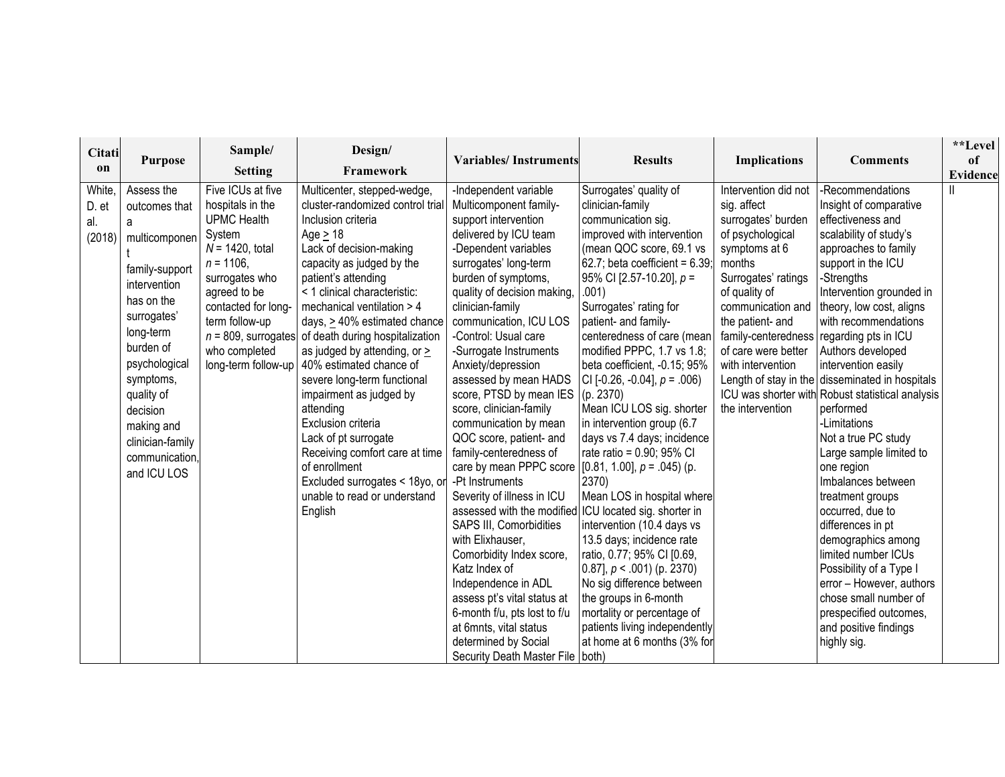| Citati<br><sub>on</sub>          | <b>Purpose</b>                                                                                                                                                                                                                                                        | Sample/<br><b>Setting</b>                                                                                                                                                                                                      | Design/<br>Framework                                                                                                                                                                                                                                                                                                                                                                                                                                                                                                                                                                                                                                          | <b>Variables/Instruments</b>                                                                                                                                                                                                                                                                                                                                                                                                                                                                                                                                                                                                                                                                                                                                                                                                                                                                                                            | <b>Results</b>                                                                                                                                                                                                                                                                                                                                                                                                                                                                                                                                                                                                                                                                                                                                                                                                                                   | <b>Implications</b>                                                                                                                                                                                                                                                              | <b>Comments</b>                                                                                                                                                                                                                                                                                                                                                                                                                                                                                                                                                                                                                                                                                                                                                                                 | **Level<br>of<br>Evidence |
|----------------------------------|-----------------------------------------------------------------------------------------------------------------------------------------------------------------------------------------------------------------------------------------------------------------------|--------------------------------------------------------------------------------------------------------------------------------------------------------------------------------------------------------------------------------|---------------------------------------------------------------------------------------------------------------------------------------------------------------------------------------------------------------------------------------------------------------------------------------------------------------------------------------------------------------------------------------------------------------------------------------------------------------------------------------------------------------------------------------------------------------------------------------------------------------------------------------------------------------|-----------------------------------------------------------------------------------------------------------------------------------------------------------------------------------------------------------------------------------------------------------------------------------------------------------------------------------------------------------------------------------------------------------------------------------------------------------------------------------------------------------------------------------------------------------------------------------------------------------------------------------------------------------------------------------------------------------------------------------------------------------------------------------------------------------------------------------------------------------------------------------------------------------------------------------------|--------------------------------------------------------------------------------------------------------------------------------------------------------------------------------------------------------------------------------------------------------------------------------------------------------------------------------------------------------------------------------------------------------------------------------------------------------------------------------------------------------------------------------------------------------------------------------------------------------------------------------------------------------------------------------------------------------------------------------------------------------------------------------------------------------------------------------------------------|----------------------------------------------------------------------------------------------------------------------------------------------------------------------------------------------------------------------------------------------------------------------------------|-------------------------------------------------------------------------------------------------------------------------------------------------------------------------------------------------------------------------------------------------------------------------------------------------------------------------------------------------------------------------------------------------------------------------------------------------------------------------------------------------------------------------------------------------------------------------------------------------------------------------------------------------------------------------------------------------------------------------------------------------------------------------------------------------|---------------------------|
| White,<br>D. et<br>al.<br>(2018) | Assess the<br>outcomes that<br>a<br>multicomponen<br>family-support<br>intervention<br>has on the<br>surrogates'<br>long-term<br>burden of<br>psychological<br>symptoms,<br>quality of<br>decision<br>making and<br>clinician-family<br>communication.<br>and ICU LOS | Five ICUs at five<br>hospitals in the<br><b>UPMC Health</b><br>System<br>$N = 1420$ , total<br>$n = 1106$ ,<br>surrogates who<br>agreed to be<br>contacted for long-<br>term follow-up<br>who completed<br>long-term follow-up | Multicenter, stepped-wedge,<br>cluster-randomized control trial<br>Inclusion criteria<br>Age $\geq$ 18<br>Lack of decision-making<br>capacity as judged by the<br>patient's attending<br>< 1 clinical characteristic:<br>mechanical ventilation > 4<br>days, > 40% estimated chance<br>$n = 809$ , surrogates of death during hospitalization<br>as judged by attending, or ><br>40% estimated chance of<br>severe long-term functional<br>impairment as judged by<br>attending<br>Exclusion criteria<br>Lack of pt surrogate<br>Receiving comfort care at time<br>of enrollment<br>Excluded surrogates < 18yo, or<br>unable to read or understand<br>English | -Independent variable<br>Multicomponent family-<br>support intervention<br>delivered by ICU team<br>-Dependent variables<br>surrogates' long-term<br>burden of symptoms,<br>quality of decision making,<br>clinician-family<br>communication, ICU LOS<br>-Control: Usual care<br>-Surrogate Instruments<br>Anxiety/depression<br>assessed by mean HADS<br>score, PTSD by mean IES<br>score, clinician-family<br>communication by mean<br>QOC score, patient- and<br>family-centeredness of<br>care by mean PPPC score $[0.81, 1.00], p = .045$ (p.<br>-Pt Instruments<br>Severity of illness in ICU<br>assessed with the modified ICU located sig. shorter in<br>SAPS III, Comorbidities<br>with Elixhauser.<br>Comorbidity Index score,<br>Katz Index of<br>Independence in ADL<br>assess pt's vital status at<br>6-month f/u, pts lost to f/u<br>at 6mnts, vital status<br>determined by Social<br>Security Death Master File   both) | Surrogates' quality of<br>clinician-family<br>communication sig.<br>improved with intervention<br>(mean QOC score, 69.1 vs<br>62.7; beta coefficient = $6.39$ ;<br>95% CI [2.57-10.20], $p =$<br>.001)<br>Surrogates' rating for<br>patient- and family-<br>centeredness of care (mean<br>modified PPPC, 1.7 vs 1.8;<br>beta coefficient, -0.15; 95%<br>CI [-0.26, -0.04], $p = .006$ )<br>(p. 2370)<br>Mean ICU LOS sig. shorter<br>in intervention group (6.7<br>days vs 7.4 days; incidence<br>rate ratio = 0.90; 95% CI<br>2370)<br>Mean LOS in hospital where<br>intervention (10.4 days vs<br>13.5 days; incidence rate<br>ratio, 0.77; 95% CI [0.69,<br>0.87], $p < .001$ ) (p. 2370)<br>No sig difference between<br>the groups in 6-month<br>mortality or percentage of<br>patients living independently<br>at home at 6 months (3% for | Intervention did not<br>sig. affect<br>surrogates' burden<br>of psychological<br>symptoms at 6<br>months<br>Surrogates' ratings<br>of quality of<br>communication and<br>the patient- and<br>family-centeredness<br>of care were better<br>with intervention<br>the intervention | -Recommendations<br>Insight of comparative<br>effectiveness and<br>scalability of study's<br>approaches to family<br>support in the ICU<br>-Strengths<br>Intervention grounded in<br>theory, low cost, aligns<br>with recommendations<br>regarding pts in ICU<br>Authors developed<br>intervention easily<br>Length of stay in the disseminated in hospitals<br>ICU was shorter with Robust statistical analysis<br>performed<br>-Limitations<br>Not a true PC study<br>Large sample limited to<br>one region<br>Imbalances between<br>treatment groups<br>occurred, due to<br>differences in pt<br>demographics among<br>limited number ICUs<br>Possibility of a Type I<br>error - However, authors<br>chose small number of<br>prespecified outcomes,<br>and positive findings<br>highly sig. |                           |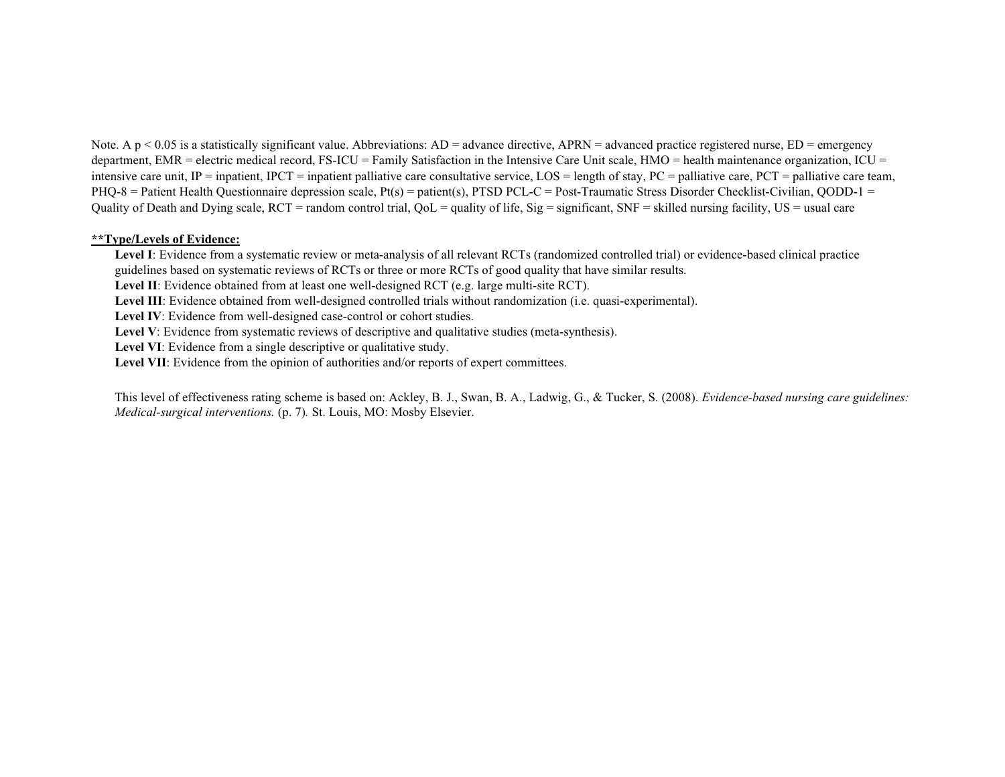Note. A  $p < 0.05$  is a statistically significant value. Abbreviations:  $AD =$  advance directive,  $APRN =$  advanced practice registered nurse,  $ED =$  emergency department, EMR = electric medical record, FS-ICU = Family Satisfaction in the Intensive Care Unit scale,  $HMO =$  health maintenance organization, ICU = intensive care unit,  $IP =$  inpatient, IPCT = inpatient palliative care consultative service,  $LOS =$  length of stay,  $PC =$  palliative care,  $PCT =$  palliative care team, PHQ-8 = Patient Health Questionnaire depression scale, Pt(s) = patient(s), PTSD PCL-C = Post-Traumatic Stress Disorder Checklist-Civilian, QODD-1 = Quality of Death and Dying scale,  $RCT$  = random control trial,  $QoL$  = quality of life,  $Sig$  = significant,  $SNF$  = skilled nursing facility,  $US$  = usual care

#### **\*\*Type/Levels of Evidence:**

**Level I**: Evidence from a systematic review or meta-analysis of all relevant RCTs (randomized controlled trial) or evidence-based clinical practice guidelines based on systematic reviews of RCTs or three or more RCTs of good quality that have similar results.

**Level II**: Evidence obtained from at least one well-designed RCT (e.g. large multi-site RCT).

**Level III**: Evidence obtained from well-designed controlled trials without randomization (i.e. quasi-experimental).

**Level IV**: Evidence from well-designed case-control or cohort studies.

Level V: Evidence from systematic reviews of descriptive and qualitative studies (meta-synthesis).

Level VI: Evidence from a single descriptive or qualitative study.

Level VII: Evidence from the opinion of authorities and/or reports of expert committees.

This level of effectiveness rating scheme is based on: Ackley, B. J., Swan, B. A., Ladwig, G., & Tucker, S. (2008). *Evidence-based nursing care guidelines: Medical-surgical interventions.* (p. 7)*.* St. Louis, MO: Mosby Elsevier.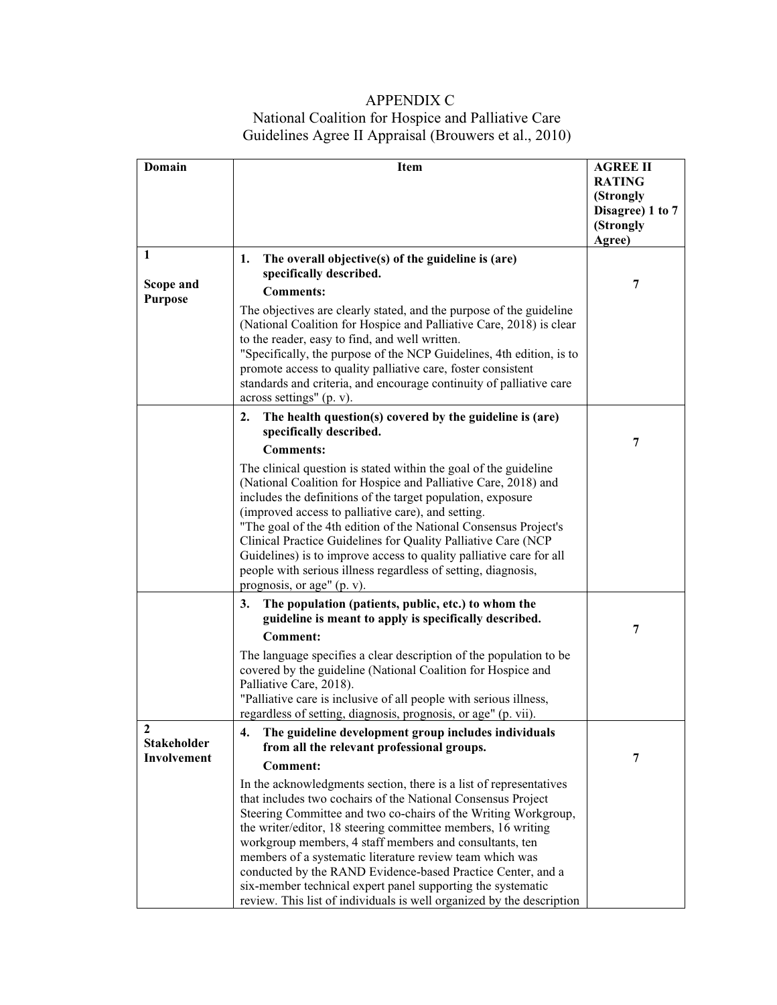# APPENDIX C National Coalition for Hospice and Palliative Care Guidelines Agree II Appraisal (Brouwers et al., 2010)

| <b>Domain</b>      | Item                                                                                                                                | <b>AGREE II</b>  |
|--------------------|-------------------------------------------------------------------------------------------------------------------------------------|------------------|
|                    |                                                                                                                                     | <b>RATING</b>    |
|                    |                                                                                                                                     | (Strongly        |
|                    |                                                                                                                                     | Disagree) 1 to 7 |
|                    |                                                                                                                                     | (Strongly        |
|                    |                                                                                                                                     | Agree)           |
| 1                  | The overall objective(s) of the guideline is (are)<br>1.                                                                            |                  |
|                    | specifically described.                                                                                                             |                  |
| Scope and          | <b>Comments:</b>                                                                                                                    | 7                |
| <b>Purpose</b>     | The objectives are clearly stated, and the purpose of the guideline                                                                 |                  |
|                    | (National Coalition for Hospice and Palliative Care, 2018) is clear                                                                 |                  |
|                    | to the reader, easy to find, and well written.                                                                                      |                  |
|                    | "Specifically, the purpose of the NCP Guidelines, 4th edition, is to                                                                |                  |
|                    | promote access to quality palliative care, foster consistent                                                                        |                  |
|                    | standards and criteria, and encourage continuity of palliative care                                                                 |                  |
|                    | across settings" (p. v).                                                                                                            |                  |
|                    | The health question(s) covered by the guideline is (are)<br>2.                                                                      |                  |
|                    | specifically described.                                                                                                             |                  |
|                    | <b>Comments:</b>                                                                                                                    | 7                |
|                    | The clinical question is stated within the goal of the guideline                                                                    |                  |
|                    | (National Coalition for Hospice and Palliative Care, 2018) and                                                                      |                  |
|                    | includes the definitions of the target population, exposure                                                                         |                  |
|                    | (improved access to palliative care), and setting.                                                                                  |                  |
|                    | "The goal of the 4th edition of the National Consensus Project's                                                                    |                  |
|                    | Clinical Practice Guidelines for Quality Palliative Care (NCP                                                                       |                  |
|                    | Guidelines) is to improve access to quality palliative care for all                                                                 |                  |
|                    | people with serious illness regardless of setting, diagnosis,                                                                       |                  |
|                    | prognosis, or age" (p. v).                                                                                                          |                  |
|                    | The population (patients, public, etc.) to whom the<br>3.                                                                           |                  |
|                    | guideline is meant to apply is specifically described.                                                                              | 7                |
|                    | <b>Comment:</b>                                                                                                                     |                  |
|                    | The language specifies a clear description of the population to be                                                                  |                  |
|                    | covered by the guideline (National Coalition for Hospice and                                                                        |                  |
|                    | Palliative Care, 2018).                                                                                                             |                  |
|                    | "Palliative care is inclusive of all people with serious illness,<br>regardless of setting, diagnosis, prognosis, or age" (p. vii). |                  |
| 2                  |                                                                                                                                     |                  |
| <b>Stakeholder</b> | The guideline development group includes individuals<br>4.<br>from all the relevant professional groups.                            |                  |
| Involvement        |                                                                                                                                     | 7                |
|                    | <b>Comment:</b>                                                                                                                     |                  |
|                    | In the acknowledgments section, there is a list of representatives                                                                  |                  |
|                    | that includes two cochairs of the National Consensus Project                                                                        |                  |
|                    | Steering Committee and two co-chairs of the Writing Workgroup,                                                                      |                  |
|                    | the writer/editor, 18 steering committee members, 16 writing<br>workgroup members, 4 staff members and consultants, ten             |                  |
|                    | members of a systematic literature review team which was                                                                            |                  |
|                    | conducted by the RAND Evidence-based Practice Center, and a                                                                         |                  |
|                    | six-member technical expert panel supporting the systematic                                                                         |                  |
|                    | review. This list of individuals is well organized by the description                                                               |                  |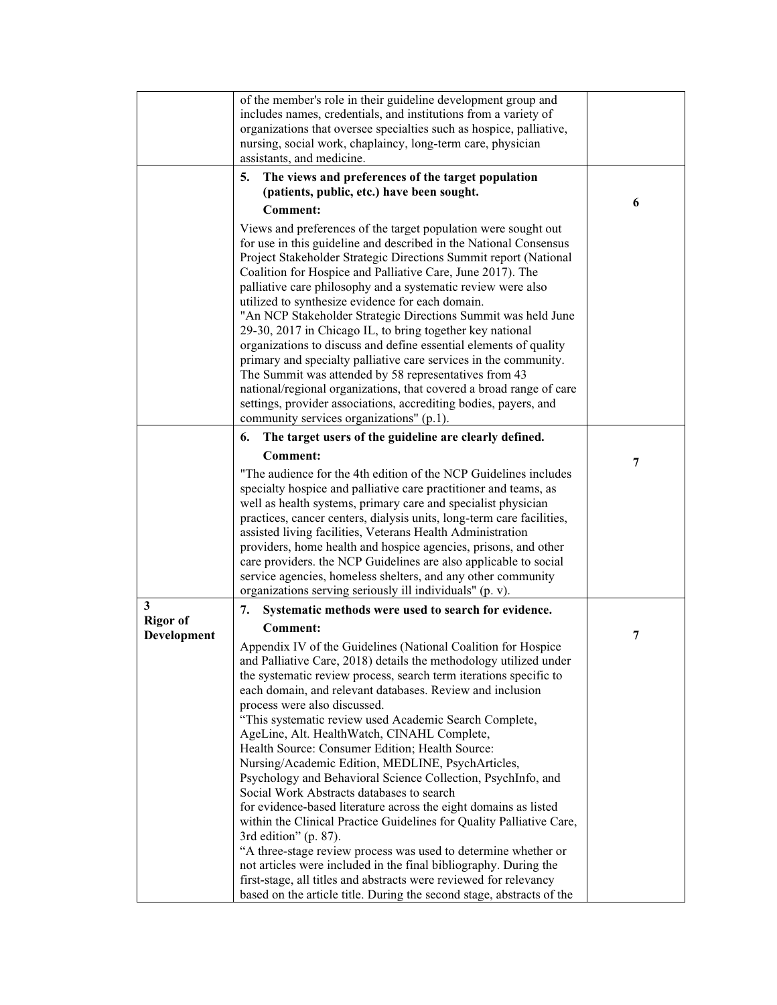|                                     | of the member's role in their guideline development group and<br>includes names, credentials, and institutions from a variety of<br>organizations that oversee specialties such as hospice, palliative,<br>nursing, social work, chaplaincy, long-term care, physician<br>assistants, and medicine.                                                                                                                                                                                                                                                                                                                                                                                                                                                                                                                                                                                                                                                                                                                                                                                                                                                                          |   |
|-------------------------------------|------------------------------------------------------------------------------------------------------------------------------------------------------------------------------------------------------------------------------------------------------------------------------------------------------------------------------------------------------------------------------------------------------------------------------------------------------------------------------------------------------------------------------------------------------------------------------------------------------------------------------------------------------------------------------------------------------------------------------------------------------------------------------------------------------------------------------------------------------------------------------------------------------------------------------------------------------------------------------------------------------------------------------------------------------------------------------------------------------------------------------------------------------------------------------|---|
|                                     | The views and preferences of the target population<br>5.<br>(patients, public, etc.) have been sought.                                                                                                                                                                                                                                                                                                                                                                                                                                                                                                                                                                                                                                                                                                                                                                                                                                                                                                                                                                                                                                                                       | 6 |
|                                     | <b>Comment:</b><br>Views and preferences of the target population were sought out<br>for use in this guideline and described in the National Consensus<br>Project Stakeholder Strategic Directions Summit report (National<br>Coalition for Hospice and Palliative Care, June 2017). The<br>palliative care philosophy and a systematic review were also<br>utilized to synthesize evidence for each domain.<br>"An NCP Stakeholder Strategic Directions Summit was held June<br>29-30, 2017 in Chicago IL, to bring together key national<br>organizations to discuss and define essential elements of quality<br>primary and specialty palliative care services in the community.<br>The Summit was attended by 58 representatives from 43<br>national/regional organizations, that covered a broad range of care<br>settings, provider associations, accrediting bodies, payers, and<br>community services organizations" (p.1).                                                                                                                                                                                                                                          |   |
|                                     | The target users of the guideline are clearly defined.<br>6.<br><b>Comment:</b><br>"The audience for the 4th edition of the NCP Guidelines includes<br>specialty hospice and palliative care practitioner and teams, as<br>well as health systems, primary care and specialist physician<br>practices, cancer centers, dialysis units, long-term care facilities,<br>assisted living facilities, Veterans Health Administration<br>providers, home health and hospice agencies, prisons, and other<br>care providers. the NCP Guidelines are also applicable to social<br>service agencies, homeless shelters, and any other community<br>organizations serving seriously ill individuals" (p. v).                                                                                                                                                                                                                                                                                                                                                                                                                                                                           | 7 |
| 3<br><b>Rigor of</b><br>Development | 7.<br>Systematic methods were used to search for evidence.<br><b>Comment:</b><br>Appendix IV of the Guidelines (National Coalition for Hospice<br>and Palliative Care, 2018) details the methodology utilized under<br>the systematic review process, search term iterations specific to<br>each domain, and relevant databases. Review and inclusion<br>process were also discussed.<br>"This systematic review used Academic Search Complete,<br>AgeLine, Alt. HealthWatch, CINAHL Complete,<br>Health Source: Consumer Edition; Health Source:<br>Nursing/Academic Edition, MEDLINE, PsychArticles,<br>Psychology and Behavioral Science Collection, PsychInfo, and<br>Social Work Abstracts databases to search<br>for evidence-based literature across the eight domains as listed<br>within the Clinical Practice Guidelines for Quality Palliative Care,<br>3rd edition" (p. 87).<br>"A three-stage review process was used to determine whether or<br>not articles were included in the final bibliography. During the<br>first-stage, all titles and abstracts were reviewed for relevancy<br>based on the article title. During the second stage, abstracts of the | 7 |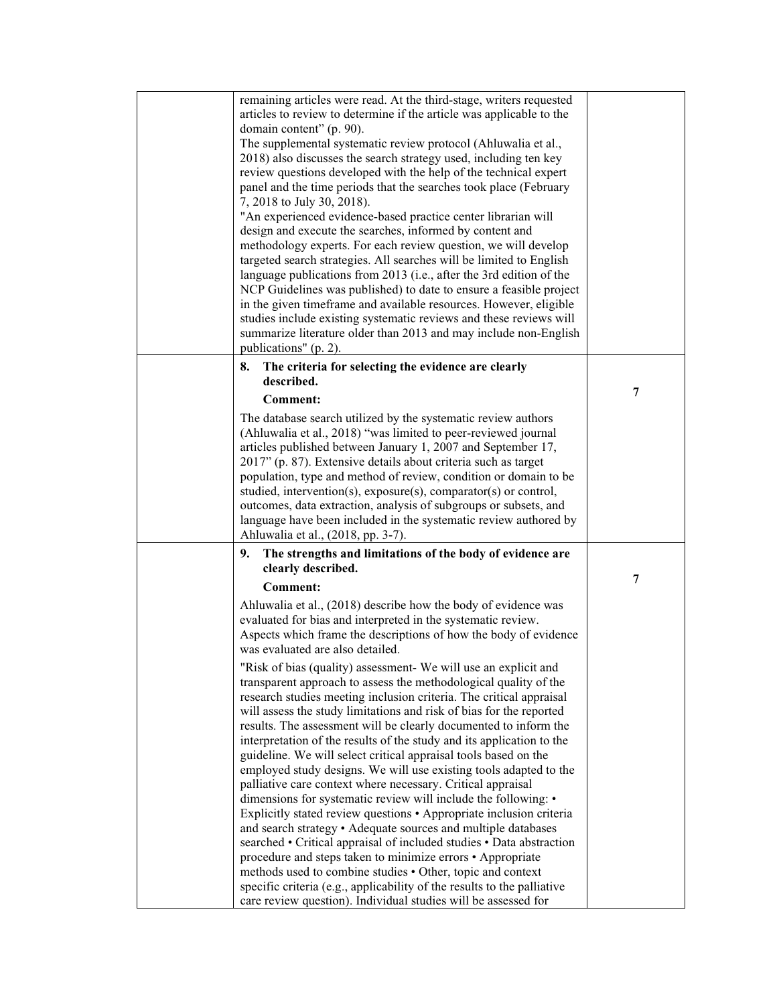| remaining articles were read. At the third-stage, writers requested     |   |
|-------------------------------------------------------------------------|---|
| articles to review to determine if the article was applicable to the    |   |
| domain content" (p. 90).                                                |   |
| The supplemental systematic review protocol (Ahluwalia et al.,          |   |
| 2018) also discusses the search strategy used, including ten key        |   |
|                                                                         |   |
| review questions developed with the help of the technical expert        |   |
| panel and the time periods that the searches took place (February       |   |
| 7, 2018 to July 30, 2018).                                              |   |
| "An experienced evidence-based practice center librarian will           |   |
| design and execute the searches, informed by content and                |   |
| methodology experts. For each review question, we will develop          |   |
| targeted search strategies. All searches will be limited to English     |   |
| language publications from 2013 (i.e., after the 3rd edition of the     |   |
| NCP Guidelines was published) to date to ensure a feasible project      |   |
| in the given timeframe and available resources. However, eligible       |   |
| studies include existing systematic reviews and these reviews will      |   |
| summarize literature older than 2013 and may include non-English        |   |
| publications" (p. 2).                                                   |   |
|                                                                         |   |
| The criteria for selecting the evidence are clearly<br>8.               |   |
| described.                                                              | 7 |
| <b>Comment:</b>                                                         |   |
| The database search utilized by the systematic review authors           |   |
| (Ahluwalia et al., 2018) "was limited to peer-reviewed journal          |   |
| articles published between January 1, 2007 and September 17,            |   |
| 2017" (p. 87). Extensive details about criteria such as target          |   |
| population, type and method of review, condition or domain to be        |   |
|                                                                         |   |
| studied, intervention(s), exposure(s), comparator(s) or control,        |   |
| outcomes, data extraction, analysis of subgroups or subsets, and        |   |
| language have been included in the systematic review authored by        |   |
| Ahluwalia et al., (2018, pp. 3-7).                                      |   |
| The strengths and limitations of the body of evidence are<br>9.         |   |
| clearly described.                                                      |   |
| <b>Comment:</b>                                                         | 7 |
| Ahluwalia et al., (2018) describe how the body of evidence was          |   |
|                                                                         |   |
| evaluated for bias and interpreted in the systematic review.            |   |
| Aspects which frame the descriptions of how the body of evidence        |   |
| was evaluated are also detailed.                                        |   |
| "Risk of bias (quality) assessment- We will use an explicit and         |   |
| transparent approach to assess the methodological quality of the        |   |
| research studies meeting inclusion criteria. The critical appraisal     |   |
| will assess the study limitations and risk of bias for the reported     |   |
| results. The assessment will be clearly documented to inform the        |   |
| interpretation of the results of the study and its application to the   |   |
| guideline. We will select critical appraisal tools based on the         |   |
| employed study designs. We will use existing tools adapted to the       |   |
| palliative care context where necessary. Critical appraisal             |   |
| dimensions for systematic review will include the following: •          |   |
| Explicitly stated review questions • Appropriate inclusion criteria     |   |
|                                                                         |   |
| and search strategy • Adequate sources and multiple databases           |   |
| searched • Critical appraisal of included studies • Data abstraction    |   |
| procedure and steps taken to minimize errors • Appropriate              |   |
| methods used to combine studies • Other, topic and context              |   |
| specific criteria (e.g., applicability of the results to the palliative |   |
| care review question). Individual studies will be assessed for          |   |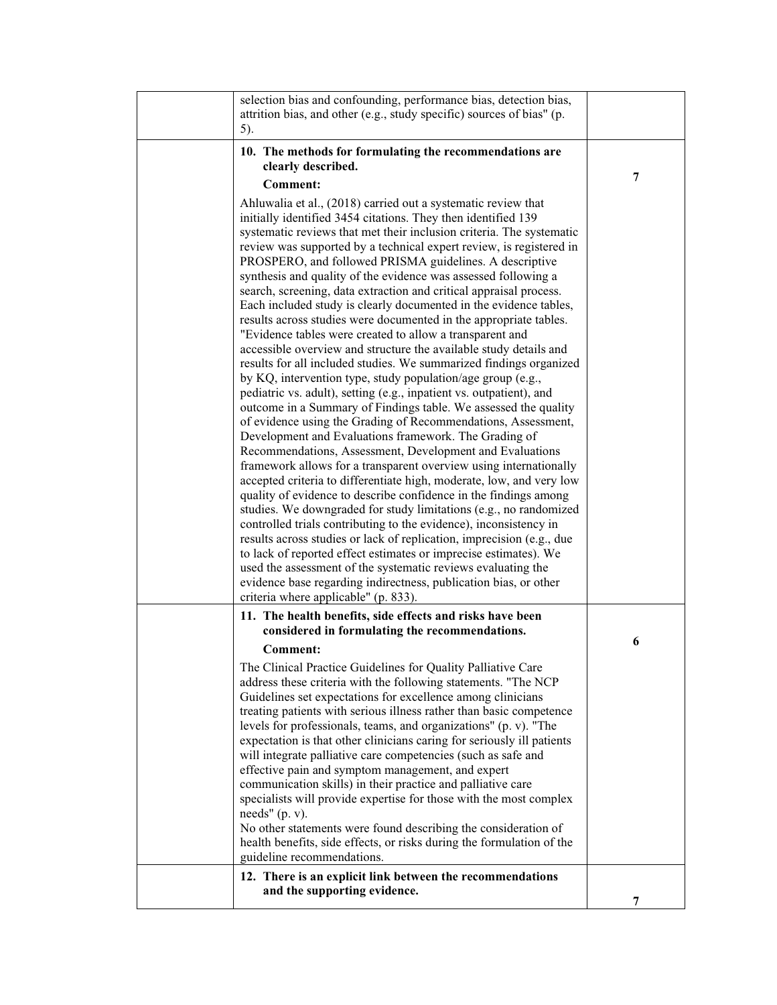| selection bias and confounding, performance bias, detection bias,<br>attrition bias, and other (e.g., study specific) sources of bias" (p.<br>5).                                                                                                                                                                                                                                                                                                                                                                                                                                                                                                                                                                                                                                                                                                                                                                                                                                                                                                                                                                                                                                                                                                                                                                                                                                                                                                                                                                                                                                                                                                                                                                                                                                                                                                                                                                    |   |
|----------------------------------------------------------------------------------------------------------------------------------------------------------------------------------------------------------------------------------------------------------------------------------------------------------------------------------------------------------------------------------------------------------------------------------------------------------------------------------------------------------------------------------------------------------------------------------------------------------------------------------------------------------------------------------------------------------------------------------------------------------------------------------------------------------------------------------------------------------------------------------------------------------------------------------------------------------------------------------------------------------------------------------------------------------------------------------------------------------------------------------------------------------------------------------------------------------------------------------------------------------------------------------------------------------------------------------------------------------------------------------------------------------------------------------------------------------------------------------------------------------------------------------------------------------------------------------------------------------------------------------------------------------------------------------------------------------------------------------------------------------------------------------------------------------------------------------------------------------------------------------------------------------------------|---|
| 10. The methods for formulating the recommendations are<br>clearly described.                                                                                                                                                                                                                                                                                                                                                                                                                                                                                                                                                                                                                                                                                                                                                                                                                                                                                                                                                                                                                                                                                                                                                                                                                                                                                                                                                                                                                                                                                                                                                                                                                                                                                                                                                                                                                                        |   |
| <b>Comment:</b>                                                                                                                                                                                                                                                                                                                                                                                                                                                                                                                                                                                                                                                                                                                                                                                                                                                                                                                                                                                                                                                                                                                                                                                                                                                                                                                                                                                                                                                                                                                                                                                                                                                                                                                                                                                                                                                                                                      | 7 |
| Ahluwalia et al., (2018) carried out a systematic review that<br>initially identified 3454 citations. They then identified 139<br>systematic reviews that met their inclusion criteria. The systematic<br>review was supported by a technical expert review, is registered in<br>PROSPERO, and followed PRISMA guidelines. A descriptive<br>synthesis and quality of the evidence was assessed following a<br>search, screening, data extraction and critical appraisal process.<br>Each included study is clearly documented in the evidence tables,<br>results across studies were documented in the appropriate tables.<br>"Evidence tables were created to allow a transparent and<br>accessible overview and structure the available study details and<br>results for all included studies. We summarized findings organized<br>by KQ, intervention type, study population/age group (e.g.,<br>pediatric vs. adult), setting (e.g., inpatient vs. outpatient), and<br>outcome in a Summary of Findings table. We assessed the quality<br>of evidence using the Grading of Recommendations, Assessment,<br>Development and Evaluations framework. The Grading of<br>Recommendations, Assessment, Development and Evaluations<br>framework allows for a transparent overview using internationally<br>accepted criteria to differentiate high, moderate, low, and very low<br>quality of evidence to describe confidence in the findings among<br>studies. We downgraded for study limitations (e.g., no randomized<br>controlled trials contributing to the evidence), inconsistency in<br>results across studies or lack of replication, imprecision (e.g., due<br>to lack of reported effect estimates or imprecise estimates). We<br>used the assessment of the systematic reviews evaluating the<br>evidence base regarding indirectness, publication bias, or other<br>criteria where applicable" (p. 833). |   |
| 11. The health benefits, side effects and risks have been<br>considered in formulating the recommendations.                                                                                                                                                                                                                                                                                                                                                                                                                                                                                                                                                                                                                                                                                                                                                                                                                                                                                                                                                                                                                                                                                                                                                                                                                                                                                                                                                                                                                                                                                                                                                                                                                                                                                                                                                                                                          |   |
| <b>Comment:</b>                                                                                                                                                                                                                                                                                                                                                                                                                                                                                                                                                                                                                                                                                                                                                                                                                                                                                                                                                                                                                                                                                                                                                                                                                                                                                                                                                                                                                                                                                                                                                                                                                                                                                                                                                                                                                                                                                                      | 6 |
| The Clinical Practice Guidelines for Quality Palliative Care<br>address these criteria with the following statements. "The NCP<br>Guidelines set expectations for excellence among clinicians<br>treating patients with serious illness rather than basic competence<br>levels for professionals, teams, and organizations" (p. v). "The<br>expectation is that other clinicians caring for seriously ill patients<br>will integrate palliative care competencies (such as safe and<br>effective pain and symptom management, and expert<br>communication skills) in their practice and palliative care<br>specialists will provide expertise for those with the most complex<br>needs" $(p. v)$ .<br>No other statements were found describing the consideration of<br>health benefits, side effects, or risks during the formulation of the<br>guideline recommendations.                                                                                                                                                                                                                                                                                                                                                                                                                                                                                                                                                                                                                                                                                                                                                                                                                                                                                                                                                                                                                                          |   |
| 12. There is an explicit link between the recommendations<br>and the supporting evidence.                                                                                                                                                                                                                                                                                                                                                                                                                                                                                                                                                                                                                                                                                                                                                                                                                                                                                                                                                                                                                                                                                                                                                                                                                                                                                                                                                                                                                                                                                                                                                                                                                                                                                                                                                                                                                            |   |
|                                                                                                                                                                                                                                                                                                                                                                                                                                                                                                                                                                                                                                                                                                                                                                                                                                                                                                                                                                                                                                                                                                                                                                                                                                                                                                                                                                                                                                                                                                                                                                                                                                                                                                                                                                                                                                                                                                                      | 7 |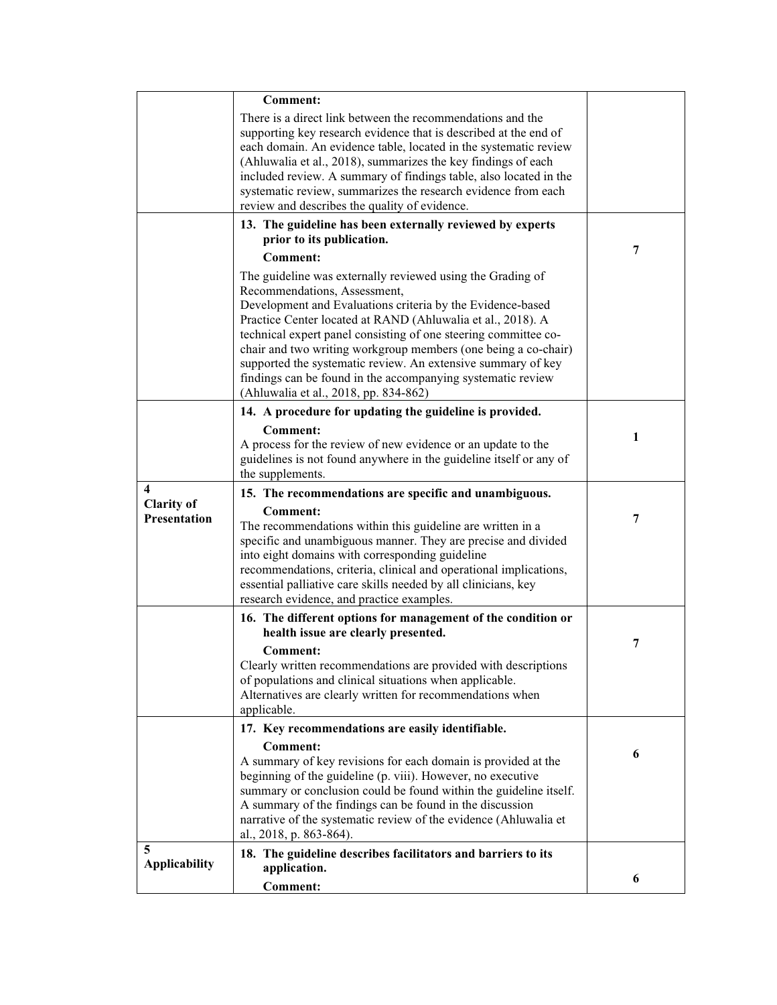|                                   | <b>Comment:</b>                                                                                                                                                                                                                                                                                                                                                                                                                                            |   |
|-----------------------------------|------------------------------------------------------------------------------------------------------------------------------------------------------------------------------------------------------------------------------------------------------------------------------------------------------------------------------------------------------------------------------------------------------------------------------------------------------------|---|
|                                   | There is a direct link between the recommendations and the<br>supporting key research evidence that is described at the end of<br>each domain. An evidence table, located in the systematic review<br>(Ahluwalia et al., 2018), summarizes the key findings of each<br>included review. A summary of findings table, also located in the<br>systematic review, summarizes the research evidence from each<br>review and describes the quality of evidence. |   |
|                                   | 13. The guideline has been externally reviewed by experts                                                                                                                                                                                                                                                                                                                                                                                                  |   |
|                                   | prior to its publication.                                                                                                                                                                                                                                                                                                                                                                                                                                  | 7 |
|                                   | <b>Comment:</b><br>The guideline was externally reviewed using the Grading of                                                                                                                                                                                                                                                                                                                                                                              |   |
|                                   | Recommendations, Assessment,<br>Development and Evaluations criteria by the Evidence-based<br>Practice Center located at RAND (Ahluwalia et al., 2018). A<br>technical expert panel consisting of one steering committee co-<br>chair and two writing workgroup members (one being a co-chair)<br>supported the systematic review. An extensive summary of key                                                                                             |   |
|                                   | findings can be found in the accompanying systematic review<br>(Ahluwalia et al., 2018, pp. 834-862)                                                                                                                                                                                                                                                                                                                                                       |   |
|                                   | 14. A procedure for updating the guideline is provided.                                                                                                                                                                                                                                                                                                                                                                                                    |   |
|                                   | <b>Comment:</b><br>A process for the review of new evidence or an update to the<br>guidelines is not found anywhere in the guideline itself or any of<br>the supplements.                                                                                                                                                                                                                                                                                  | 1 |
|                                   |                                                                                                                                                                                                                                                                                                                                                                                                                                                            |   |
| 4                                 | 15. The recommendations are specific and unambiguous.                                                                                                                                                                                                                                                                                                                                                                                                      |   |
| <b>Clarity of</b><br>Presentation | <b>Comment:</b><br>The recommendations within this guideline are written in a<br>specific and unambiguous manner. They are precise and divided<br>into eight domains with corresponding guideline<br>recommendations, criteria, clinical and operational implications,<br>essential palliative care skills needed by all clinicians, key<br>research evidence, and practice examples.                                                                      | 7 |
|                                   | 16. The different options for management of the condition or                                                                                                                                                                                                                                                                                                                                                                                               |   |
|                                   | health issue are clearly presented.<br>Comment:<br>Clearly written recommendations are provided with descriptions<br>of populations and clinical situations when applicable.<br>Alternatives are clearly written for recommendations when<br>applicable.                                                                                                                                                                                                   | 7 |
|                                   | 17. Key recommendations are easily identifiable.                                                                                                                                                                                                                                                                                                                                                                                                           |   |
|                                   | <b>Comment:</b><br>A summary of key revisions for each domain is provided at the<br>beginning of the guideline (p. viii). However, no executive<br>summary or conclusion could be found within the guideline itself.<br>A summary of the findings can be found in the discussion<br>narrative of the systematic review of the evidence (Ahluwalia et<br>al., 2018, p. 863-864).                                                                            | 6 |
| 5<br><b>Applicability</b>         | 18. The guideline describes facilitators and barriers to its<br>application.                                                                                                                                                                                                                                                                                                                                                                               |   |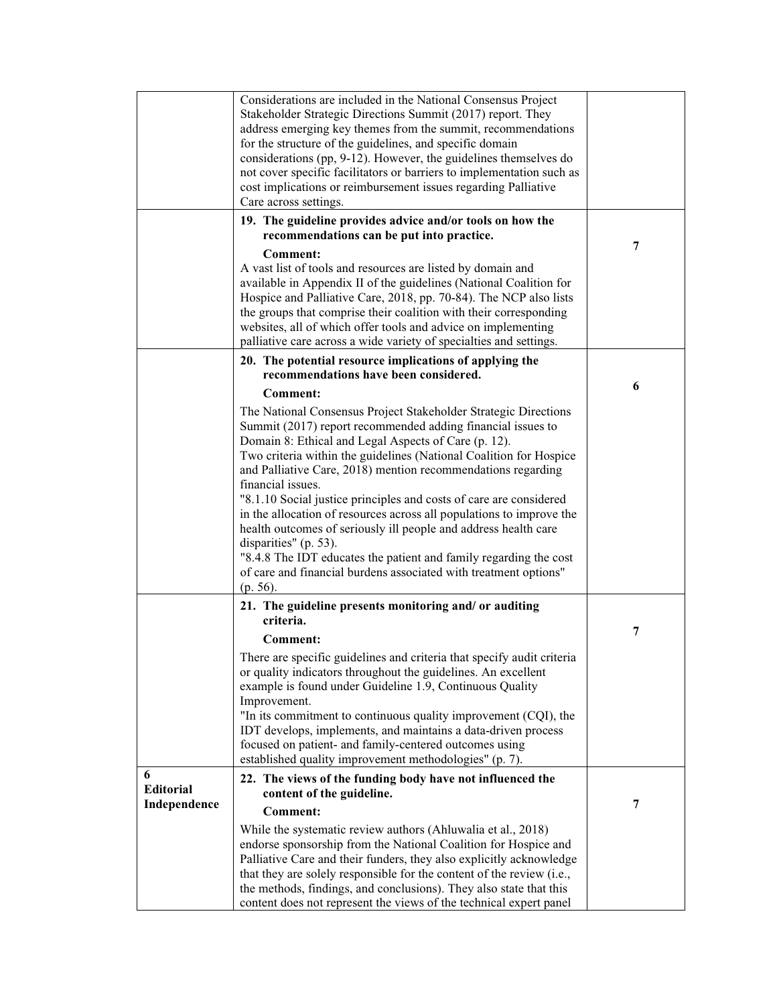|                  | Considerations are included in the National Consensus Project<br>Stakeholder Strategic Directions Summit (2017) report. They<br>address emerging key themes from the summit, recommendations                                                                                |   |
|------------------|-----------------------------------------------------------------------------------------------------------------------------------------------------------------------------------------------------------------------------------------------------------------------------|---|
|                  | for the structure of the guidelines, and specific domain                                                                                                                                                                                                                    |   |
|                  | considerations (pp, 9-12). However, the guidelines themselves do<br>not cover specific facilitators or barriers to implementation such as                                                                                                                                   |   |
|                  | cost implications or reimbursement issues regarding Palliative                                                                                                                                                                                                              |   |
|                  | Care across settings.<br>19. The guideline provides advice and/or tools on how the                                                                                                                                                                                          |   |
|                  | recommendations can be put into practice.                                                                                                                                                                                                                                   |   |
|                  | <b>Comment:</b>                                                                                                                                                                                                                                                             | 7 |
|                  | A vast list of tools and resources are listed by domain and<br>available in Appendix II of the guidelines (National Coalition for<br>Hospice and Palliative Care, 2018, pp. 70-84). The NCP also lists<br>the groups that comprise their coalition with their corresponding |   |
|                  | websites, all of which offer tools and advice on implementing<br>palliative care across a wide variety of specialties and settings.                                                                                                                                         |   |
|                  | 20. The potential resource implications of applying the                                                                                                                                                                                                                     |   |
|                  | recommendations have been considered.                                                                                                                                                                                                                                       | 6 |
|                  | <b>Comment:</b><br>The National Consensus Project Stakeholder Strategic Directions                                                                                                                                                                                          |   |
|                  | Summit (2017) report recommended adding financial issues to                                                                                                                                                                                                                 |   |
|                  | Domain 8: Ethical and Legal Aspects of Care (p. 12).<br>Two criteria within the guidelines (National Coalition for Hospice                                                                                                                                                  |   |
|                  | and Palliative Care, 2018) mention recommendations regarding                                                                                                                                                                                                                |   |
|                  | financial issues.<br>"8.1.10 Social justice principles and costs of care are considered                                                                                                                                                                                     |   |
|                  | in the allocation of resources across all populations to improve the                                                                                                                                                                                                        |   |
|                  | health outcomes of seriously ill people and address health care<br>disparities" (p. 53).                                                                                                                                                                                    |   |
|                  | "8.4.8 The IDT educates the patient and family regarding the cost                                                                                                                                                                                                           |   |
|                  | of care and financial burdens associated with treatment options"<br>$(p. 56)$ .                                                                                                                                                                                             |   |
|                  | 21. The guideline presents monitoring and/or auditing                                                                                                                                                                                                                       |   |
|                  | criteria.                                                                                                                                                                                                                                                                   |   |
|                  | Comment:                                                                                                                                                                                                                                                                    | 7 |
|                  | There are specific guidelines and criteria that specify audit criteria<br>or quality indicators throughout the guidelines. An excellent                                                                                                                                     |   |
|                  | example is found under Guideline 1.9, Continuous Quality<br>Improvement.                                                                                                                                                                                                    |   |
|                  | "In its commitment to continuous quality improvement (CQI), the                                                                                                                                                                                                             |   |
|                  | IDT develops, implements, and maintains a data-driven process<br>focused on patient- and family-centered outcomes using<br>established quality improvement methodologies" (p. 7).                                                                                           |   |
| 6                | 22. The views of the funding body have not influenced the                                                                                                                                                                                                                   |   |
| <b>Editorial</b> | content of the guideline.                                                                                                                                                                                                                                                   |   |
| Independence     | <b>Comment:</b>                                                                                                                                                                                                                                                             | 7 |
|                  | While the systematic review authors (Ahluwalia et al., 2018)<br>endorse sponsorship from the National Coalition for Hospice and<br>Palliative Care and their funders, they also explicitly acknowledge                                                                      |   |
|                  | that they are solely responsible for the content of the review (i.e.,                                                                                                                                                                                                       |   |
|                  | the methods, findings, and conclusions). They also state that this                                                                                                                                                                                                          |   |
|                  | content does not represent the views of the technical expert panel                                                                                                                                                                                                          |   |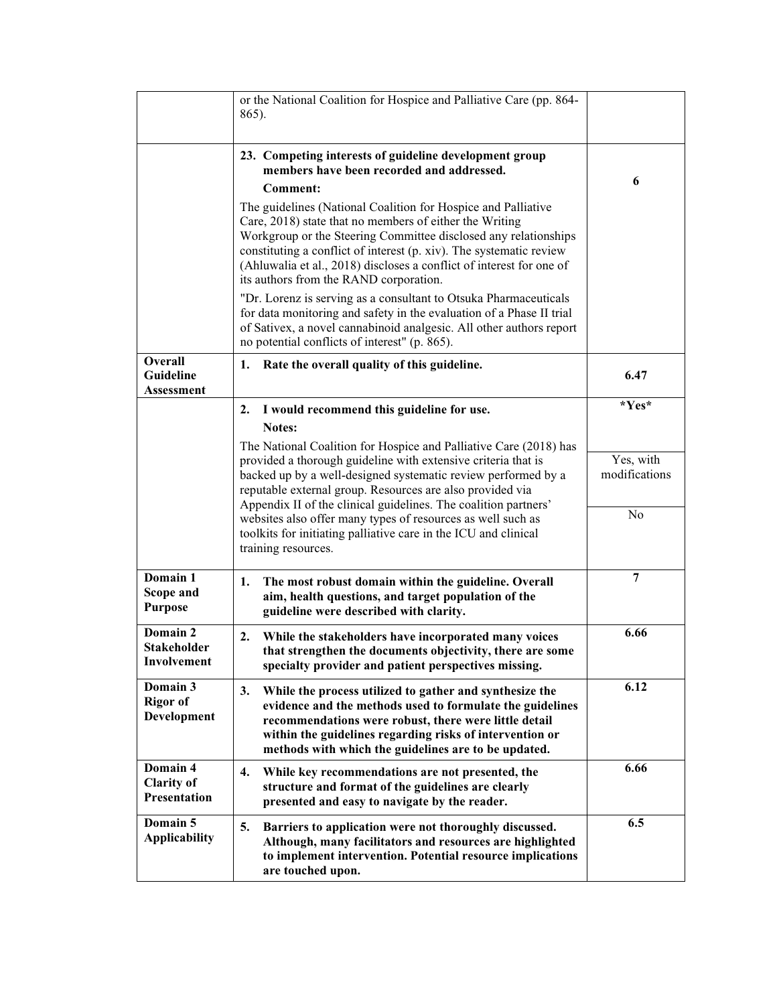|                                                      | or the National Coalition for Hospice and Palliative Care (pp. 864-<br>865).                                                                                                                                                                                                                                                                                                         |                            |
|------------------------------------------------------|--------------------------------------------------------------------------------------------------------------------------------------------------------------------------------------------------------------------------------------------------------------------------------------------------------------------------------------------------------------------------------------|----------------------------|
|                                                      | 23. Competing interests of guideline development group<br>members have been recorded and addressed.<br><b>Comment:</b>                                                                                                                                                                                                                                                               | 6                          |
|                                                      | The guidelines (National Coalition for Hospice and Palliative<br>Care, 2018) state that no members of either the Writing<br>Workgroup or the Steering Committee disclosed any relationships<br>constituting a conflict of interest (p. xiv). The systematic review<br>(Ahluwalia et al., 2018) discloses a conflict of interest for one of<br>its authors from the RAND corporation. |                            |
|                                                      | "Dr. Lorenz is serving as a consultant to Otsuka Pharmaceuticals<br>for data monitoring and safety in the evaluation of a Phase II trial<br>of Sativex, a novel cannabinoid analgesic. All other authors report<br>no potential conflicts of interest" (p. 865).                                                                                                                     |                            |
| Overall<br><b>Guideline</b><br><b>Assessment</b>     | 1. Rate the overall quality of this guideline.                                                                                                                                                                                                                                                                                                                                       | 6.47                       |
|                                                      | 2. I would recommend this guideline for use.                                                                                                                                                                                                                                                                                                                                         | $*Yes*$                    |
|                                                      | Notes:<br>The National Coalition for Hospice and Palliative Care (2018) has                                                                                                                                                                                                                                                                                                          |                            |
|                                                      | provided a thorough guideline with extensive criteria that is<br>backed up by a well-designed systematic review performed by a<br>reputable external group. Resources are also provided via<br>Appendix II of the clinical guidelines. The coalition partners'                                                                                                                       | Yes, with<br>modifications |
|                                                      | websites also offer many types of resources as well such as<br>toolkits for initiating palliative care in the ICU and clinical<br>training resources.                                                                                                                                                                                                                                | N <sub>0</sub>             |
| Domain 1<br>Scope and<br><b>Purpose</b>              | The most robust domain within the guideline. Overall<br>1.<br>aim, health questions, and target population of the<br>guideline were described with clarity.                                                                                                                                                                                                                          | $\overline{7}$             |
| Domain 2<br><b>Stakeholder</b><br>Involvement        | While the stakeholders have incorporated many voices<br>2.<br>that strengthen the documents objectivity, there are some<br>specialty provider and patient perspectives missing.                                                                                                                                                                                                      | 6.66                       |
| Domain 3<br><b>Rigor of</b><br><b>Development</b>    | 3.<br>While the process utilized to gather and synthesize the<br>evidence and the methods used to formulate the guidelines<br>recommendations were robust, there were little detail<br>within the guidelines regarding risks of intervention or<br>methods with which the guidelines are to be updated.                                                                              | 6.12                       |
| Domain 4<br><b>Clarity of</b><br><b>Presentation</b> | $\overline{4}$ .<br>While key recommendations are not presented, the<br>structure and format of the guidelines are clearly<br>presented and easy to navigate by the reader.                                                                                                                                                                                                          | 6.66                       |
| Domain 5<br><b>Applicability</b>                     | 5.<br>Barriers to application were not thoroughly discussed.<br>Although, many facilitators and resources are highlighted<br>to implement intervention. Potential resource implications<br>are touched upon.                                                                                                                                                                         | 6.5                        |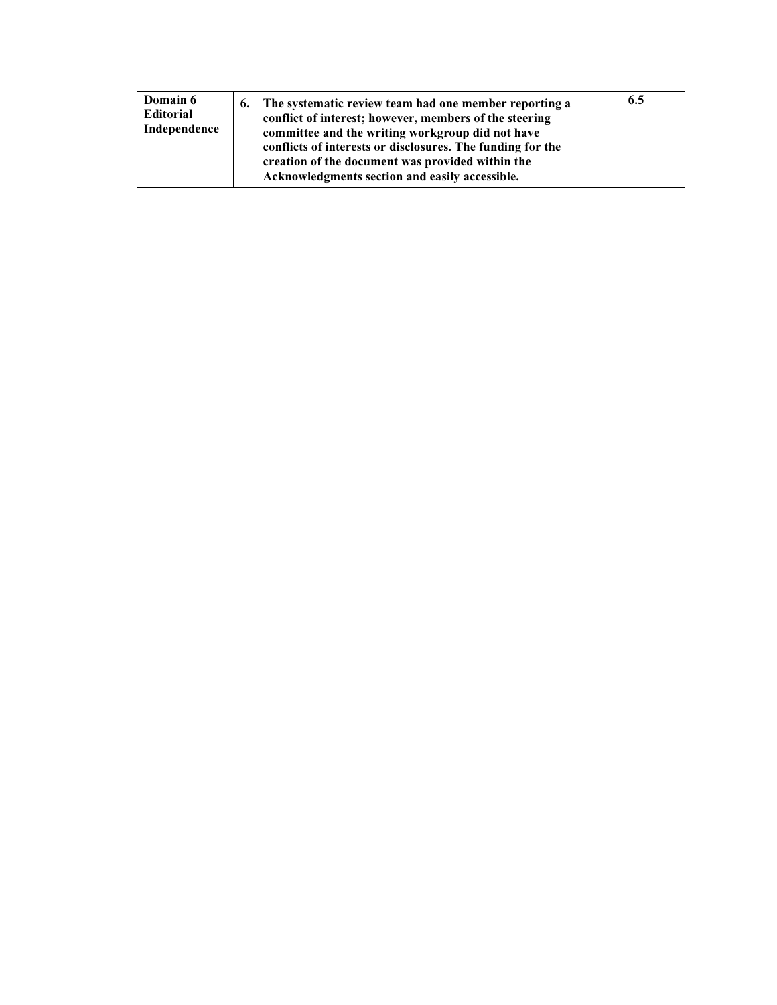| Domain 6<br><b>Editorial</b><br>Independence | The systematic review team had one member reporting a<br>6.<br>conflict of interest; however, members of the steering<br>committee and the writing workgroup did not have<br>conflicts of interests or disclosures. The funding for the<br>creation of the document was provided within the<br>Acknowledgments section and easily accessible. | 6.5 |  |
|----------------------------------------------|-----------------------------------------------------------------------------------------------------------------------------------------------------------------------------------------------------------------------------------------------------------------------------------------------------------------------------------------------|-----|--|
|----------------------------------------------|-----------------------------------------------------------------------------------------------------------------------------------------------------------------------------------------------------------------------------------------------------------------------------------------------------------------------------------------------|-----|--|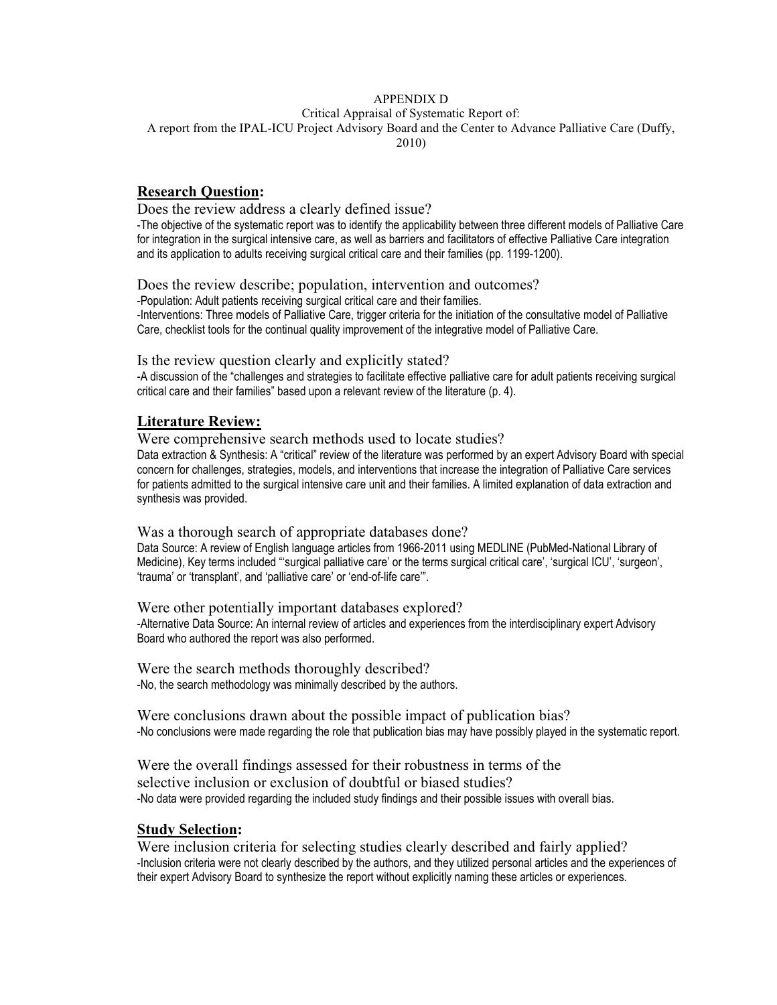## APPENDIX D

Critical Appraisal of Systematic Report of:

A report from the IPAL-ICU Project Advisory Board and the Center to Advance Palliative Care (Duffy,

2010)

# **Research Question:**

Does the review address a clearly defined issue?

-The objective of the systematic report was to identify the applicability between three different models of Palliative Care for integration in the surgical intensive care, as well as barriers and facilitators of effective Palliative Care integration and its application to adults receiving surgical critical care and their families (pp. 1199-1200).

Does the review describe; population, intervention and outcomes?

-Population: Adult patients receiving surgical critical care and their families.

-Interventions: Three models of Palliative Care, trigger criteria for the initiation of the consultative model of Palliative Care, checklist tools for the continual quality improvement of the integrative model of Palliative Care.

Is the review question clearly and explicitly stated?

-A discussion of the "challenges and strategies to facilitate effective palliative care for adult patients receiving surgical critical care and their families" based upon a relevant review of the literature (p. 4).

# **Literature Review:**

Were comprehensive search methods used to locate studies?

Data extraction & Synthesis: A "critical" review of the literature was performed by an expert Advisory Board with special concern for challenges, strategies, models, and interventions that increase the integration of Palliative Care services for patients admitted to the surgical intensive care unit and their families. A limited explanation of data extraction and synthesis was provided.

Was a thorough search of appropriate databases done?

Data Source: A review of English language articles from 1966-2011 using MEDLINE (PubMed-National Library of Medicine), Key terms included "'surgical palliative care' or the terms surgical critical care', 'surgical ICU', 'surgeon', 'trauma' or 'transplant', and 'palliative care' or 'end-of-life care'".

Were other potentially important databases explored? -Alternative Data Source: An internal review of articles and experiences from the interdisciplinary expert Advisory Board who authored the report was also performed.

Were the search methods thoroughly described? -No, the search methodology was minimally described by the authors.

Were conclusions drawn about the possible impact of publication bias? -No conclusions were made regarding the role that publication bias may have possibly played in the systematic report.

Were the overall findings assessed for their robustness in terms of the selective inclusion or exclusion of doubtful or biased studies? -No data were provided regarding the included study findings and their possible issues with overall bias.

## **Study Selection:**

Were inclusion criteria for selecting studies clearly described and fairly applied? -Inclusion criteria were not clearly described by the authors, and they utilized personal articles and the experiences of their expert Advisory Board to synthesize the report without explicitly naming these articles or experiences.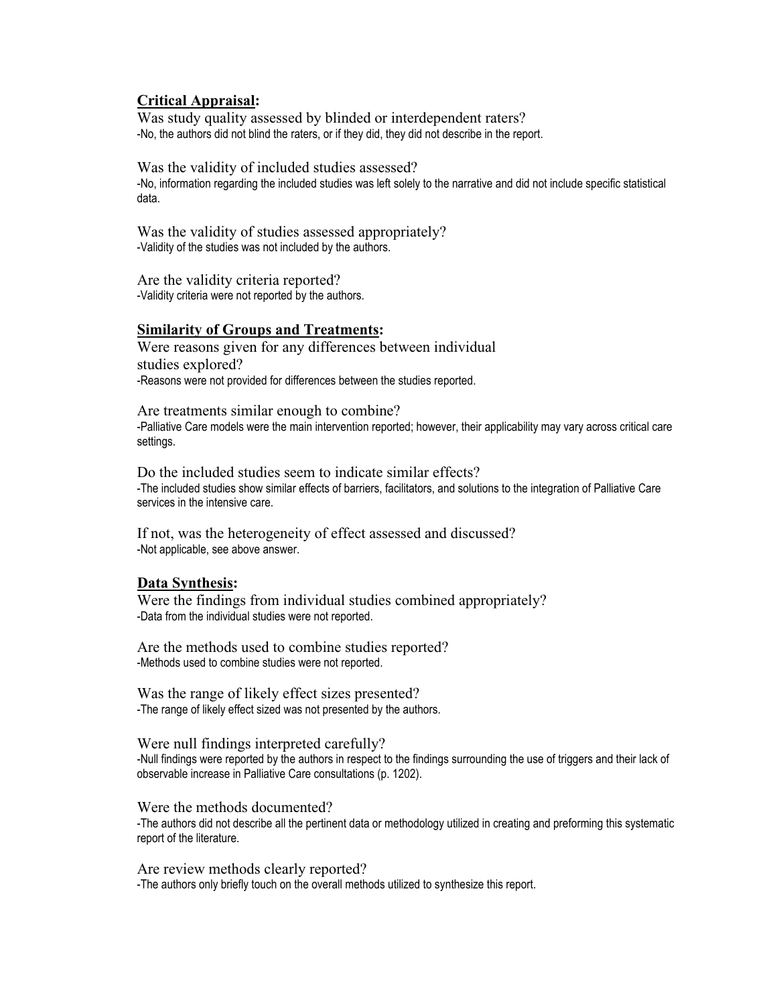# **Critical Appraisal:**

Was study quality assessed by blinded or interdependent raters? -No, the authors did not blind the raters, or if they did, they did not describe in the report.

Was the validity of included studies assessed? -No, information regarding the included studies was left solely to the narrative and did not include specific statistical data.

Was the validity of studies assessed appropriately? -Validity of the studies was not included by the authors.

Are the validity criteria reported? -Validity criteria were not reported by the authors.

## **Similarity of Groups and Treatments:**

Were reasons given for any differences between individual studies explored? -Reasons were not provided for differences between the studies reported.

Are treatments similar enough to combine? -Palliative Care models were the main intervention reported; however, their applicability may vary across critical care settings.

Do the included studies seem to indicate similar effects? -The included studies show similar effects of barriers, facilitators, and solutions to the integration of Palliative Care services in the intensive care.

If not, was the heterogeneity of effect assessed and discussed? -Not applicable, see above answer.

### **Data Synthesis:**

Were the findings from individual studies combined appropriately? -Data from the individual studies were not reported.

Are the methods used to combine studies reported? -Methods used to combine studies were not reported.

Was the range of likely effect sizes presented? -The range of likely effect sized was not presented by the authors.

### Were null findings interpreted carefully?

-Null findings were reported by the authors in respect to the findings surrounding the use of triggers and their lack of observable increase in Palliative Care consultations (p. 1202).

Were the methods documented?

-The authors did not describe all the pertinent data or methodology utilized in creating and preforming this systematic report of the literature.

Are review methods clearly reported? -The authors only briefly touch on the overall methods utilized to synthesize this report.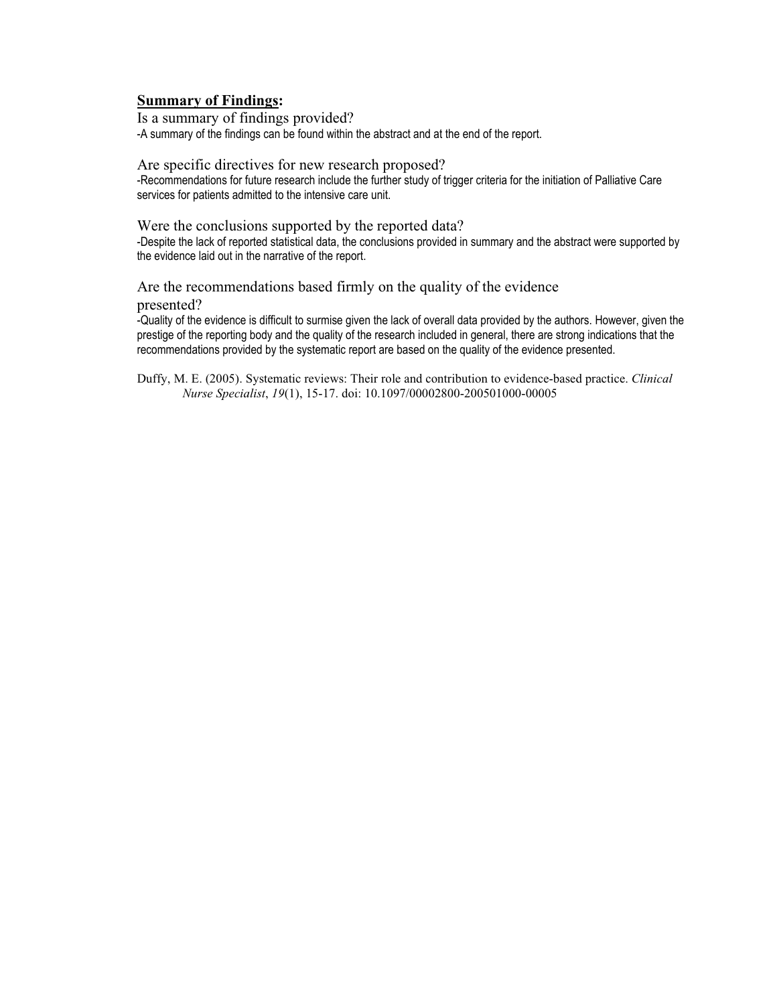# **Summary of Findings:**

Is a summary of findings provided? -A summary of the findings can be found within the abstract and at the end of the report.

Are specific directives for new research proposed? -Recommendations for future research include the further study of trigger criteria for the initiation of Palliative Care services for patients admitted to the intensive care unit.

Were the conclusions supported by the reported data? -Despite the lack of reported statistical data, the conclusions provided in summary and the abstract were supported by the evidence laid out in the narrative of the report.

### Are the recommendations based firmly on the quality of the evidence presented?

-Quality of the evidence is difficult to surmise given the lack of overall data provided by the authors. However, given the prestige of the reporting body and the quality of the research included in general, there are strong indications that the recommendations provided by the systematic report are based on the quality of the evidence presented.

Duffy, M. E. (2005). Systematic reviews: Their role and contribution to evidence-based practice. *Clinical Nurse Specialist*, *19*(1), 15-17. doi: 10.1097/00002800-200501000-00005